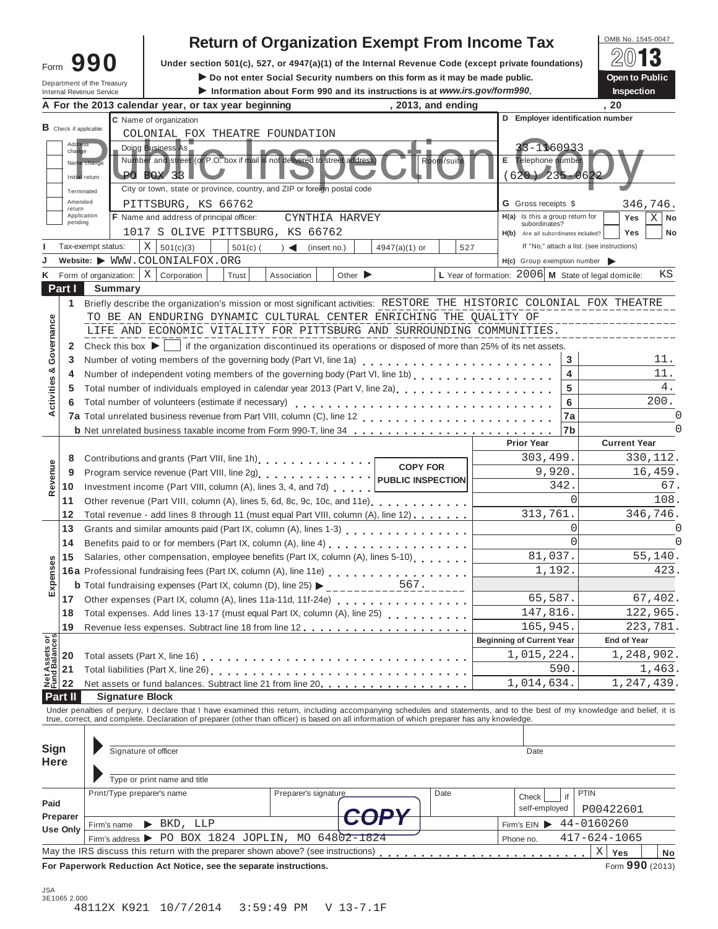|                                                                                                                   |                 |                               |                                                             |                                                                    |            | <b>Return of Organization Exempt From Income Tax</b>                                                                                       |                             |                 |            |  |                                                      |                      | OMB No. 1545-0047                                                                                                                                                          |
|-------------------------------------------------------------------------------------------------------------------|-----------------|-------------------------------|-------------------------------------------------------------|--------------------------------------------------------------------|------------|--------------------------------------------------------------------------------------------------------------------------------------------|-----------------------------|-----------------|------------|--|------------------------------------------------------|----------------------|----------------------------------------------------------------------------------------------------------------------------------------------------------------------------|
| 990<br>Under section 501(c), 527, or 4947(a)(1) of the Internal Revenue Code (except private foundations)<br>Form |                 |                               |                                                             |                                                                    |            |                                                                                                                                            |                             |                 |            |  |                                                      |                      |                                                                                                                                                                            |
| Do not enter Social Security numbers on this form as it may be made public.<br>Department of the Treasury         |                 |                               |                                                             |                                                                    |            |                                                                                                                                            |                             |                 |            |  |                                                      | Open to Public       |                                                                                                                                                                            |
| Information about Form 990 and its instructions is at www.irs.gov/form990.<br><b>Internal Revenue Service</b>     |                 |                               |                                                             |                                                                    |            |                                                                                                                                            |                             |                 |            |  |                                                      | <b>Inspection</b>    |                                                                                                                                                                            |
| . 20<br>, 2013, and ending<br>A For the 2013 calendar year, or tax year beginning                                 |                 |                               |                                                             |                                                                    |            |                                                                                                                                            |                             |                 |            |  |                                                      |                      |                                                                                                                                                                            |
|                                                                                                                   |                 | <b>B</b> Check if applicable: |                                                             | C Name of organization                                             |            |                                                                                                                                            |                             |                 |            |  | D Employer identification number                     |                      |                                                                                                                                                                            |
|                                                                                                                   | Address         |                               |                                                             |                                                                    |            | COLONIAL FOX THEATRE FOUNDATION                                                                                                            |                             |                 |            |  |                                                      |                      |                                                                                                                                                                            |
|                                                                                                                   | change          |                               |                                                             | Doing Business As                                                  |            |                                                                                                                                            |                             |                 |            |  | $-1160933$                                           |                      |                                                                                                                                                                            |
|                                                                                                                   |                 | Name chang                    |                                                             |                                                                    |            | Number and street (or P.O. box if mail is not delivered to street address)                                                                 |                             |                 | Room/suite |  | Е<br>Telephone number                                |                      |                                                                                                                                                                            |
|                                                                                                                   |                 | Initial return                |                                                             | <b>PO BOX 331</b>                                                  |            | City or town, state or province, country, and ZIP or foreion postal code                                                                   |                             |                 |            |  | $(620)$ 235-062                                      |                      |                                                                                                                                                                            |
|                                                                                                                   | Amended         | Terminated                    |                                                             |                                                                    |            |                                                                                                                                            |                             |                 |            |  | <b>G</b> Gross receipts \$                           |                      |                                                                                                                                                                            |
|                                                                                                                   | return          | Application                   |                                                             | PITTSBURG, KS 66762<br>F Name and address of principal officer:    |            | CYNTHIA HARVEY                                                                                                                             |                             |                 |            |  | H(a) Is this a group return for                      |                      | 346,746.<br>Yes<br>Χ<br>No                                                                                                                                                 |
|                                                                                                                   | pending         |                               |                                                             |                                                                    |            | 1017 S OLIVE PITTSBURG, KS 66762                                                                                                           |                             |                 |            |  | subordinates?                                        |                      | Yes<br>No                                                                                                                                                                  |
|                                                                                                                   |                 | Tax-exempt status:            |                                                             | $X \vert$<br>501(c)(3)                                             | $501(c)$ ( | $\rightarrow$ $\rightarrow$<br>(insert no.)                                                                                                |                             | $4947(a)(1)$ or | 527        |  | H(b) Are all subordinates included?                  |                      | If "No," attach a list. (see instructions)                                                                                                                                 |
|                                                                                                                   |                 |                               |                                                             | Website: WWW.COLONIALFOX.ORG                                       |            |                                                                                                                                            |                             |                 |            |  | $H(c)$ Group exemption number $\blacktriangleright$  |                      |                                                                                                                                                                            |
|                                                                                                                   |                 | Form of organization:         |                                                             | $\mathbf{X}$<br>Corporation                                        | Trust      | Association                                                                                                                                | Other $\blacktriangleright$ |                 |            |  | L Year of formation: 2006 M State of legal domicile: |                      | ΚS                                                                                                                                                                         |
|                                                                                                                   | Part I          |                               | <b>Summary</b>                                              |                                                                    |            |                                                                                                                                            |                             |                 |            |  |                                                      |                      |                                                                                                                                                                            |
|                                                                                                                   | 1.              |                               |                                                             |                                                                    |            |                                                                                                                                            |                             |                 |            |  |                                                      |                      | Briefly describe the organization's mission or most significant activities: RESTORE THE HISTORIC COLONIAL FOX THEATRE                                                      |
|                                                                                                                   |                 |                               |                                                             |                                                                    |            | TO BE AN ENDURING DYNAMIC CULTURAL CENTER ENRICHING THE QUALITY OF                                                                         |                             |                 |            |  |                                                      |                      |                                                                                                                                                                            |
|                                                                                                                   |                 |                               |                                                             |                                                                    |            | LIFE AND ECONOMIC VITALITY FOR PITTSBURG AND SURROUNDING COMMUNITIES.                                                                      |                             |                 |            |  |                                                      |                      |                                                                                                                                                                            |
| Governance                                                                                                        | 2               |                               |                                                             |                                                                    |            | Check this box $\blacktriangleright$   if the organization discontinued its operations or disposed of more than 25% of its net assets.     |                             |                 |            |  |                                                      |                      |                                                                                                                                                                            |
|                                                                                                                   | 3               |                               |                                                             |                                                                    |            |                                                                                                                                            |                             |                 |            |  |                                                      | 3                    | 11.                                                                                                                                                                        |
|                                                                                                                   | 4               |                               |                                                             |                                                                    |            | Number of independent voting members of the governing body (Part VI, line 1b)                                                              |                             |                 |            |  |                                                      | 4                    | 11.                                                                                                                                                                        |
|                                                                                                                   | 5               |                               |                                                             |                                                                    |            |                                                                                                                                            |                             |                 |            |  |                                                      | 5                    | 4.                                                                                                                                                                         |
| ctivities &                                                                                                       | 6               |                               |                                                             | Total number of volunteers (estimate if necessary)                 |            |                                                                                                                                            |                             |                 |            |  |                                                      | 6                    | 200.                                                                                                                                                                       |
| ∢                                                                                                                 |                 |                               |                                                             |                                                                    |            |                                                                                                                                            |                             |                 |            |  |                                                      | 7a                   |                                                                                                                                                                            |
|                                                                                                                   |                 |                               |                                                             |                                                                    |            |                                                                                                                                            |                             |                 |            |  |                                                      | 7b                   | <sup>0</sup>                                                                                                                                                               |
|                                                                                                                   |                 |                               |                                                             |                                                                    |            |                                                                                                                                            |                             |                 |            |  | <b>Prior Year</b>                                    |                      | <b>Current Year</b>                                                                                                                                                        |
|                                                                                                                   | 8               |                               |                                                             |                                                                    |            |                                                                                                                                            |                             | <b>COPY FOR</b> |            |  | 303,499.                                             |                      | 330,112.                                                                                                                                                                   |
| Revenue                                                                                                           | 9               |                               |                                                             |                                                                    |            | Program service revenue (Part VIII, line 2g)   PUBLIC INSPECTION                                                                           |                             |                 |            |  | 9,920.                                               |                      | 16,459.                                                                                                                                                                    |
|                                                                                                                   | 10              |                               |                                                             |                                                                    |            | Investment income (Part VIII, column (A), lines 3, 4, and 7d)                                                                              |                             |                 |            |  |                                                      | 342.                 | 67.                                                                                                                                                                        |
|                                                                                                                   | 11              |                               |                                                             |                                                                    |            |                                                                                                                                            |                             |                 |            |  |                                                      | $\Omega$             | 108.                                                                                                                                                                       |
|                                                                                                                   | 12              |                               |                                                             |                                                                    |            | Total revenue - add lines 8 through 11 (must equal Part VIII, column (A), line 12)                                                         |                             |                 |            |  | 313,761.                                             |                      | 346,746.                                                                                                                                                                   |
|                                                                                                                   | 13              |                               |                                                             |                                                                    |            |                                                                                                                                            |                             |                 |            |  |                                                      | $\Omega$<br>$\Omega$ |                                                                                                                                                                            |
|                                                                                                                   | 14              |                               |                                                             |                                                                    |            |                                                                                                                                            |                             |                 |            |  | 81,037.                                              |                      |                                                                                                                                                                            |
|                                                                                                                   | 15              |                               |                                                             |                                                                    |            | Salaries, other compensation, employee benefits (Part IX, column (A), lines 5-10)                                                          |                             |                 |            |  | 1,192.                                               | 55,140.<br>423.      |                                                                                                                                                                            |
| Expenses                                                                                                          |                 |                               |                                                             |                                                                    |            | 16a Professional fundraising fees (Part IX, column (A), line 11e)                                                                          |                             |                 |            |  |                                                      |                      |                                                                                                                                                                            |
|                                                                                                                   | 17              |                               |                                                             |                                                                    |            | Other expenses (Part IX, column (A), lines 11a-11d, 11f-24e)                                                                               |                             |                 |            |  | 65,587.                                              |                      | 67,402.                                                                                                                                                                    |
|                                                                                                                   | 18              |                               |                                                             |                                                                    |            | Total expenses. Add lines 13-17 (must equal Part IX, column (A), line 25) [ [ [ [ ] ] ] [ ] ] [ ] ] [ ] ]                                  |                             |                 |            |  | 147,816.                                             |                      | 122,965.                                                                                                                                                                   |
|                                                                                                                   | 19              |                               |                                                             |                                                                    |            |                                                                                                                                            |                             |                 |            |  | 165,945.                                             |                      | 223,781.                                                                                                                                                                   |
|                                                                                                                   |                 |                               |                                                             |                                                                    |            |                                                                                                                                            |                             |                 |            |  | <b>Beginning of Current Year</b>                     |                      | <b>End of Year</b>                                                                                                                                                         |
| Net Assets or<br>Fund Balances                                                                                    | 20              |                               |                                                             |                                                                    |            |                                                                                                                                            |                             |                 |            |  | 1,015,224.                                           |                      | 1,248,902.                                                                                                                                                                 |
|                                                                                                                   | 21              |                               |                                                             |                                                                    |            |                                                                                                                                            |                             |                 |            |  |                                                      | 590.                 | 1,463.                                                                                                                                                                     |
|                                                                                                                   | 22              |                               | Net assets or fund balances. Subtract line 21 from line 20. |                                                                    |            |                                                                                                                                            |                             |                 |            |  |                                                      | 1,014,634.           | 1,247,439.                                                                                                                                                                 |
|                                                                                                                   | Part II         |                               | <b>Signature Block</b>                                      |                                                                    |            |                                                                                                                                            |                             |                 |            |  |                                                      |                      |                                                                                                                                                                            |
|                                                                                                                   |                 |                               |                                                             |                                                                    |            | true, correct, and complete. Declaration of preparer (other than officer) is based on all information of which preparer has any knowledge. |                             |                 |            |  |                                                      |                      | Under penalties of perjury, I declare that I have examined this return, including accompanying schedules and statements, and to the best of my knowledge and belief, it is |
|                                                                                                                   |                 |                               |                                                             |                                                                    |            |                                                                                                                                            |                             |                 |            |  |                                                      |                      |                                                                                                                                                                            |
| Sign                                                                                                              |                 |                               |                                                             |                                                                    |            |                                                                                                                                            |                             |                 |            |  |                                                      |                      |                                                                                                                                                                            |
| <b>Here</b>                                                                                                       |                 |                               |                                                             | Signature of officer                                               |            |                                                                                                                                            |                             |                 |            |  | Date                                                 |                      |                                                                                                                                                                            |
|                                                                                                                   |                 |                               |                                                             |                                                                    |            |                                                                                                                                            |                             |                 |            |  |                                                      |                      |                                                                                                                                                                            |
|                                                                                                                   |                 |                               |                                                             | Type or print name and title                                       |            |                                                                                                                                            |                             |                 |            |  |                                                      |                      |                                                                                                                                                                            |
| Paid                                                                                                              |                 |                               |                                                             | Print/Type preparer's name                                         |            | Preparer's signature                                                                                                                       |                             |                 | Date       |  | Check                                                | if                   | <b>PTIN</b>                                                                                                                                                                |
|                                                                                                                   | Preparer        |                               |                                                             |                                                                    |            |                                                                                                                                            |                             |                 |            |  | self-employed                                        |                      | P00422601                                                                                                                                                                  |
|                                                                                                                   | <b>Use Only</b> | Firm's name                   |                                                             | $\blacktriangleright$ BKD, LLP                                     |            | Firm's address $\triangleright$ PO BOX 1824 JOPLIN, MO 64802-1824                                                                          |                             |                 |            |  | Firm's $EIN$                                         |                      | 44-0160260                                                                                                                                                                 |
|                                                                                                                   |                 |                               |                                                             |                                                                    |            | May the IRS discuss this return with the preparer shown above? (see instructions)                                                          |                             |                 |            |  | Phone no.                                            |                      | $417 - 624 - 1065$<br>$\mathbf X$                                                                                                                                          |
|                                                                                                                   |                 |                               |                                                             | For Paperwork Reduction Act Notice, see the separate instructions. |            |                                                                                                                                            |                             |                 |            |  |                                                      |                      | Yes<br>No<br>Form 990 (2013)                                                                                                                                               |
|                                                                                                                   |                 |                               |                                                             |                                                                    |            |                                                                                                                                            |                             |                 |            |  |                                                      |                      |                                                                                                                                                                            |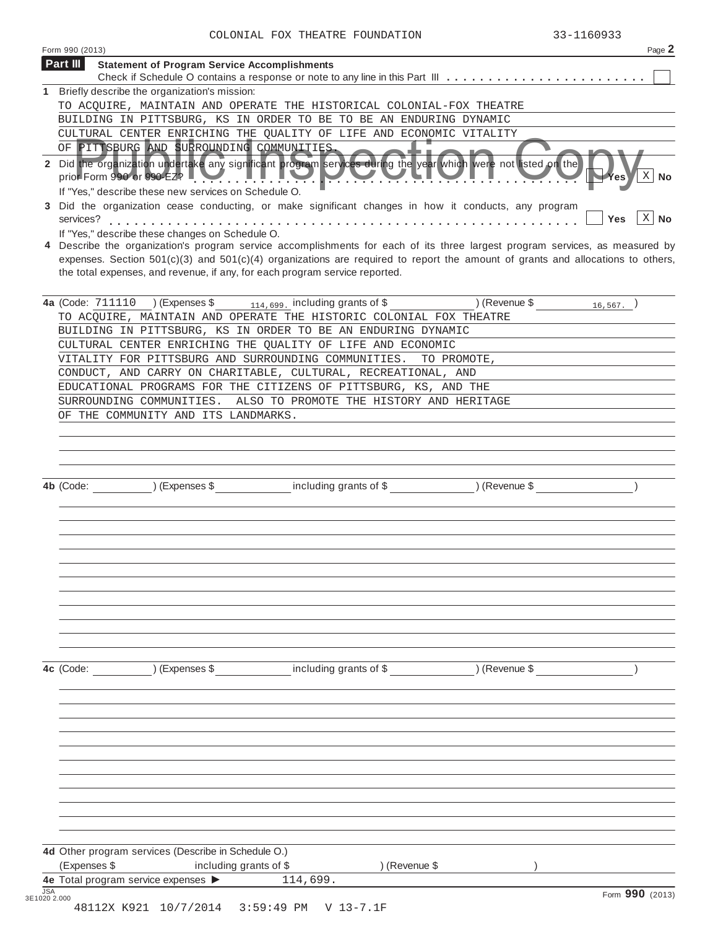| COLONIAL FOX THEATRE FOUNDATION |  | 33-1160933 |
|---------------------------------|--|------------|

| Form 990 (2013)<br>Part III<br><b>Statement of Program Service Accomplishments</b><br>Briefly describe the organization's mission:<br>1.<br>TO ACQUIRE, MAINTAIN AND OPERATE THE HISTORICAL COLONIAL-FOX THEATRE<br>BUILDING IN PITTSBURG, KS IN ORDER TO BE TO BE AN ENDURING DYNAMIC<br>CULTURAL CENTER ENRICHING THE QUALITY OF LIFE AND ECONOMIC VITALITY<br>OF PITTSBURG AND SURROUNDING COMMUNITIES.<br>2 Did the organization undertake any significant program services during the year which were not listed on the<br>prior Form 990 or 990 $\epsilon$ 2? $\blacksquare$ $\blacksquare$ $\blacksquare$ $\blacksquare$ $\blacksquare$ $\blacksquare$ $\blacksquare$<br>'es<br>If "Yes," describe these new services on Schedule O.<br>Did the organization cease conducting, or make significant changes in how it conducts, any program<br>3<br>Yes<br>services?<br>If "Yes," describe these changes on Schedule O.<br>4 Describe the organization's program service accomplishments for each of its three largest program services, as measured by<br>expenses. Section $501(c)(3)$ and $501(c)(4)$ organizations are required to report the amount of grants and allocations to others,<br>the total expenses, and revenue, if any, for each program service reported.<br>4a (Code: 711110 ) (Expenses \$<br>$_{114,699}$ including grants of \$ ) (Revenue \$ $_{16,567}$ )<br>TO ACQUIRE, MAINTAIN AND OPERATE THE HISTORIC COLONIAL FOX THEATRE<br>BUILDING IN PITTSBURG, KS IN ORDER TO BE AN ENDURING DYNAMIC<br>CULTURAL CENTER ENRICHING THE QUALITY OF LIFE AND ECONOMIC<br>VITALITY FOR PITTSBURG AND SURROUNDING COMMUNITIES.<br>TO PROMOTE.<br>CONDUCT, AND CARRY ON CHARITABLE, CULTURAL, RECREATIONAL, AND<br>EDUCATIONAL PROGRAMS FOR THE CITIZENS OF PITTSBURG, KS, AND THE<br>SURROUNDING COMMUNITIES. ALSO TO PROMOTE THE HISTORY AND HERITAGE<br>OF THE COMMUNITY AND ITS LANDMARKS.<br>including grants of \$<br>) (Revenue \$<br>$(Ex)$ (Expenses \$<br>4b (Code:<br>including grants of \$<br>) (Expenses \$<br>) (Revenue \$<br>4c (Code: | COLONIAL FOX INFAIRE FOUNDAIION                     | 33-1100933 |                    |
|-----------------------------------------------------------------------------------------------------------------------------------------------------------------------------------------------------------------------------------------------------------------------------------------------------------------------------------------------------------------------------------------------------------------------------------------------------------------------------------------------------------------------------------------------------------------------------------------------------------------------------------------------------------------------------------------------------------------------------------------------------------------------------------------------------------------------------------------------------------------------------------------------------------------------------------------------------------------------------------------------------------------------------------------------------------------------------------------------------------------------------------------------------------------------------------------------------------------------------------------------------------------------------------------------------------------------------------------------------------------------------------------------------------------------------------------------------------------------------------------------------------------------------------------------------------------------------------------------------------------------------------------------------------------------------------------------------------------------------------------------------------------------------------------------------------------------------------------------------------------------------------------------------------------------------------------------------------------------------------------------------------------------------------------------------------------------------|-----------------------------------------------------|------------|--------------------|
|                                                                                                                                                                                                                                                                                                                                                                                                                                                                                                                                                                                                                                                                                                                                                                                                                                                                                                                                                                                                                                                                                                                                                                                                                                                                                                                                                                                                                                                                                                                                                                                                                                                                                                                                                                                                                                                                                                                                                                                                                                                                             |                                                     |            | Page 2             |
|                                                                                                                                                                                                                                                                                                                                                                                                                                                                                                                                                                                                                                                                                                                                                                                                                                                                                                                                                                                                                                                                                                                                                                                                                                                                                                                                                                                                                                                                                                                                                                                                                                                                                                                                                                                                                                                                                                                                                                                                                                                                             |                                                     |            |                    |
|                                                                                                                                                                                                                                                                                                                                                                                                                                                                                                                                                                                                                                                                                                                                                                                                                                                                                                                                                                                                                                                                                                                                                                                                                                                                                                                                                                                                                                                                                                                                                                                                                                                                                                                                                                                                                                                                                                                                                                                                                                                                             |                                                     |            |                    |
|                                                                                                                                                                                                                                                                                                                                                                                                                                                                                                                                                                                                                                                                                                                                                                                                                                                                                                                                                                                                                                                                                                                                                                                                                                                                                                                                                                                                                                                                                                                                                                                                                                                                                                                                                                                                                                                                                                                                                                                                                                                                             |                                                     |            |                    |
|                                                                                                                                                                                                                                                                                                                                                                                                                                                                                                                                                                                                                                                                                                                                                                                                                                                                                                                                                                                                                                                                                                                                                                                                                                                                                                                                                                                                                                                                                                                                                                                                                                                                                                                                                                                                                                                                                                                                                                                                                                                                             |                                                     |            |                    |
|                                                                                                                                                                                                                                                                                                                                                                                                                                                                                                                                                                                                                                                                                                                                                                                                                                                                                                                                                                                                                                                                                                                                                                                                                                                                                                                                                                                                                                                                                                                                                                                                                                                                                                                                                                                                                                                                                                                                                                                                                                                                             |                                                     |            |                    |
|                                                                                                                                                                                                                                                                                                                                                                                                                                                                                                                                                                                                                                                                                                                                                                                                                                                                                                                                                                                                                                                                                                                                                                                                                                                                                                                                                                                                                                                                                                                                                                                                                                                                                                                                                                                                                                                                                                                                                                                                                                                                             |                                                     |            |                    |
|                                                                                                                                                                                                                                                                                                                                                                                                                                                                                                                                                                                                                                                                                                                                                                                                                                                                                                                                                                                                                                                                                                                                                                                                                                                                                                                                                                                                                                                                                                                                                                                                                                                                                                                                                                                                                                                                                                                                                                                                                                                                             |                                                     |            |                    |
|                                                                                                                                                                                                                                                                                                                                                                                                                                                                                                                                                                                                                                                                                                                                                                                                                                                                                                                                                                                                                                                                                                                                                                                                                                                                                                                                                                                                                                                                                                                                                                                                                                                                                                                                                                                                                                                                                                                                                                                                                                                                             |                                                     |            | $\mathbf{X}$<br>No |
|                                                                                                                                                                                                                                                                                                                                                                                                                                                                                                                                                                                                                                                                                                                                                                                                                                                                                                                                                                                                                                                                                                                                                                                                                                                                                                                                                                                                                                                                                                                                                                                                                                                                                                                                                                                                                                                                                                                                                                                                                                                                             |                                                     |            |                    |
|                                                                                                                                                                                                                                                                                                                                                                                                                                                                                                                                                                                                                                                                                                                                                                                                                                                                                                                                                                                                                                                                                                                                                                                                                                                                                                                                                                                                                                                                                                                                                                                                                                                                                                                                                                                                                                                                                                                                                                                                                                                                             |                                                     |            | $X \mid$ No        |
|                                                                                                                                                                                                                                                                                                                                                                                                                                                                                                                                                                                                                                                                                                                                                                                                                                                                                                                                                                                                                                                                                                                                                                                                                                                                                                                                                                                                                                                                                                                                                                                                                                                                                                                                                                                                                                                                                                                                                                                                                                                                             |                                                     |            |                    |
|                                                                                                                                                                                                                                                                                                                                                                                                                                                                                                                                                                                                                                                                                                                                                                                                                                                                                                                                                                                                                                                                                                                                                                                                                                                                                                                                                                                                                                                                                                                                                                                                                                                                                                                                                                                                                                                                                                                                                                                                                                                                             |                                                     |            |                    |
|                                                                                                                                                                                                                                                                                                                                                                                                                                                                                                                                                                                                                                                                                                                                                                                                                                                                                                                                                                                                                                                                                                                                                                                                                                                                                                                                                                                                                                                                                                                                                                                                                                                                                                                                                                                                                                                                                                                                                                                                                                                                             |                                                     |            |                    |
|                                                                                                                                                                                                                                                                                                                                                                                                                                                                                                                                                                                                                                                                                                                                                                                                                                                                                                                                                                                                                                                                                                                                                                                                                                                                                                                                                                                                                                                                                                                                                                                                                                                                                                                                                                                                                                                                                                                                                                                                                                                                             |                                                     |            |                    |
|                                                                                                                                                                                                                                                                                                                                                                                                                                                                                                                                                                                                                                                                                                                                                                                                                                                                                                                                                                                                                                                                                                                                                                                                                                                                                                                                                                                                                                                                                                                                                                                                                                                                                                                                                                                                                                                                                                                                                                                                                                                                             |                                                     |            |                    |
|                                                                                                                                                                                                                                                                                                                                                                                                                                                                                                                                                                                                                                                                                                                                                                                                                                                                                                                                                                                                                                                                                                                                                                                                                                                                                                                                                                                                                                                                                                                                                                                                                                                                                                                                                                                                                                                                                                                                                                                                                                                                             |                                                     |            |                    |
|                                                                                                                                                                                                                                                                                                                                                                                                                                                                                                                                                                                                                                                                                                                                                                                                                                                                                                                                                                                                                                                                                                                                                                                                                                                                                                                                                                                                                                                                                                                                                                                                                                                                                                                                                                                                                                                                                                                                                                                                                                                                             |                                                     |            |                    |
|                                                                                                                                                                                                                                                                                                                                                                                                                                                                                                                                                                                                                                                                                                                                                                                                                                                                                                                                                                                                                                                                                                                                                                                                                                                                                                                                                                                                                                                                                                                                                                                                                                                                                                                                                                                                                                                                                                                                                                                                                                                                             |                                                     |            |                    |
|                                                                                                                                                                                                                                                                                                                                                                                                                                                                                                                                                                                                                                                                                                                                                                                                                                                                                                                                                                                                                                                                                                                                                                                                                                                                                                                                                                                                                                                                                                                                                                                                                                                                                                                                                                                                                                                                                                                                                                                                                                                                             |                                                     |            |                    |
|                                                                                                                                                                                                                                                                                                                                                                                                                                                                                                                                                                                                                                                                                                                                                                                                                                                                                                                                                                                                                                                                                                                                                                                                                                                                                                                                                                                                                                                                                                                                                                                                                                                                                                                                                                                                                                                                                                                                                                                                                                                                             |                                                     |            |                    |
|                                                                                                                                                                                                                                                                                                                                                                                                                                                                                                                                                                                                                                                                                                                                                                                                                                                                                                                                                                                                                                                                                                                                                                                                                                                                                                                                                                                                                                                                                                                                                                                                                                                                                                                                                                                                                                                                                                                                                                                                                                                                             |                                                     |            |                    |
|                                                                                                                                                                                                                                                                                                                                                                                                                                                                                                                                                                                                                                                                                                                                                                                                                                                                                                                                                                                                                                                                                                                                                                                                                                                                                                                                                                                                                                                                                                                                                                                                                                                                                                                                                                                                                                                                                                                                                                                                                                                                             |                                                     |            |                    |
|                                                                                                                                                                                                                                                                                                                                                                                                                                                                                                                                                                                                                                                                                                                                                                                                                                                                                                                                                                                                                                                                                                                                                                                                                                                                                                                                                                                                                                                                                                                                                                                                                                                                                                                                                                                                                                                                                                                                                                                                                                                                             |                                                     |            |                    |
|                                                                                                                                                                                                                                                                                                                                                                                                                                                                                                                                                                                                                                                                                                                                                                                                                                                                                                                                                                                                                                                                                                                                                                                                                                                                                                                                                                                                                                                                                                                                                                                                                                                                                                                                                                                                                                                                                                                                                                                                                                                                             |                                                     |            |                    |
|                                                                                                                                                                                                                                                                                                                                                                                                                                                                                                                                                                                                                                                                                                                                                                                                                                                                                                                                                                                                                                                                                                                                                                                                                                                                                                                                                                                                                                                                                                                                                                                                                                                                                                                                                                                                                                                                                                                                                                                                                                                                             |                                                     |            |                    |
|                                                                                                                                                                                                                                                                                                                                                                                                                                                                                                                                                                                                                                                                                                                                                                                                                                                                                                                                                                                                                                                                                                                                                                                                                                                                                                                                                                                                                                                                                                                                                                                                                                                                                                                                                                                                                                                                                                                                                                                                                                                                             |                                                     |            |                    |
|                                                                                                                                                                                                                                                                                                                                                                                                                                                                                                                                                                                                                                                                                                                                                                                                                                                                                                                                                                                                                                                                                                                                                                                                                                                                                                                                                                                                                                                                                                                                                                                                                                                                                                                                                                                                                                                                                                                                                                                                                                                                             |                                                     |            |                    |
|                                                                                                                                                                                                                                                                                                                                                                                                                                                                                                                                                                                                                                                                                                                                                                                                                                                                                                                                                                                                                                                                                                                                                                                                                                                                                                                                                                                                                                                                                                                                                                                                                                                                                                                                                                                                                                                                                                                                                                                                                                                                             |                                                     |            |                    |
|                                                                                                                                                                                                                                                                                                                                                                                                                                                                                                                                                                                                                                                                                                                                                                                                                                                                                                                                                                                                                                                                                                                                                                                                                                                                                                                                                                                                                                                                                                                                                                                                                                                                                                                                                                                                                                                                                                                                                                                                                                                                             |                                                     |            |                    |
|                                                                                                                                                                                                                                                                                                                                                                                                                                                                                                                                                                                                                                                                                                                                                                                                                                                                                                                                                                                                                                                                                                                                                                                                                                                                                                                                                                                                                                                                                                                                                                                                                                                                                                                                                                                                                                                                                                                                                                                                                                                                             |                                                     |            |                    |
|                                                                                                                                                                                                                                                                                                                                                                                                                                                                                                                                                                                                                                                                                                                                                                                                                                                                                                                                                                                                                                                                                                                                                                                                                                                                                                                                                                                                                                                                                                                                                                                                                                                                                                                                                                                                                                                                                                                                                                                                                                                                             |                                                     |            |                    |
|                                                                                                                                                                                                                                                                                                                                                                                                                                                                                                                                                                                                                                                                                                                                                                                                                                                                                                                                                                                                                                                                                                                                                                                                                                                                                                                                                                                                                                                                                                                                                                                                                                                                                                                                                                                                                                                                                                                                                                                                                                                                             |                                                     |            |                    |
|                                                                                                                                                                                                                                                                                                                                                                                                                                                                                                                                                                                                                                                                                                                                                                                                                                                                                                                                                                                                                                                                                                                                                                                                                                                                                                                                                                                                                                                                                                                                                                                                                                                                                                                                                                                                                                                                                                                                                                                                                                                                             |                                                     |            |                    |
|                                                                                                                                                                                                                                                                                                                                                                                                                                                                                                                                                                                                                                                                                                                                                                                                                                                                                                                                                                                                                                                                                                                                                                                                                                                                                                                                                                                                                                                                                                                                                                                                                                                                                                                                                                                                                                                                                                                                                                                                                                                                             |                                                     |            |                    |
|                                                                                                                                                                                                                                                                                                                                                                                                                                                                                                                                                                                                                                                                                                                                                                                                                                                                                                                                                                                                                                                                                                                                                                                                                                                                                                                                                                                                                                                                                                                                                                                                                                                                                                                                                                                                                                                                                                                                                                                                                                                                             |                                                     |            |                    |
|                                                                                                                                                                                                                                                                                                                                                                                                                                                                                                                                                                                                                                                                                                                                                                                                                                                                                                                                                                                                                                                                                                                                                                                                                                                                                                                                                                                                                                                                                                                                                                                                                                                                                                                                                                                                                                                                                                                                                                                                                                                                             |                                                     |            |                    |
|                                                                                                                                                                                                                                                                                                                                                                                                                                                                                                                                                                                                                                                                                                                                                                                                                                                                                                                                                                                                                                                                                                                                                                                                                                                                                                                                                                                                                                                                                                                                                                                                                                                                                                                                                                                                                                                                                                                                                                                                                                                                             |                                                     |            |                    |
|                                                                                                                                                                                                                                                                                                                                                                                                                                                                                                                                                                                                                                                                                                                                                                                                                                                                                                                                                                                                                                                                                                                                                                                                                                                                                                                                                                                                                                                                                                                                                                                                                                                                                                                                                                                                                                                                                                                                                                                                                                                                             |                                                     |            |                    |
|                                                                                                                                                                                                                                                                                                                                                                                                                                                                                                                                                                                                                                                                                                                                                                                                                                                                                                                                                                                                                                                                                                                                                                                                                                                                                                                                                                                                                                                                                                                                                                                                                                                                                                                                                                                                                                                                                                                                                                                                                                                                             |                                                     |            |                    |
|                                                                                                                                                                                                                                                                                                                                                                                                                                                                                                                                                                                                                                                                                                                                                                                                                                                                                                                                                                                                                                                                                                                                                                                                                                                                                                                                                                                                                                                                                                                                                                                                                                                                                                                                                                                                                                                                                                                                                                                                                                                                             |                                                     |            |                    |
|                                                                                                                                                                                                                                                                                                                                                                                                                                                                                                                                                                                                                                                                                                                                                                                                                                                                                                                                                                                                                                                                                                                                                                                                                                                                                                                                                                                                                                                                                                                                                                                                                                                                                                                                                                                                                                                                                                                                                                                                                                                                             |                                                     |            |                    |
|                                                                                                                                                                                                                                                                                                                                                                                                                                                                                                                                                                                                                                                                                                                                                                                                                                                                                                                                                                                                                                                                                                                                                                                                                                                                                                                                                                                                                                                                                                                                                                                                                                                                                                                                                                                                                                                                                                                                                                                                                                                                             |                                                     |            |                    |
|                                                                                                                                                                                                                                                                                                                                                                                                                                                                                                                                                                                                                                                                                                                                                                                                                                                                                                                                                                                                                                                                                                                                                                                                                                                                                                                                                                                                                                                                                                                                                                                                                                                                                                                                                                                                                                                                                                                                                                                                                                                                             |                                                     |            |                    |
|                                                                                                                                                                                                                                                                                                                                                                                                                                                                                                                                                                                                                                                                                                                                                                                                                                                                                                                                                                                                                                                                                                                                                                                                                                                                                                                                                                                                                                                                                                                                                                                                                                                                                                                                                                                                                                                                                                                                                                                                                                                                             |                                                     |            |                    |
|                                                                                                                                                                                                                                                                                                                                                                                                                                                                                                                                                                                                                                                                                                                                                                                                                                                                                                                                                                                                                                                                                                                                                                                                                                                                                                                                                                                                                                                                                                                                                                                                                                                                                                                                                                                                                                                                                                                                                                                                                                                                             |                                                     |            |                    |
|                                                                                                                                                                                                                                                                                                                                                                                                                                                                                                                                                                                                                                                                                                                                                                                                                                                                                                                                                                                                                                                                                                                                                                                                                                                                                                                                                                                                                                                                                                                                                                                                                                                                                                                                                                                                                                                                                                                                                                                                                                                                             |                                                     |            |                    |
|                                                                                                                                                                                                                                                                                                                                                                                                                                                                                                                                                                                                                                                                                                                                                                                                                                                                                                                                                                                                                                                                                                                                                                                                                                                                                                                                                                                                                                                                                                                                                                                                                                                                                                                                                                                                                                                                                                                                                                                                                                                                             |                                                     |            |                    |
|                                                                                                                                                                                                                                                                                                                                                                                                                                                                                                                                                                                                                                                                                                                                                                                                                                                                                                                                                                                                                                                                                                                                                                                                                                                                                                                                                                                                                                                                                                                                                                                                                                                                                                                                                                                                                                                                                                                                                                                                                                                                             |                                                     |            |                    |
|                                                                                                                                                                                                                                                                                                                                                                                                                                                                                                                                                                                                                                                                                                                                                                                                                                                                                                                                                                                                                                                                                                                                                                                                                                                                                                                                                                                                                                                                                                                                                                                                                                                                                                                                                                                                                                                                                                                                                                                                                                                                             |                                                     |            |                    |
|                                                                                                                                                                                                                                                                                                                                                                                                                                                                                                                                                                                                                                                                                                                                                                                                                                                                                                                                                                                                                                                                                                                                                                                                                                                                                                                                                                                                                                                                                                                                                                                                                                                                                                                                                                                                                                                                                                                                                                                                                                                                             |                                                     |            |                    |
|                                                                                                                                                                                                                                                                                                                                                                                                                                                                                                                                                                                                                                                                                                                                                                                                                                                                                                                                                                                                                                                                                                                                                                                                                                                                                                                                                                                                                                                                                                                                                                                                                                                                                                                                                                                                                                                                                                                                                                                                                                                                             |                                                     |            |                    |
|                                                                                                                                                                                                                                                                                                                                                                                                                                                                                                                                                                                                                                                                                                                                                                                                                                                                                                                                                                                                                                                                                                                                                                                                                                                                                                                                                                                                                                                                                                                                                                                                                                                                                                                                                                                                                                                                                                                                                                                                                                                                             |                                                     |            |                    |
|                                                                                                                                                                                                                                                                                                                                                                                                                                                                                                                                                                                                                                                                                                                                                                                                                                                                                                                                                                                                                                                                                                                                                                                                                                                                                                                                                                                                                                                                                                                                                                                                                                                                                                                                                                                                                                                                                                                                                                                                                                                                             |                                                     |            |                    |
|                                                                                                                                                                                                                                                                                                                                                                                                                                                                                                                                                                                                                                                                                                                                                                                                                                                                                                                                                                                                                                                                                                                                                                                                                                                                                                                                                                                                                                                                                                                                                                                                                                                                                                                                                                                                                                                                                                                                                                                                                                                                             | 4d Other program services (Describe in Schedule O.) |            |                    |
| (Expenses \$<br>including grants of \$<br>) (Revenue \$                                                                                                                                                                                                                                                                                                                                                                                                                                                                                                                                                                                                                                                                                                                                                                                                                                                                                                                                                                                                                                                                                                                                                                                                                                                                                                                                                                                                                                                                                                                                                                                                                                                                                                                                                                                                                                                                                                                                                                                                                     |                                                     |            |                    |
| 4e Total program service expenses ><br>114,699.                                                                                                                                                                                                                                                                                                                                                                                                                                                                                                                                                                                                                                                                                                                                                                                                                                                                                                                                                                                                                                                                                                                                                                                                                                                                                                                                                                                                                                                                                                                                                                                                                                                                                                                                                                                                                                                                                                                                                                                                                             |                                                     |            |                    |
| <b>JSA</b><br>Form 990 (2013)<br>3E1020 2.000                                                                                                                                                                                                                                                                                                                                                                                                                                                                                                                                                                                                                                                                                                                                                                                                                                                                                                                                                                                                                                                                                                                                                                                                                                                                                                                                                                                                                                                                                                                                                                                                                                                                                                                                                                                                                                                                                                                                                                                                                               |                                                     |            |                    |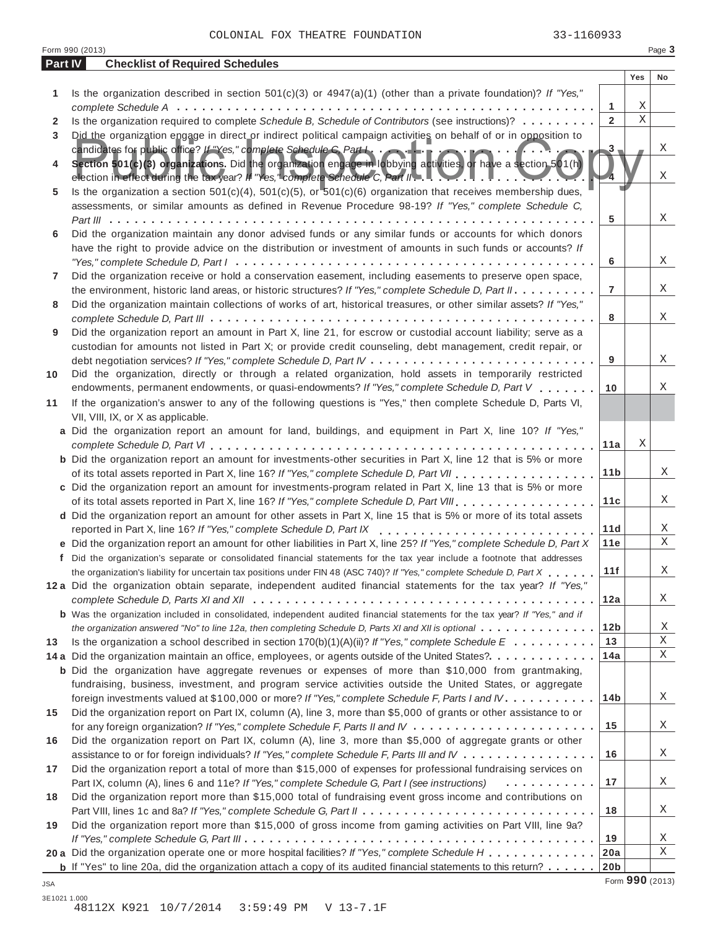|         | Form 990 (2013)                                                                                                                                                                                                                 |                 |             | Page 3          |
|---------|---------------------------------------------------------------------------------------------------------------------------------------------------------------------------------------------------------------------------------|-----------------|-------------|-----------------|
| Part IV | <b>Checklist of Required Schedules</b>                                                                                                                                                                                          |                 |             |                 |
|         |                                                                                                                                                                                                                                 |                 | Yes         | No              |
| 1       | Is the organization described in section $501(c)(3)$ or $4947(a)(1)$ (other than a private foundation)? If "Yes,"                                                                                                               |                 |             |                 |
|         |                                                                                                                                                                                                                                 | 1               | Χ           |                 |
| 2       | Is the organization required to complete Schedule B, Schedule of Contributors (see instructions)?                                                                                                                               | $\overline{2}$  | $\mathbf X$ |                 |
| 3       | Did the organization engage in direct or indirect political campaign activities on behalf of or in opposition to                                                                                                                |                 |             |                 |
|         |                                                                                                                                                                                                                                 | $3 -$           |             | Χ               |
| 4       |                                                                                                                                                                                                                                 |                 |             |                 |
|         | election in effect during the tax year? If "Yes," complete Schedule C, Part I. L. L. L. L. L. L. L. L. L.                                                                                                                       |                 |             | Χ               |
| 5       | Is the organization a section $501(c)(4)$ , $501(c)(5)$ , or $501(c)(6)$ organization that receives membership dues,                                                                                                            |                 |             |                 |
|         | assessments, or similar amounts as defined in Revenue Procedure 98-19? If "Yes," complete Schedule C,                                                                                                                           |                 |             |                 |
|         |                                                                                                                                                                                                                                 | 5               |             | Χ               |
| 6       | Did the organization maintain any donor advised funds or any similar funds or accounts for which donors                                                                                                                         |                 |             |                 |
|         | have the right to provide advice on the distribution or investment of amounts in such funds or accounts? If                                                                                                                     |                 |             |                 |
|         |                                                                                                                                                                                                                                 | 6               |             | Χ               |
| 7       | Did the organization receive or hold a conservation easement, including easements to preserve open space,                                                                                                                       | $\overline{7}$  |             | Χ               |
|         | the environment, historic land areas, or historic structures? If "Yes," complete Schedule D, Part II.                                                                                                                           |                 |             |                 |
| 8       | Did the organization maintain collections of works of art, historical treasures, or other similar assets? If "Yes,"                                                                                                             |                 |             | Χ               |
|         |                                                                                                                                                                                                                                 | 8               |             |                 |
| 9       | Did the organization report an amount in Part X, line 21, for escrow or custodial account liability; serve as a<br>custodian for amounts not listed in Part X; or provide credit counseling, debt management, credit repair, or |                 |             |                 |
|         |                                                                                                                                                                                                                                 | 9               |             | Χ               |
| 10      | Did the organization, directly or through a related organization, hold assets in temporarily restricted                                                                                                                         |                 |             |                 |
|         | endowments, permanent endowments, or quasi-endowments? If "Yes," complete Schedule D, Part V                                                                                                                                    | 10              |             | Χ               |
| 11      | If the organization's answer to any of the following questions is "Yes," then complete Schedule D, Parts VI,                                                                                                                    |                 |             |                 |
|         | VII, VIII, IX, or X as applicable.                                                                                                                                                                                              |                 |             |                 |
|         | a Did the organization report an amount for land, buildings, and equipment in Part X, line 10? If "Yes,"                                                                                                                        |                 |             |                 |
|         |                                                                                                                                                                                                                                 | 11a             | Χ           |                 |
|         | <b>b</b> Did the organization report an amount for investments-other securities in Part X, line 12 that is 5% or more                                                                                                           |                 |             |                 |
|         | of its total assets reported in Part X, line 16? If "Yes," complete Schedule D, Part VII                                                                                                                                        | 11 <sub>b</sub> |             | Χ               |
|         | c Did the organization report an amount for investments-program related in Part X, line 13 that is 5% or more                                                                                                                   |                 |             |                 |
|         | of its total assets reported in Part X, line 16? If "Yes," complete Schedule D, Part VIII                                                                                                                                       | 11c             |             | Χ               |
|         | d Did the organization report an amount for other assets in Part X, line 15 that is 5% or more of its total assets                                                                                                              |                 |             |                 |
|         | reported in Part X, line 16? If "Yes," complete Schedule D, Part IX                                                                                                                                                             | 11d             |             | Χ               |
|         | e Did the organization report an amount for other liabilities in Part X, line 25? If "Yes," complete Schedule D, Part X                                                                                                         | 11e             |             | X               |
|         | f Did the organization's separate or consolidated financial statements for the tax year include a footnote that addresses                                                                                                       |                 |             |                 |
|         | the organization's liability for uncertain tax positions under FIN 48 (ASC 740)? If "Yes," complete Schedule D, Part X                                                                                                          | 11f             |             | Χ               |
|         | 12a Did the organization obtain separate, independent audited financial statements for the tax year? If "Yes,"                                                                                                                  |                 |             |                 |
|         |                                                                                                                                                                                                                                 | 12a             |             | Χ               |
|         | <b>b</b> Was the organization included in consolidated, independent audited financial statements for the tax year? If "Yes," and if                                                                                             |                 |             |                 |
|         | the organization answered "No" to line 12a, then completing Schedule D, Parts XI and XII is optional                                                                                                                            | 12 <sub>b</sub> |             | Χ               |
| 13      | Is the organization a school described in section $170(b)(1)(A)(ii)?$ If "Yes," complete Schedule E                                                                                                                             | 13              |             | Χ               |
|         | 14 a Did the organization maintain an office, employees, or agents outside of the United States?.                                                                                                                               | 14a             |             | X               |
|         | <b>b</b> Did the organization have aggregate revenues or expenses of more than \$10,000 from grantmaking,                                                                                                                       |                 |             |                 |
|         | fundraising, business, investment, and program service activities outside the United States, or aggregate                                                                                                                       |                 |             |                 |
|         | foreign investments valued at \$100,000 or more? If "Yes," complete Schedule F, Parts I and IV                                                                                                                                  | 14 <sub>b</sub> |             | Χ               |
| 15      | Did the organization report on Part IX, column (A), line 3, more than \$5,000 of grants or other assistance to or                                                                                                               |                 |             |                 |
|         |                                                                                                                                                                                                                                 | 15              |             | Χ               |
| 16      | Did the organization report on Part IX, column (A), line 3, more than \$5,000 of aggregate grants or other                                                                                                                      |                 |             |                 |
|         | assistance to or for foreign individuals? If "Yes," complete Schedule F, Parts III and IV                                                                                                                                       | 16              |             | Χ               |
| 17      | Did the organization report a total of more than \$15,000 of expenses for professional fundraising services on                                                                                                                  |                 |             |                 |
|         | Part IX, column (A), lines 6 and 11e? If "Yes," complete Schedule G, Part I (see instructions)<br>.                                                                                                                             | 17              |             | Χ               |
| 18      | Did the organization report more than \$15,000 total of fundraising event gross income and contributions on                                                                                                                     |                 |             |                 |
|         |                                                                                                                                                                                                                                 | 18              |             | Χ               |
| 19      | Did the organization report more than \$15,000 of gross income from gaming activities on Part VIII, line 9a?                                                                                                                    |                 |             |                 |
|         |                                                                                                                                                                                                                                 | 19              |             | Χ               |
|         | 20 a Did the organization operate one or more hospital facilities? If "Yes," complete Schedule H                                                                                                                                | 20a             |             | X               |
|         | <b>b</b> If "Yes" to line 20a, did the organization attach a copy of its audited financial statements to this return?                                                                                                           | 20 <sub>b</sub> |             |                 |
| JSA     |                                                                                                                                                                                                                                 |                 |             | Form 990 (2013) |

3E1021 1.000 48112X K921 10/7/2014 3:59:49 PM V 13-7.1F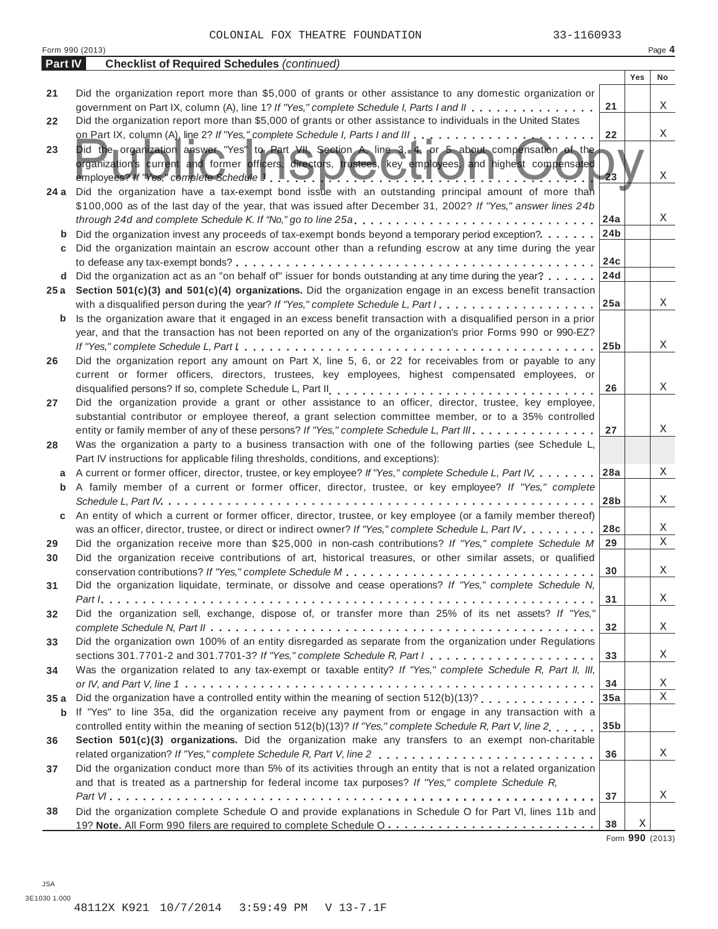|         | Form 990 (2013)                                                                                                                                                                                                                                                                                                                               |                 |     | Page 4 |  |  |  |  |  |
|---------|-----------------------------------------------------------------------------------------------------------------------------------------------------------------------------------------------------------------------------------------------------------------------------------------------------------------------------------------------|-----------------|-----|--------|--|--|--|--|--|
| Part IV | <b>Checklist of Required Schedules (continued)</b>                                                                                                                                                                                                                                                                                            |                 |     |        |  |  |  |  |  |
|         |                                                                                                                                                                                                                                                                                                                                               |                 | Yes | No     |  |  |  |  |  |
| 21      | Did the organization report more than \$5,000 of grants or other assistance to any domestic organization or                                                                                                                                                                                                                                   |                 |     |        |  |  |  |  |  |
|         | government on Part IX, column (A), line 1? If "Yes," complete Schedule I, Parts I and II                                                                                                                                                                                                                                                      | 21              |     | Χ      |  |  |  |  |  |
| 22      | Did the organization report more than \$5,000 of grants or other assistance to individuals in the United States                                                                                                                                                                                                                               |                 |     |        |  |  |  |  |  |
|         |                                                                                                                                                                                                                                                                                                                                               | 22              |     | Χ      |  |  |  |  |  |
| 23      | Did the organization answer "Yes" to Part VII, Section A, line 3, 4, or 5 about compensation of the                                                                                                                                                                                                                                           |                 |     |        |  |  |  |  |  |
|         | organization's current and former officers, directors, trustees, key employees, and highest compensated<br>employees? If "Yes," complete Schedule $J$ . $\blacksquare$ $\blacksquare$ $\blacksquare$ $\blacksquare$ $\blacksquare$ $\blacksquare$ $\blacksquare$ $\blacksquare$ $\blacksquare$ $\blacksquare$<br><u>ranski kalendar (d. 1</u> |                 |     | X      |  |  |  |  |  |
| 24 a    | Did the organization have a tax-exempt bond issue with an outstanding principal amount of more than<br>\$100,000 as of the last day of the year, that was issued after December 31, 2002? If "Yes," answer lines 24b                                                                                                                          |                 |     |        |  |  |  |  |  |
|         | through 24d and complete Schedule K. If "No," go to line 25a                                                                                                                                                                                                                                                                                  | 24a             |     | Χ      |  |  |  |  |  |
| b       | Did the organization invest any proceeds of tax-exempt bonds beyond a temporary period exception?                                                                                                                                                                                                                                             | 24 <sub>b</sub> |     |        |  |  |  |  |  |
| c       | Did the organization maintain an escrow account other than a refunding escrow at any time during the year                                                                                                                                                                                                                                     |                 |     |        |  |  |  |  |  |
|         |                                                                                                                                                                                                                                                                                                                                               | 24c             |     |        |  |  |  |  |  |
| d       | Did the organization act as an "on behalf of" issuer for bonds outstanding at any time during the year?                                                                                                                                                                                                                                       | 24d             |     |        |  |  |  |  |  |
|         | 25a Section 501(c)(3) and 501(c)(4) organizations. Did the organization engage in an excess benefit transaction                                                                                                                                                                                                                               |                 |     |        |  |  |  |  |  |
|         | with a disqualified person during the year? If "Yes," complete Schedule L, Part I.                                                                                                                                                                                                                                                            | 25a             |     | X      |  |  |  |  |  |
| b       | Is the organization aware that it engaged in an excess benefit transaction with a disqualified person in a prior                                                                                                                                                                                                                              |                 |     |        |  |  |  |  |  |
|         | year, and that the transaction has not been reported on any of the organization's prior Forms 990 or 990-EZ?                                                                                                                                                                                                                                  |                 |     |        |  |  |  |  |  |
|         |                                                                                                                                                                                                                                                                                                                                               | 25 <sub>b</sub> |     | Χ      |  |  |  |  |  |
| 26      | Did the organization report any amount on Part X, line 5, 6, or 22 for receivables from or payable to any                                                                                                                                                                                                                                     |                 |     |        |  |  |  |  |  |
|         | current or former officers, directors, trustees, key employees, highest compensated employees, or                                                                                                                                                                                                                                             |                 |     |        |  |  |  |  |  |
|         |                                                                                                                                                                                                                                                                                                                                               | 26              |     | Χ      |  |  |  |  |  |
| 27      | Did the organization provide a grant or other assistance to an officer, director, trustee, key employee,                                                                                                                                                                                                                                      |                 |     |        |  |  |  |  |  |
|         | substantial contributor or employee thereof, a grant selection committee member, or to a 35% controlled                                                                                                                                                                                                                                       |                 |     |        |  |  |  |  |  |
|         | entity or family member of any of these persons? If "Yes," complete Schedule L, Part III.                                                                                                                                                                                                                                                     | 27              |     | Χ      |  |  |  |  |  |
| 28      | Was the organization a party to a business transaction with one of the following parties (see Schedule L,                                                                                                                                                                                                                                     |                 |     |        |  |  |  |  |  |
|         | Part IV instructions for applicable filing thresholds, conditions, and exceptions):                                                                                                                                                                                                                                                           |                 |     |        |  |  |  |  |  |
| a       | A current or former officer, director, trustee, or key employee? If "Yes," complete Schedule L, Part IV                                                                                                                                                                                                                                       | 28a             |     | Χ      |  |  |  |  |  |
| b       | A family member of a current or former officer, director, trustee, or key employee? If "Yes," complete                                                                                                                                                                                                                                        |                 |     |        |  |  |  |  |  |
|         |                                                                                                                                                                                                                                                                                                                                               | 28 <sub>b</sub> |     | Χ      |  |  |  |  |  |
| С       | An entity of which a current or former officer, director, trustee, or key employee (or a family member thereof)                                                                                                                                                                                                                               |                 |     |        |  |  |  |  |  |
|         | was an officer, director, trustee, or direct or indirect owner? If "Yes," complete Schedule L, Part IV.                                                                                                                                                                                                                                       | 28c             |     | Χ      |  |  |  |  |  |
| 29      | Did the organization receive more than \$25,000 in non-cash contributions? If "Yes," complete Schedule M                                                                                                                                                                                                                                      | 29              |     | Χ      |  |  |  |  |  |
| 30      | Did the organization receive contributions of art, historical treasures, or other similar assets, or qualified                                                                                                                                                                                                                                |                 |     |        |  |  |  |  |  |
|         |                                                                                                                                                                                                                                                                                                                                               | $\bf{30}$       |     | Χ      |  |  |  |  |  |
| 31      | Did the organization liquidate, terminate, or dissolve and cease operations? If "Yes," complete Schedule N,                                                                                                                                                                                                                                   |                 |     |        |  |  |  |  |  |
|         |                                                                                                                                                                                                                                                                                                                                               | 31              |     | X      |  |  |  |  |  |
| 32      | Did the organization sell, exchange, dispose of, or transfer more than 25% of its net assets? If "Yes,"                                                                                                                                                                                                                                       |                 |     |        |  |  |  |  |  |
|         |                                                                                                                                                                                                                                                                                                                                               | 32              |     | X      |  |  |  |  |  |
| 33      | Did the organization own 100% of an entity disregarded as separate from the organization under Regulations                                                                                                                                                                                                                                    |                 |     |        |  |  |  |  |  |
|         | sections 301.7701-2 and 301.7701-3? If "Yes," complete Schedule R, Part $l_1, \ldots, l_l, \ldots, l_l, \ldots, l_l, \ldots, l_l$                                                                                                                                                                                                             | 33              |     | X      |  |  |  |  |  |
| 34      | Was the organization related to any tax-exempt or taxable entity? If "Yes," complete Schedule R, Part II, III,                                                                                                                                                                                                                                |                 |     |        |  |  |  |  |  |
|         |                                                                                                                                                                                                                                                                                                                                               | 34              |     | X      |  |  |  |  |  |
| 35a     | Did the organization have a controlled entity within the meaning of section 512(b)(13)?                                                                                                                                                                                                                                                       | 35a             |     | Χ      |  |  |  |  |  |
| b       | If "Yes" to line 35a, did the organization receive any payment from or engage in any transaction with a                                                                                                                                                                                                                                       |                 |     |        |  |  |  |  |  |
|         | controlled entity within the meaning of section 512(b)(13)? If "Yes," complete Schedule R, Part V, line 2                                                                                                                                                                                                                                     | 35 <sub>b</sub> |     |        |  |  |  |  |  |
| 36      | Section 501(c)(3) organizations. Did the organization make any transfers to an exempt non-charitable                                                                                                                                                                                                                                          |                 |     |        |  |  |  |  |  |
|         |                                                                                                                                                                                                                                                                                                                                               | 36              |     | X      |  |  |  |  |  |
| 37      | Did the organization conduct more than 5% of its activities through an entity that is not a related organization                                                                                                                                                                                                                              |                 |     |        |  |  |  |  |  |
|         | and that is treated as a partnership for federal income tax purposes? If "Yes," complete Schedule R,                                                                                                                                                                                                                                          |                 |     |        |  |  |  |  |  |
|         |                                                                                                                                                                                                                                                                                                                                               | 37              |     | X      |  |  |  |  |  |
| 38      | Did the organization complete Schedule O and provide explanations in Schedule O for Part VI, lines 11b and                                                                                                                                                                                                                                    |                 |     |        |  |  |  |  |  |
|         |                                                                                                                                                                                                                                                                                                                                               | 38              | Χ   |        |  |  |  |  |  |

Form **990** (2013)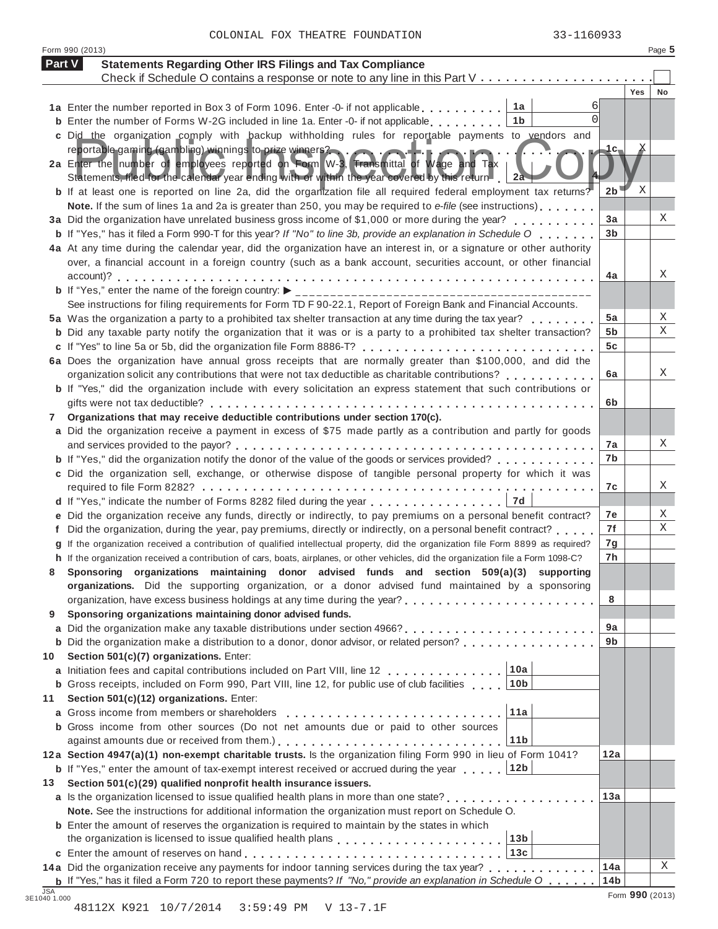|        | Form 990 (2013)                                                                                                                                                                                               |                |            | Page 5 |
|--------|---------------------------------------------------------------------------------------------------------------------------------------------------------------------------------------------------------------|----------------|------------|--------|
| Part V | <b>Statements Regarding Other IRS Filings and Tax Compliance</b>                                                                                                                                              |                |            |        |
|        | Check if Schedule O contains a response or note to any line in this Part V                                                                                                                                    |                |            |        |
|        |                                                                                                                                                                                                               |                | <b>Yes</b> | No     |
|        | 1a Enter the number reported in Box 3 of Form 1096. Enter -0- if not applicable 1a                                                                                                                            |                |            |        |
|        | <b>b</b> Enter the number of Forms W-2G included in line 1a. Enter -0- if not applicable $\ldots$ ,,,,,,<br>1b                                                                                                |                |            |        |
|        | c Did the organization comply with backup withholding rules for reportable payments to vendors and                                                                                                            |                |            |        |
|        | reportable gaming (gambling) winnings to prize winners?<br>2a Enter the number of employees reported on Form W-3, Fransmittal of Wage and Tax                                                                 | 1c-            |            |        |
|        | Statements, filed for the calendar year ending with or within the year covered by this return 2a                                                                                                              |                |            |        |
|        | b If at least one is reported on line 2a, did the organization file all required federal employment tax returns?                                                                                              | 2 <sub>b</sub> | Χ          |        |
|        | Note. If the sum of lines 1a and 2a is greater than 250, you may be required to e-file (see instructions)                                                                                                     |                |            |        |
|        | 3a Did the organization have unrelated business gross income of \$1,000 or more during the year?                                                                                                              | 3a             |            | Χ      |
|        | <b>b</b> If "Yes," has it filed a Form 990-T for this year? If "No" to line 3b, provide an explanation in Schedule O                                                                                          | 3 <sub>b</sub> |            |        |
|        | 4a At any time during the calendar year, did the organization have an interest in, or a signature or other authority                                                                                          |                |            |        |
|        | over, a financial account in a foreign country (such as a bank account, securities account, or other financial                                                                                                |                |            |        |
|        |                                                                                                                                                                                                               | 4a             |            | Χ      |
|        |                                                                                                                                                                                                               |                |            |        |
|        | See instructions for filing requirements for Form TD F 90-22.1, Report of Foreign Bank and Financial Accounts.                                                                                                |                |            |        |
|        | 5a Was the organization a party to a prohibited tax shelter transaction at any time during the tax year?                                                                                                      | 5a             |            | Χ<br>Χ |
|        | <b>b</b> Did any taxable party notify the organization that it was or is a party to a prohibited tax shelter transaction?                                                                                     | 5b<br>5c       |            |        |
|        |                                                                                                                                                                                                               |                |            |        |
|        | 6a Does the organization have annual gross receipts that are normally greater than \$100,000, and did the<br>organization solicit any contributions that were not tax deductible as charitable contributions? | 6a             |            | Χ      |
|        | <b>b</b> If "Yes," did the organization include with every solicitation an express statement that such contributions or                                                                                       |                |            |        |
|        |                                                                                                                                                                                                               | 6b             |            |        |
| 7      | Organizations that may receive deductible contributions under section 170(c).                                                                                                                                 |                |            |        |
|        | a Did the organization receive a payment in excess of \$75 made partly as a contribution and partly for goods                                                                                                 |                |            |        |
|        |                                                                                                                                                                                                               | 7a             |            | Χ      |
|        | <b>b</b> If "Yes," did the organization notify the donor of the value of the goods or services provided?                                                                                                      | 7b             |            |        |
|        | c Did the organization sell, exchange, or otherwise dispose of tangible personal property for which it was                                                                                                    |                |            |        |
|        |                                                                                                                                                                                                               | 7c             |            | Χ      |
|        | 7d<br>d If "Yes," indicate the number of Forms 8282 filed during the year                                                                                                                                     |                |            |        |
|        | e Did the organization receive any funds, directly or indirectly, to pay premiums on a personal benefit contract?                                                                                             | 7e             |            | X      |
|        | f Did the organization, during the year, pay premiums, directly or indirectly, on a personal benefit contract?                                                                                                | 7f             |            | Χ      |
|        | g If the organization received a contribution of qualified intellectual property, did the organization file Form 8899 as required?                                                                            | 7g             |            |        |
|        | h If the organization received a contribution of cars, boats, airplanes, or other vehicles, did the organization file a Form 1098-C?                                                                          | 7h             |            |        |
|        | Sponsoring organizations maintaining donor advised funds and section 509(a)(3) supporting                                                                                                                     |                |            |        |
|        | organizations. Did the supporting organization, or a donor advised fund maintained by a sponsoring                                                                                                            |                |            |        |
|        |                                                                                                                                                                                                               | 8              |            |        |
| 9      | Sponsoring organizations maintaining donor advised funds.                                                                                                                                                     |                |            |        |
|        |                                                                                                                                                                                                               | 9a             |            |        |
|        | <b>b</b> Did the organization make a distribution to a donor, donor advisor, or related person?                                                                                                               | 9 <sub>b</sub> |            |        |
| 10     | Section 501(c)(7) organizations. Enter:                                                                                                                                                                       |                |            |        |
|        | 10a<br>a Initiation fees and capital contributions included on Part VIII, line 12<br>10 <sub>b</sub>                                                                                                          |                |            |        |
|        | <b>b</b> Gross receipts, included on Form 990, Part VIII, line 12, for public use of club facilities                                                                                                          |                |            |        |
| 11     | Section 501(c)(12) organizations. Enter:<br>11a<br>a Gross income from members or shareholders                                                                                                                |                |            |        |
|        | <b>b</b> Gross income from other sources (Do not net amounts due or paid to other sources                                                                                                                     |                |            |        |
|        | 11 <sub>b</sub>                                                                                                                                                                                               |                |            |        |
|        | 12a Section 4947(a)(1) non-exempt charitable trusts. Is the organization filing Form 990 in lieu of Form 1041?                                                                                                | 12a            |            |        |
|        | 12b<br><b>b</b> If "Yes," enter the amount of tax-exempt interest received or accrued during the year                                                                                                         |                |            |        |
| 13     | Section 501(c)(29) qualified nonprofit health insurance issuers.                                                                                                                                              |                |            |        |
|        | a Is the organization licensed to issue qualified health plans in more than one state?                                                                                                                        | 13a            |            |        |
|        | Note. See the instructions for additional information the organization must report on Schedule O.                                                                                                             |                |            |        |
|        | <b>b</b> Enter the amount of reserves the organization is required to maintain by the states in which                                                                                                         |                |            |        |
|        | the organization is licensed to issue qualified health plans<br>13 <sub>b</sub>                                                                                                                               |                |            |        |
|        | 13c                                                                                                                                                                                                           |                |            |        |
|        | 14a Did the organization receive any payments for indoor tanning services during the tax year?                                                                                                                | 14a            |            | Χ      |
|        | <b>b</b> If "Yes," has it filed a Form 720 to report these payments? If "No," provide an explanation in Schedule O $\ldots \ldots$                                                                            | 14b            |            |        |

48112X K921 10/7/2014 3:59:49 PM V 13-7.1F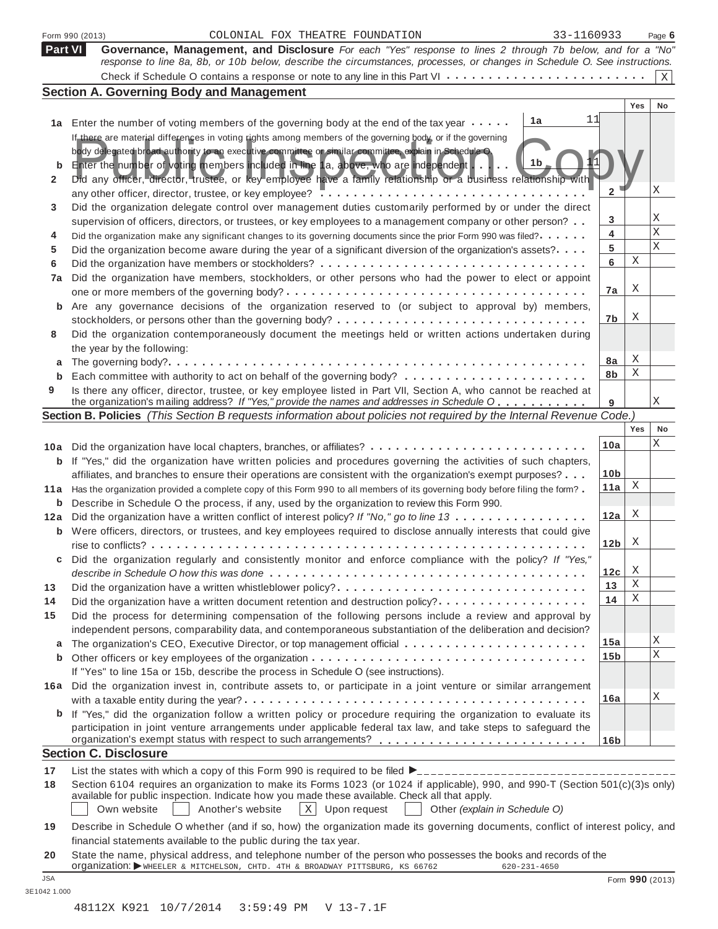|                | 33-1160933<br>COLONIAL FOX THEATRE FOUNDATION<br>Form 990 (2013)                                                                                                                                                     |                 |     | Page 6          |  |  |
|----------------|----------------------------------------------------------------------------------------------------------------------------------------------------------------------------------------------------------------------|-----------------|-----|-----------------|--|--|
| <b>Part VI</b> | Governance, Management, and Disclosure For each "Yes" response to lines 2 through 7b below, and for a "No"                                                                                                           |                 |     |                 |  |  |
|                | response to line 8a, 8b, or 10b below, describe the circumstances, processes, or changes in Schedule O. See instructions.                                                                                            |                 |     |                 |  |  |
|                |                                                                                                                                                                                                                      |                 |     | X               |  |  |
|                | <b>Section A. Governing Body and Management</b>                                                                                                                                                                      |                 | Yes | No              |  |  |
|                | 11<br>1a                                                                                                                                                                                                             |                 |     |                 |  |  |
| 1a             | Enter the number of voting members of the governing body at the end of the tax year                                                                                                                                  |                 |     |                 |  |  |
|                | If there are material differences in voting rights among members of the governing body, or if the governing<br>body delegated broad authority to an executive committee or similar committee, explain in Schedule O. |                 |     |                 |  |  |
| b              | 1b<br>Enter the number of voting members included in line 1a, above, who are independent $\ldots \ldots$                                                                                                             |                 |     |                 |  |  |
| 2              | Did any officer, director, trustee, or key employee have a family relationship or a business relationship with                                                                                                       |                 |     |                 |  |  |
|                |                                                                                                                                                                                                                      | $\mathbf{2}$    |     | Χ               |  |  |
| 3              | Did the organization delegate control over management duties customarily performed by or under the direct                                                                                                            |                 |     |                 |  |  |
|                | supervision of officers, directors, or trustees, or key employees to a management company or other person?                                                                                                           | 3               |     | Χ               |  |  |
| 4              | Did the organization make any significant changes to its governing documents since the prior Form 990 was filed?                                                                                                     | 4               |     | X               |  |  |
| 5              | Did the organization become aware during the year of a significant diversion of the organization's assets?                                                                                                           | 5               |     | Χ               |  |  |
| 6              |                                                                                                                                                                                                                      | 6               | Χ   |                 |  |  |
| 7a             | Did the organization have members, stockholders, or other persons who had the power to elect or appoint                                                                                                              |                 |     |                 |  |  |
|                | one or more members of the governing body? $\dots \dots \dots \dots \dots \dots \dots \dots \dots \dots \dots \dots \dots \dots \dots$                                                                               | 7a              | Χ   |                 |  |  |
|                | Are any governance decisions of the organization reserved to (or subject to approval by) members,                                                                                                                    |                 |     |                 |  |  |
|                |                                                                                                                                                                                                                      | 7b              | Χ   |                 |  |  |
| 8              | Did the organization contemporaneously document the meetings held or written actions undertaken during                                                                                                               |                 |     |                 |  |  |
|                | the year by the following:                                                                                                                                                                                           |                 |     |                 |  |  |
| a              |                                                                                                                                                                                                                      | 8a              | Χ   |                 |  |  |
| b              |                                                                                                                                                                                                                      | 8b              | Χ   |                 |  |  |
| 9              | Is there any officer, director, trustee, or key employee listed in Part VII, Section A, who cannot be reached at                                                                                                     |                 |     |                 |  |  |
|                | the organization's mailing address? If "Yes," provide the names and addresses in Schedule O<br>Section B. Policies (This Section B requests information about policies not required by the Internal Revenue Code.)   | 9               |     | Χ               |  |  |
|                |                                                                                                                                                                                                                      |                 | Yes | No              |  |  |
|                | 10a Did the organization have local chapters, branches, or affiliates?                                                                                                                                               | 10a             |     | Χ               |  |  |
| b              | If "Yes," did the organization have written policies and procedures governing the activities of such chapters,                                                                                                       |                 |     |                 |  |  |
|                | affiliates, and branches to ensure their operations are consistent with the organization's exempt purposes?                                                                                                          | 10 <sub>b</sub> |     |                 |  |  |
| 11 a           | Has the organization provided a complete copy of this Form 990 to all members of its governing body before filing the form?                                                                                          | 11a             | Χ   |                 |  |  |
| b              | Describe in Schedule O the process, if any, used by the organization to review this Form 990.                                                                                                                        |                 |     |                 |  |  |
| 12a            | Did the organization have a written conflict of interest policy? If "No," go to line 13                                                                                                                              | 12a             | Χ   |                 |  |  |
|                | <b>b</b> Were officers, directors, or trustees, and key employees required to disclose annually interests that could give                                                                                            |                 |     |                 |  |  |
|                |                                                                                                                                                                                                                      | 12 <sub>b</sub> | Χ   |                 |  |  |
|                | Did the organization regularly and consistently monitor and enforce compliance with the policy? If "Yes,                                                                                                             |                 |     |                 |  |  |
|                |                                                                                                                                                                                                                      | 12c             | Χ   |                 |  |  |
| 13             | Did the organization have a written whistleblower policy?                                                                                                                                                            | 13              | Χ   |                 |  |  |
| 14             | Did the organization have a written document retention and destruction policy?                                                                                                                                       | 14              | Χ   |                 |  |  |
| 15             | Did the process for determining compensation of the following persons include a review and approval by                                                                                                               |                 |     |                 |  |  |
|                | independent persons, comparability data, and contemporaneous substantiation of the deliberation and decision?                                                                                                        |                 |     |                 |  |  |
| a              |                                                                                                                                                                                                                      | 15a             |     | Χ               |  |  |
| b              |                                                                                                                                                                                                                      | 15 <sub>b</sub> |     | Χ               |  |  |
|                | If "Yes" to line 15a or 15b, describe the process in Schedule O (see instructions).                                                                                                                                  |                 |     |                 |  |  |
|                | 16a Did the organization invest in, contribute assets to, or participate in a joint venture or similar arrangement                                                                                                   |                 |     | Χ               |  |  |
|                |                                                                                                                                                                                                                      | 16a             |     |                 |  |  |
|                | <b>b</b> If "Yes," did the organization follow a written policy or procedure requiring the organization to evaluate its                                                                                              |                 |     |                 |  |  |
|                | participation in joint venture arrangements under applicable federal tax law, and take steps to safeguard the                                                                                                        | 16 <sub>b</sub> |     |                 |  |  |
|                | <b>Section C. Disclosure</b>                                                                                                                                                                                         |                 |     |                 |  |  |
| 17             |                                                                                                                                                                                                                      |                 |     |                 |  |  |
| 18             | Section 6104 requires an organization to make its Forms 1023 (or 1024 if applicable), 990, and 990-T (Section 501(c)(3)s only)                                                                                       |                 |     |                 |  |  |
|                | available for public inspection. Indicate how you made these available. Check all that apply.                                                                                                                        |                 |     |                 |  |  |
|                | Another's website<br>$X$ Upon request<br>Own website<br>Other (explain in Schedule O)                                                                                                                                |                 |     |                 |  |  |
| 19             | Describe in Schedule O whether (and if so, how) the organization made its governing documents, conflict of interest policy, and                                                                                      |                 |     |                 |  |  |
|                | financial statements available to the public during the tax year.                                                                                                                                                    |                 |     |                 |  |  |
| 20             | State the name, physical address, and telephone number of the person who possesses the books and records of the                                                                                                      |                 |     |                 |  |  |
|                | organization: WHEELER & MITCHELSON, CHTD. 4TH & BROADWAY PITTSBURG, KS 66762<br>$620 - 231 - 4650$                                                                                                                   |                 |     |                 |  |  |
| <b>JSA</b>     |                                                                                                                                                                                                                      |                 |     | Form 990 (2013) |  |  |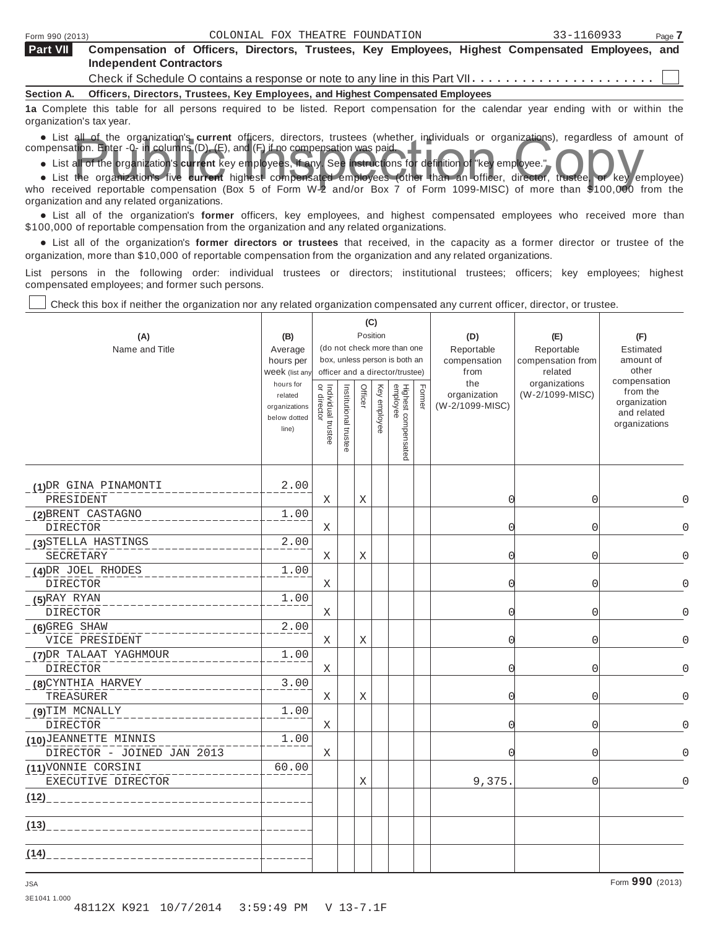⊤

| Part VII          | Compensation of Officers, Directors, Trustees, Key Employees, Highest Compensated Employees, and |  |  |  |  |  |  |  |  |  |  |  |  |
|-------------------|--------------------------------------------------------------------------------------------------|--|--|--|--|--|--|--|--|--|--|--|--|
|                   | <b>Independent Contractors</b>                                                                   |  |  |  |  |  |  |  |  |  |  |  |  |
|                   |                                                                                                  |  |  |  |  |  |  |  |  |  |  |  |  |
| <b>Section A.</b> | Officers, Directors, Trustees, Key Employees, and Highest Compensated Employees                  |  |  |  |  |  |  |  |  |  |  |  |  |
|                   |                                                                                                  |  |  |  |  |  |  |  |  |  |  |  |  |

**1a** Complete this table for all persons required to be listed. Report compensation for the calendar year ending with or within the organization's tax year.

organization's tax year.<br>
• List all of the organization's current officers, directors, trustees (whether individuals or organizations), regardless of amount of<br>
compensation. Enter -0- in columns (D), (E), and (F) if no c

npensation. Enter -0- in columns (D), (E), and (F) if no compensation was paid.<br>• List all of the organization's **current** key employees, if any. See instructions for definition of "key employee."

**•** List all of the organization's current key employees, if any. See instructions for definition of "key employee."<br>• List the organization's five current highest compensated employees (other than an officer, director, tr who received reportable compensation (Box 5 of Form W-2 and/or Box 7 of Form 1099-MISC) of more than \$100,000 from the organization and any related organizations.

anization and any related organizations.<br>• List all of the organization's **former** officers, key employees, and highest compensated employees who received more than \$100,000 of reportable compensation from the organization and any related organizations.

00,000 of reportable compensation from the organization and any related organizations.<br>● List all of the organization's **former directors or trustees** that received, in the capacity as a former director or trustee of the organization, more than \$10,000 of reportable compensation from the organization and any related organizations.

List persons in the following order: individual trustees or directors; institutional trustees; officers; key employees; highest compensated employees; and former such persons.

Т

Т

Check this box if neither the organization nor any related organization compensated any current officer, director, or trustee.

 $\top$ 

| (A)<br>Name and Title                               | (B)<br>Average<br>hours per<br>Week (list any<br>hours for<br>related<br>organizations<br>below dotted<br>line) | Individual trustee<br>or director | Institutional trustee | Officer | (C)<br>Position<br>Key employee | (do not check more than one<br>box, unless person is both an<br>officer and a director/trustee)<br>Highest compensated<br>employee | Former | (D)<br>Reportable<br>compensation<br>from<br>the<br>organization<br>(W-2/1099-MISC) | (E)<br>Reportable<br>compensation from<br>related<br>organizations<br>(W-2/1099-MISC) | (F)<br>Estimated<br>amount of<br>other<br>compensation<br>from the<br>organization<br>and related<br>organizations |
|-----------------------------------------------------|-----------------------------------------------------------------------------------------------------------------|-----------------------------------|-----------------------|---------|---------------------------------|------------------------------------------------------------------------------------------------------------------------------------|--------|-------------------------------------------------------------------------------------|---------------------------------------------------------------------------------------|--------------------------------------------------------------------------------------------------------------------|
| (1) DR GINA PINAMONTI<br>PRESIDENT                  | 2.00                                                                                                            | Χ                                 |                       | Χ       |                                 |                                                                                                                                    |        | $\Omega$                                                                            | 0                                                                                     | $\Omega$                                                                                                           |
| (2) BRENT CASTAGNO<br><b>DIRECTOR</b>               | 1.00                                                                                                            | X                                 |                       |         |                                 |                                                                                                                                    |        | $\Omega$                                                                            | $\overline{0}$                                                                        | $\Omega$                                                                                                           |
| (3) STELLA HASTINGS<br>SECRETARY                    | 2.00                                                                                                            | Χ                                 |                       | Χ       |                                 |                                                                                                                                    |        | $\Omega$                                                                            | $\overline{0}$                                                                        | $\Omega$                                                                                                           |
| (4) DR JOEL RHODES<br><b>DIRECTOR</b>               | 1.00                                                                                                            | X                                 |                       |         |                                 |                                                                                                                                    |        | $\Omega$                                                                            | 0                                                                                     | $\Omega$                                                                                                           |
| $(5)$ RAY RYAN<br>DIRECTOR                          | 1.00                                                                                                            | Χ                                 |                       |         |                                 |                                                                                                                                    |        | $\Omega$                                                                            | 0                                                                                     | $\Omega$                                                                                                           |
| $(6)$ GREG SHAW<br>VICE PRESIDENT                   | 2.00                                                                                                            | Χ                                 |                       | Χ       |                                 |                                                                                                                                    |        | $\Omega$                                                                            | 0                                                                                     | $\Omega$                                                                                                           |
| (7) DR TALAAT YAGHMOUR<br><b>DIRECTOR</b>           | 1.00                                                                                                            | Χ                                 |                       |         |                                 |                                                                                                                                    |        | $\Omega$                                                                            | $\mathbf 0$                                                                           | $\cap$                                                                                                             |
| (8) CYNTHIA HARVEY<br>TREASURER                     | 3.00                                                                                                            | Χ                                 |                       | Χ       |                                 |                                                                                                                                    |        | $\Omega$                                                                            | $\overline{0}$                                                                        | O                                                                                                                  |
| (9) TIM MCNALLY<br><b>DIRECTOR</b>                  | 1.00                                                                                                            | Χ                                 |                       |         |                                 |                                                                                                                                    |        | $\Omega$                                                                            | 0                                                                                     |                                                                                                                    |
| (10) JEANNETTE MINNIS<br>DIRECTOR - JOINED JAN 2013 | 1.00                                                                                                            | Χ                                 |                       |         |                                 |                                                                                                                                    |        | $\Omega$                                                                            | $\overline{0}$                                                                        | ∩                                                                                                                  |
| (11) VONNIE CORSINI<br>EXECUTIVE DIRECTOR           | 60.00                                                                                                           |                                   |                       | X       |                                 |                                                                                                                                    |        | 9,375.                                                                              | $\overline{0}$                                                                        | $\Omega$                                                                                                           |
| (12)                                                |                                                                                                                 |                                   |                       |         |                                 |                                                                                                                                    |        |                                                                                     |                                                                                       |                                                                                                                    |
| (13)                                                |                                                                                                                 |                                   |                       |         |                                 |                                                                                                                                    |        |                                                                                     |                                                                                       |                                                                                                                    |
| (14)                                                |                                                                                                                 |                                   |                       |         |                                 |                                                                                                                                    |        |                                                                                     |                                                                                       |                                                                                                                    |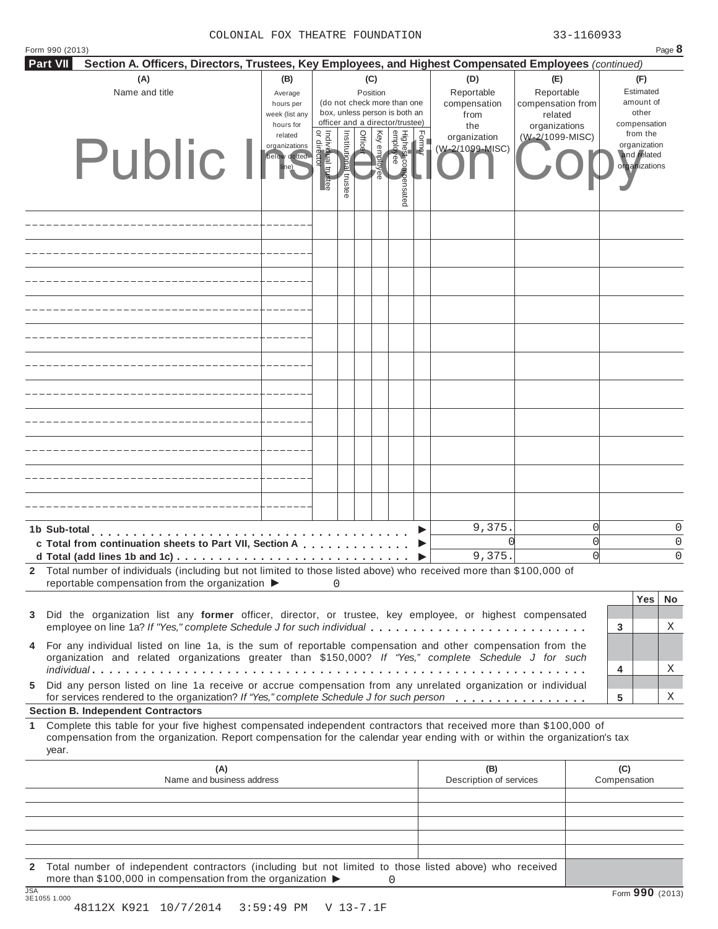| Form 990 (2013)                                                                                                                                                                                                |                      |                                  |              |                 |              |                                 |              |                                 |                                  |          |                              | Page 8    |
|----------------------------------------------------------------------------------------------------------------------------------------------------------------------------------------------------------------|----------------------|----------------------------------|--------------|-----------------|--------------|---------------------------------|--------------|---------------------------------|----------------------------------|----------|------------------------------|-----------|
| <b>Part VII</b><br>Section A. Officers, Directors, Trustees, Key Employees, and Highest Compensated Employees (continued)                                                                                      |                      |                                  |              |                 |              |                                 |              |                                 |                                  |          |                              |           |
| (A)<br>Name and title                                                                                                                                                                                          | (B)                  |                                  |              | (C)<br>Position |              |                                 |              | (D)<br>Reportable               | (E)<br>Reportable                |          | (F)<br>Estimated             |           |
|                                                                                                                                                                                                                | Average<br>hours per |                                  |              |                 |              | (do not check more than one     |              | compensation                    | compensation from                |          | amount of                    |           |
|                                                                                                                                                                                                                | week (list any       |                                  |              |                 |              | box, unless person is both an   |              | from                            | related                          |          | other                        |           |
|                                                                                                                                                                                                                | hours for<br>related |                                  |              |                 |              | officer and a director/trustee) |              | the                             | organizations<br>(W-2/1099-MISC) |          | compensation<br>from the     |           |
|                                                                                                                                                                                                                | organizations        | or directo<br>Individual trustee | Institutiona | Office          | Key employee | Highei                          | <b>Horme</b> | organization<br>(W-2/1099-MISC) |                                  |          | organization                 |           |
| Public                                                                                                                                                                                                         | below dotted         |                                  |              |                 |              |                                 |              |                                 |                                  |          | and related<br>organizations |           |
|                                                                                                                                                                                                                |                      |                                  |              |                 |              |                                 |              |                                 |                                  |          |                              |           |
|                                                                                                                                                                                                                |                      |                                  | trustee      |                 |              | st compensated<br>/ee<br>/ee    |              |                                 |                                  |          |                              |           |
|                                                                                                                                                                                                                |                      |                                  |              |                 |              |                                 |              |                                 |                                  |          |                              |           |
|                                                                                                                                                                                                                |                      |                                  |              |                 |              |                                 |              |                                 |                                  |          |                              |           |
|                                                                                                                                                                                                                |                      |                                  |              |                 |              |                                 |              |                                 |                                  |          |                              |           |
|                                                                                                                                                                                                                |                      |                                  |              |                 |              |                                 |              |                                 |                                  |          |                              |           |
|                                                                                                                                                                                                                |                      |                                  |              |                 |              |                                 |              |                                 |                                  |          |                              |           |
|                                                                                                                                                                                                                |                      |                                  |              |                 |              |                                 |              |                                 |                                  |          |                              |           |
|                                                                                                                                                                                                                |                      |                                  |              |                 |              |                                 |              |                                 |                                  |          |                              |           |
|                                                                                                                                                                                                                |                      |                                  |              |                 |              |                                 |              |                                 |                                  |          |                              |           |
|                                                                                                                                                                                                                |                      |                                  |              |                 |              |                                 |              |                                 |                                  |          |                              |           |
|                                                                                                                                                                                                                |                      |                                  |              |                 |              |                                 |              |                                 |                                  |          |                              |           |
|                                                                                                                                                                                                                |                      |                                  |              |                 |              |                                 |              |                                 |                                  |          |                              |           |
|                                                                                                                                                                                                                |                      |                                  |              |                 |              |                                 |              |                                 |                                  |          |                              |           |
|                                                                                                                                                                                                                |                      |                                  |              |                 |              |                                 |              |                                 |                                  |          |                              |           |
|                                                                                                                                                                                                                |                      |                                  |              |                 |              |                                 |              |                                 |                                  |          |                              |           |
|                                                                                                                                                                                                                |                      |                                  |              |                 |              |                                 |              |                                 |                                  |          |                              |           |
|                                                                                                                                                                                                                |                      |                                  |              |                 |              |                                 |              |                                 |                                  |          |                              |           |
|                                                                                                                                                                                                                |                      |                                  |              |                 |              |                                 |              |                                 |                                  |          |                              |           |
|                                                                                                                                                                                                                |                      |                                  |              |                 |              |                                 |              |                                 |                                  |          |                              |           |
|                                                                                                                                                                                                                |                      |                                  |              |                 |              |                                 |              |                                 |                                  |          |                              |           |
|                                                                                                                                                                                                                |                      |                                  |              |                 |              |                                 |              |                                 |                                  |          |                              |           |
|                                                                                                                                                                                                                |                      |                                  |              |                 |              |                                 |              |                                 |                                  |          |                              |           |
| 1b Sub-total                                                                                                                                                                                                   |                      |                                  |              |                 |              |                                 |              | 9,375.                          |                                  | 0        |                              | $\Omega$  |
| c Total from continuation sheets to Part VII, Section A                                                                                                                                                        |                      |                                  |              |                 |              |                                 |              |                                 |                                  | $\Omega$ |                              | $\Omega$  |
| d Total (add lines 1b and 1c) $\ldots$                                                                                                                                                                         |                      |                                  |              |                 |              |                                 |              | 9,375                           |                                  | $\Omega$ |                              | $\Omega$  |
| Total number of individuals (including but not limited to those listed above) who received more than \$100,000 of<br>2                                                                                         |                      |                                  |              |                 |              |                                 |              |                                 |                                  |          |                              |           |
| reportable compensation from the organization $\blacktriangleright$                                                                                                                                            |                      | 0                                |              |                 |              |                                 |              |                                 |                                  |          |                              |           |
|                                                                                                                                                                                                                |                      |                                  |              |                 |              |                                 |              |                                 |                                  |          | Yes                          | <b>No</b> |
| Did the organization list any former officer, director, or trustee, key employee, or highest compensated<br>3                                                                                                  |                      |                                  |              |                 |              |                                 |              |                                 |                                  |          |                              |           |
| employee on line 1a? If "Yes," complete Schedule J for such individual                                                                                                                                         |                      |                                  |              |                 |              |                                 |              |                                 |                                  |          | 3                            | Χ         |
| For any individual listed on line 1a, is the sum of reportable compensation and other compensation from the<br>4                                                                                               |                      |                                  |              |                 |              |                                 |              |                                 |                                  |          |                              |           |
| organization and related organizations greater than \$150,000? If "Yes," complete Schedule J for such                                                                                                          |                      |                                  |              |                 |              |                                 |              |                                 |                                  |          |                              |           |
|                                                                                                                                                                                                                |                      |                                  |              |                 |              |                                 |              |                                 |                                  |          | 4                            | Χ         |
| Did any person listed on line 1a receive or accrue compensation from any unrelated organization or individual<br>5<br>for services rendered to the organization? If "Yes," complete Schedule J for such person |                      |                                  |              |                 |              |                                 |              |                                 |                                  |          | 5                            | Χ         |
| <b>Section B. Independent Contractors</b>                                                                                                                                                                      |                      |                                  |              |                 |              |                                 |              |                                 |                                  |          |                              |           |
| Complete this table for your five highest compensated independent contractors that received more than \$100,000 of<br>1.                                                                                       |                      |                                  |              |                 |              |                                 |              |                                 |                                  |          |                              |           |
| compensation from the organization. Report compensation for the calendar year ending with or within the organization's tax<br>year.                                                                            |                      |                                  |              |                 |              |                                 |              |                                 |                                  |          |                              |           |
| (A)                                                                                                                                                                                                            |                      |                                  |              |                 |              |                                 |              | (B)                             |                                  |          | (C)                          |           |
| Name and business address<br>Description of services<br>Compensation                                                                                                                                           |                      |                                  |              |                 |              |                                 |              |                                 |                                  |          |                              |           |
|                                                                                                                                                                                                                |                      |                                  |              |                 |              |                                 |              |                                 |                                  |          |                              |           |
|                                                                                                                                                                                                                |                      |                                  |              |                 |              |                                 |              |                                 |                                  |          |                              |           |
|                                                                                                                                                                                                                |                      |                                  |              |                 |              |                                 |              |                                 |                                  |          |                              |           |
|                                                                                                                                                                                                                |                      |                                  |              |                 |              |                                 |              |                                 |                                  |          |                              |           |
| 2 Total number of independent contractors (including but not limited to those listed above) who received                                                                                                       |                      |                                  |              |                 |              |                                 |              |                                 |                                  |          |                              |           |

**2** Total number of independent contractors (including but not limited to those listed above) who received<br>more than \$100,000 in compensation from the organization ▶ 0<br>3E1055 1.000 Form **990** (2013) 0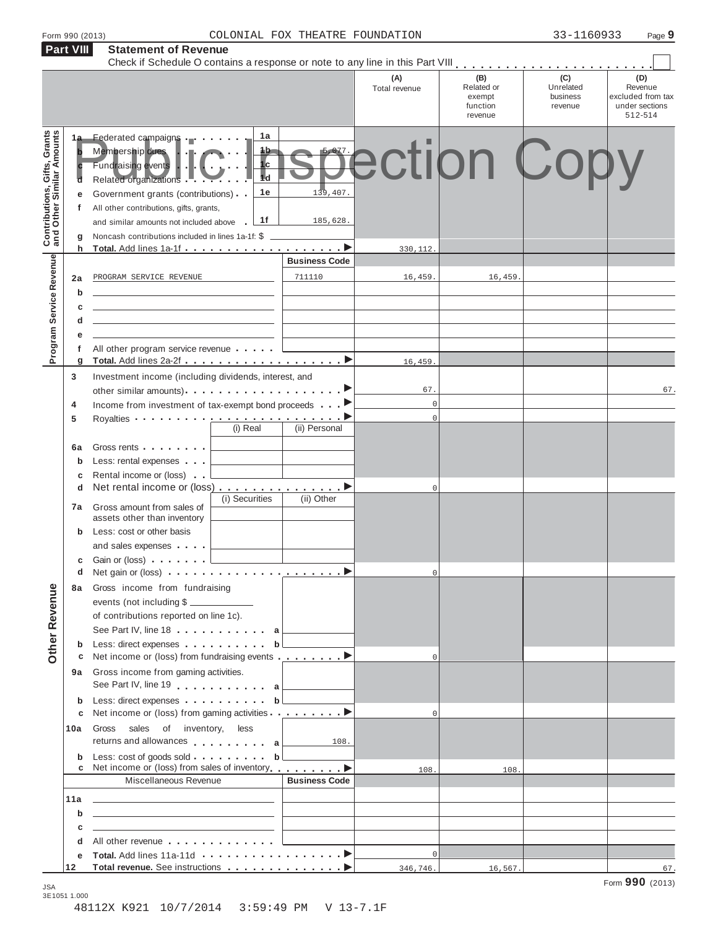| Form 990 (2013) |  |
|-----------------|--|
|-----------------|--|

|                                                           | Part VIII         | <b>Statement of Revenue</b>                                                                                                                                                                                                                                                                                                        |                                   |                      |                                                    |                                         |                                                                  |
|-----------------------------------------------------------|-------------------|------------------------------------------------------------------------------------------------------------------------------------------------------------------------------------------------------------------------------------------------------------------------------------------------------------------------------------|-----------------------------------|----------------------|----------------------------------------------------|-----------------------------------------|------------------------------------------------------------------|
|                                                           |                   |                                                                                                                                                                                                                                                                                                                                    |                                   | (A)<br>Total revenue | (B)<br>Related or<br>exempt<br>function<br>revenue | (C)<br>Unrelated<br>business<br>revenue | (D)<br>Revenue<br>excluded from tax<br>under sections<br>512-514 |
| Contributions, Gifts, Grants<br>and Other Similar Amounts | 1a<br>е<br>f<br>g | 1a<br>Federated campaigns<br>1b.<br>Membership dues<br>1c<br>Fundraising events<br>$\overline{\mathbf{H}}$ d<br>Related organizations .<br>1e<br>Government grants (contributions)<br>All other contributions, gifts, grants,<br>1f<br>and similar amounts not included above<br>Noncash contributions included in lines 1a-1f: \$ | 139,407.<br>185,628.              |                      | pection Copy                                       |                                         |                                                                  |
|                                                           | h                 |                                                                                                                                                                                                                                                                                                                                    | <b>Business Code</b>              | 330,112.             |                                                    |                                         |                                                                  |
| Program Service Revenue                                   |                   |                                                                                                                                                                                                                                                                                                                                    |                                   |                      |                                                    |                                         |                                                                  |
|                                                           | 2a                | PROGRAM SERVICE REVENUE                                                                                                                                                                                                                                                                                                            | 711110                            | 16,459.              | 16,459.                                            |                                         |                                                                  |
|                                                           | b                 |                                                                                                                                                                                                                                                                                                                                    |                                   |                      |                                                    |                                         |                                                                  |
|                                                           | c                 | the control of the control of the control of the control of the control of                                                                                                                                                                                                                                                         |                                   |                      |                                                    |                                         |                                                                  |
|                                                           | d                 |                                                                                                                                                                                                                                                                                                                                    |                                   |                      |                                                    |                                         |                                                                  |
|                                                           | е                 |                                                                                                                                                                                                                                                                                                                                    |                                   |                      |                                                    |                                         |                                                                  |
|                                                           | f                 | All other program service revenue                                                                                                                                                                                                                                                                                                  |                                   |                      |                                                    |                                         |                                                                  |
|                                                           | g                 |                                                                                                                                                                                                                                                                                                                                    |                                   | 16,459               |                                                    |                                         |                                                                  |
|                                                           | 3                 | Investment income (including dividends, interest, and                                                                                                                                                                                                                                                                              |                                   |                      |                                                    |                                         |                                                                  |
|                                                           |                   |                                                                                                                                                                                                                                                                                                                                    |                                   | 67.                  |                                                    |                                         | 67.                                                              |
|                                                           | 4                 | Income from investment of tax-exempt bond proceeds                                                                                                                                                                                                                                                                                 |                                   | $\mathbb O$          |                                                    |                                         |                                                                  |
|                                                           | 5                 | Royalties $\cdots$ $\cdots$ $\cdots$ $\cdots$ $\cdots$ $\cdots$ $\cdots$ $\cdots$ $\cdots$                                                                                                                                                                                                                                         |                                   | $\mathbf 0$          |                                                    |                                         |                                                                  |
|                                                           |                   | (i) Real                                                                                                                                                                                                                                                                                                                           | (ii) Personal                     |                      |                                                    |                                         |                                                                  |
|                                                           |                   | Gross rents                                                                                                                                                                                                                                                                                                                        |                                   |                      |                                                    |                                         |                                                                  |
|                                                           | 6a                |                                                                                                                                                                                                                                                                                                                                    |                                   |                      |                                                    |                                         |                                                                  |
|                                                           | b                 | Less: rental expenses                                                                                                                                                                                                                                                                                                              |                                   |                      |                                                    |                                         |                                                                  |
|                                                           | c                 | Rental income or (loss)                                                                                                                                                                                                                                                                                                            |                                   |                      |                                                    |                                         |                                                                  |
|                                                           | d                 | Net rental income or (loss) ▶<br>(i) Securities                                                                                                                                                                                                                                                                                    | (ii) Other                        | $\mathbf 0$          |                                                    |                                         |                                                                  |
|                                                           | 7а                | Gross amount from sales of                                                                                                                                                                                                                                                                                                         |                                   |                      |                                                    |                                         |                                                                  |
|                                                           |                   | assets other than inventory                                                                                                                                                                                                                                                                                                        |                                   |                      |                                                    |                                         |                                                                  |
|                                                           | b                 | Less: cost or other basis                                                                                                                                                                                                                                                                                                          |                                   |                      |                                                    |                                         |                                                                  |
|                                                           |                   | and sales expenses                                                                                                                                                                                                                                                                                                                 |                                   |                      |                                                    |                                         |                                                                  |
|                                                           | c                 | Gain or (loss) <b>.</b> . L                                                                                                                                                                                                                                                                                                        |                                   |                      |                                                    |                                         |                                                                  |
|                                                           |                   |                                                                                                                                                                                                                                                                                                                                    |                                   | 0                    |                                                    |                                         |                                                                  |
|                                                           | 8а                | Gross income from fundraising                                                                                                                                                                                                                                                                                                      |                                   |                      |                                                    |                                         |                                                                  |
|                                                           |                   | events (not including \$                                                                                                                                                                                                                                                                                                           |                                   |                      |                                                    |                                         |                                                                  |
|                                                           |                   | of contributions reported on line 1c).                                                                                                                                                                                                                                                                                             |                                   |                      |                                                    |                                         |                                                                  |
|                                                           |                   | See Part IV, line 18 a                                                                                                                                                                                                                                                                                                             |                                   |                      |                                                    |                                         |                                                                  |
|                                                           |                   | Less: direct expenses b                                                                                                                                                                                                                                                                                                            |                                   |                      |                                                    |                                         |                                                                  |
| <b>Other Revenue</b>                                      | b<br>c            | Net income or (loss) from fundraising events <b></b> ▶                                                                                                                                                                                                                                                                             |                                   | $\mathbf 0$          |                                                    |                                         |                                                                  |
|                                                           |                   | Gross income from gaming activities.                                                                                                                                                                                                                                                                                               |                                   |                      |                                                    |                                         |                                                                  |
|                                                           | 9а                |                                                                                                                                                                                                                                                                                                                                    |                                   |                      |                                                    |                                         |                                                                  |
|                                                           |                   | See Part IV, line 19 a                                                                                                                                                                                                                                                                                                             | and the control of the control of |                      |                                                    |                                         |                                                                  |
|                                                           | b                 | Less: direct expenses b                                                                                                                                                                                                                                                                                                            |                                   |                      |                                                    |                                         |                                                                  |
|                                                           | c                 | Net income or (loss) from gaming activities ▶                                                                                                                                                                                                                                                                                      |                                   | $\mathbf 0$          |                                                    |                                         |                                                                  |
|                                                           | 10a               | Gross<br>sales of inventory,<br>less                                                                                                                                                                                                                                                                                               |                                   |                      |                                                    |                                         |                                                                  |
|                                                           |                   | returns and allowances $\ldots \ldots \ldots$ a                                                                                                                                                                                                                                                                                    | 108.                              |                      |                                                    |                                         |                                                                  |
|                                                           | b                 | Less: $cost$ of goods sold $\ldots$ , $\ldots$ , $\mathbf{b}$                                                                                                                                                                                                                                                                      |                                   |                      |                                                    |                                         |                                                                  |
|                                                           | с                 | Net income or (loss) from sales of inventory. ▶                                                                                                                                                                                                                                                                                    |                                   | 108.                 | 108.                                               |                                         |                                                                  |
|                                                           |                   | Miscellaneous Revenue                                                                                                                                                                                                                                                                                                              | <b>Business Code</b>              |                      |                                                    |                                         |                                                                  |
|                                                           | 11a               | <u> 1989 - Johann Harry Barn, mars and de Barn, mars and de Barn, mars and de Barn, mars and de Barn, mars and de</u>                                                                                                                                                                                                              |                                   |                      |                                                    |                                         |                                                                  |
|                                                           | b                 | <u> 1989 - Johann Harry Harry Harry Harry Harry Harry Harry Harry Harry Harry Harry Harry Harry Harry Harry Harry</u>                                                                                                                                                                                                              |                                   |                      |                                                    |                                         |                                                                  |
|                                                           | с                 | <u> 1989 - Johann Harry Harry Harry Harry Harry Harry Harry Harry Harry Harry Harry Harry Harry Harry Harry Harry</u>                                                                                                                                                                                                              |                                   |                      |                                                    |                                         |                                                                  |
|                                                           | d                 | All other revenue                                                                                                                                                                                                                                                                                                                  |                                   |                      |                                                    |                                         |                                                                  |
|                                                           | е                 |                                                                                                                                                                                                                                                                                                                                    |                                   | $\mathbf 0$          |                                                    |                                         |                                                                  |
|                                                           | 12                |                                                                                                                                                                                                                                                                                                                                    |                                   | 346,746.             | 16,567.                                            |                                         | 67.                                                              |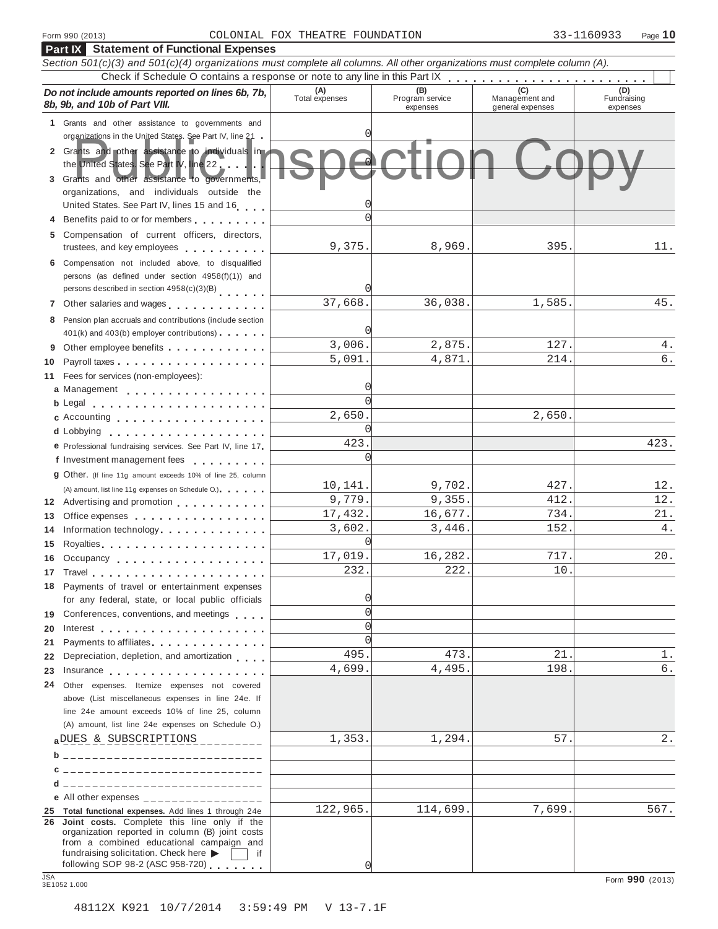**Part IX Statement of Functional Expenses**

## Form 990 (2013) Page **10** COLONIAL FOX THEATRE FOUNDATION 33-1160933

|            | Section 501(c)(3) and 501(c)(4) organizations must complete all columns. All other organizations must complete column (A).                                                                                                     |                       |                                    |                                           |                                |  |  |  |  |
|------------|--------------------------------------------------------------------------------------------------------------------------------------------------------------------------------------------------------------------------------|-----------------------|------------------------------------|-------------------------------------------|--------------------------------|--|--|--|--|
|            |                                                                                                                                                                                                                                |                       |                                    |                                           |                                |  |  |  |  |
|            | Do not include amounts reported on lines 6b, 7b,<br>8b, 9b, and 10b of Part VIII.                                                                                                                                              | (A)<br>Total expenses | (B)<br>Program service<br>expenses | (C)<br>Management and<br>general expenses | (D)<br>Fundraising<br>expenses |  |  |  |  |
|            | 1 Grants and other assistance to governments and                                                                                                                                                                               |                       |                                    |                                           |                                |  |  |  |  |
|            | organizations in the United States. See Part IV, line 21 -                                                                                                                                                                     |                       |                                    |                                           |                                |  |  |  |  |
|            | 2 Grants and other assistance to individuals in<br>the United States. See Part IV, line 22<br>3 Grants and other assistance to governments,                                                                                    |                       |                                    |                                           |                                |  |  |  |  |
|            | organizations, and individuals outside the                                                                                                                                                                                     |                       |                                    |                                           |                                |  |  |  |  |
|            | United States. See Part IV, lines 15 and 16                                                                                                                                                                                    |                       |                                    |                                           |                                |  |  |  |  |
|            | Benefits paid to or for members                                                                                                                                                                                                |                       |                                    |                                           |                                |  |  |  |  |
| 5          | Compensation of current officers, directors,                                                                                                                                                                                   |                       |                                    |                                           |                                |  |  |  |  |
|            | trustees, and key employees                                                                                                                                                                                                    | 9,375.                | 8,969.                             | 395                                       | 11.                            |  |  |  |  |
|            | 6 Compensation not included above, to disqualified                                                                                                                                                                             |                       |                                    |                                           |                                |  |  |  |  |
|            | persons (as defined under section 4958(f)(1)) and                                                                                                                                                                              |                       |                                    |                                           |                                |  |  |  |  |
|            | persons described in section 4958(c)(3)(B)                                                                                                                                                                                     |                       |                                    |                                           |                                |  |  |  |  |
|            | 7 Other salaries and wages                                                                                                                                                                                                     | 37,668.               | 36,038.                            | 1,585.                                    | 45.                            |  |  |  |  |
| 8          | Pension plan accruals and contributions (include section                                                                                                                                                                       |                       |                                    |                                           |                                |  |  |  |  |
|            | 401(k) and 403(b) employer contributions)                                                                                                                                                                                      |                       |                                    |                                           |                                |  |  |  |  |
|            | Other employee benefits                                                                                                                                                                                                        | 3,006.                | 2,875.                             | 127.                                      | 4.                             |  |  |  |  |
| 10         |                                                                                                                                                                                                                                | 5,091.                | 4,871.                             | 214.                                      | б.                             |  |  |  |  |
| 11         | Fees for services (non-employees):                                                                                                                                                                                             |                       |                                    |                                           |                                |  |  |  |  |
|            | a Management                                                                                                                                                                                                                   |                       |                                    |                                           |                                |  |  |  |  |
|            |                                                                                                                                                                                                                                | $\Omega$              |                                    |                                           |                                |  |  |  |  |
|            | c Accounting                                                                                                                                                                                                                   | 2,650.                |                                    | 2,650.                                    |                                |  |  |  |  |
|            |                                                                                                                                                                                                                                | O                     |                                    |                                           |                                |  |  |  |  |
|            | e Professional fundraising services. See Part IV, line 17                                                                                                                                                                      | 423.                  |                                    |                                           | 423.                           |  |  |  |  |
|            | f Investment management fees                                                                                                                                                                                                   | 0                     |                                    |                                           |                                |  |  |  |  |
|            |                                                                                                                                                                                                                                |                       |                                    |                                           |                                |  |  |  |  |
|            | 9 Other. (If line 11g amount exceeds 10% of line 25, column                                                                                                                                                                    | 10,141.               | 9,702.                             | 427.                                      | 12.                            |  |  |  |  |
|            | (A) amount, list line 11g expenses on Schedule O.).<br>12 Advertising and promotion                                                                                                                                            | 9,779.                | 9,355.                             | 412                                       | 12.                            |  |  |  |  |
| 13         | Office expenses example and the set of the set of the set of the set of the set of the set of the set of the set of the set of the set of the set of the set of the set of the set of the set of the set of the set of the set | 17,432.               | 16,677.                            | 734.                                      | 21.                            |  |  |  |  |
| 14         | Information technology.                                                                                                                                                                                                        | 3,602.                | 3,446.                             | 152                                       | 4.                             |  |  |  |  |
| 15         |                                                                                                                                                                                                                                | 0                     |                                    |                                           |                                |  |  |  |  |
| 16         | Occupancy $\ldots$ , $\ldots$ , $\ldots$ , $\ldots$ , $\ldots$                                                                                                                                                                 | 17,019.               | 16,282.                            | 717.                                      | 20.                            |  |  |  |  |
|            |                                                                                                                                                                                                                                | 232.                  | 222.                               | 10                                        |                                |  |  |  |  |
|            | 18 Payments of travel or entertainment expenses<br>for any federal, state, or local public officials                                                                                                                           | 0                     |                                    |                                           |                                |  |  |  |  |
|            | 19 Conferences, conventions, and meetings                                                                                                                                                                                      | 0                     |                                    |                                           |                                |  |  |  |  |
| 20         |                                                                                                                                                                                                                                | 0                     |                                    |                                           |                                |  |  |  |  |
| 21         | Payments to affiliates <b>All Contains a Container and Taylor</b>                                                                                                                                                              | C                     |                                    |                                           |                                |  |  |  |  |
| 22         | Depreciation, depletion, and amortization                                                                                                                                                                                      | 495.                  | 473.                               | 21                                        | 1.                             |  |  |  |  |
| 23         |                                                                                                                                                                                                                                | 4,699.                | 4,495.                             | 198                                       | б.                             |  |  |  |  |
| 24         | Other expenses. Itemize expenses not covered                                                                                                                                                                                   |                       |                                    |                                           |                                |  |  |  |  |
|            | above (List miscellaneous expenses in line 24e. If                                                                                                                                                                             |                       |                                    |                                           |                                |  |  |  |  |
|            | line 24e amount exceeds 10% of line 25, column                                                                                                                                                                                 |                       |                                    |                                           |                                |  |  |  |  |
|            | (A) amount, list line 24e expenses on Schedule O.)                                                                                                                                                                             |                       |                                    |                                           |                                |  |  |  |  |
|            | a DUES & SUBSCRIPTIONS                                                                                                                                                                                                         | 1,353.                | 1,294.                             | 57.                                       | $2$ .                          |  |  |  |  |
|            | b ______________________________                                                                                                                                                                                               |                       |                                    |                                           |                                |  |  |  |  |
|            | _______________________________                                                                                                                                                                                                |                       |                                    |                                           |                                |  |  |  |  |
|            | d ______________________________                                                                                                                                                                                               |                       |                                    |                                           |                                |  |  |  |  |
|            | e All other expenses $\frac{1}{1}$                                                                                                                                                                                             |                       |                                    |                                           |                                |  |  |  |  |
|            | 25 Total functional expenses. Add lines 1 through 24e                                                                                                                                                                          | 122,965.              | 114,699.                           | 7,699.                                    | 567.                           |  |  |  |  |
|            | 26 Joint costs. Complete this line only if the<br>organization reported in column (B) joint costs<br>from a combined educational campaign and<br>fundraising solicitation. Check here<br>if                                    |                       |                                    |                                           |                                |  |  |  |  |
|            | following SOP 98-2 (ASC 958-720)                                                                                                                                                                                               | 0                     |                                    |                                           |                                |  |  |  |  |
| <b>JSA</b> | 3E1052 1.000                                                                                                                                                                                                                   |                       |                                    |                                           | Form 990 (2013)                |  |  |  |  |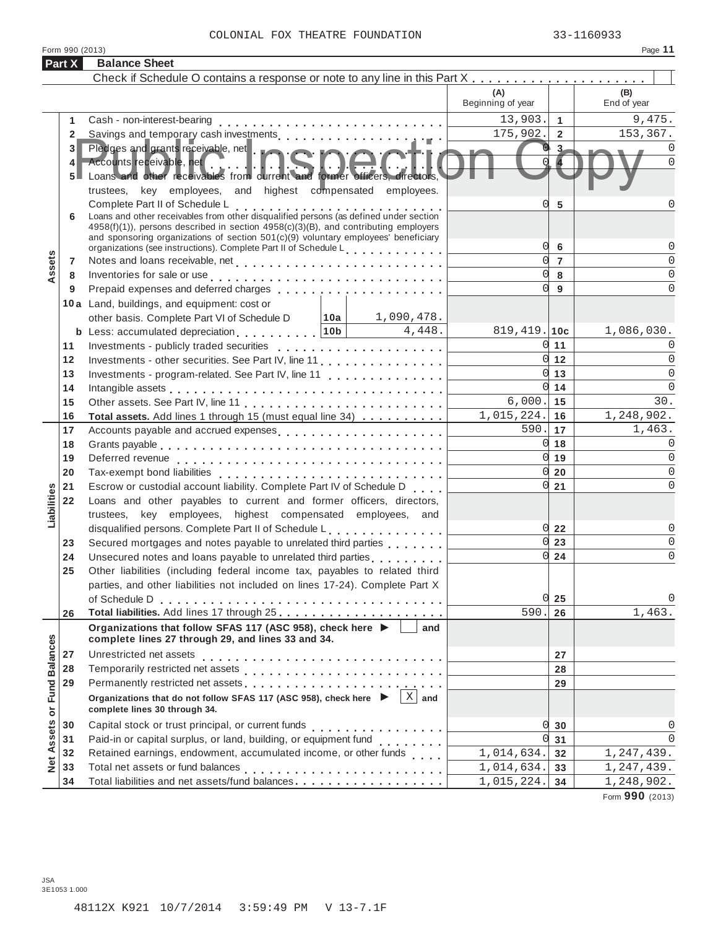|--|--|

|                      | Form 990 (2013)                         |                                                                                                                                                                                                                                                                                                                                                                                                                  |              |                       |                            |                | Page 11                           |
|----------------------|-----------------------------------------|------------------------------------------------------------------------------------------------------------------------------------------------------------------------------------------------------------------------------------------------------------------------------------------------------------------------------------------------------------------------------------------------------------------|--------------|-----------------------|----------------------------|----------------|-----------------------------------|
|                      | Part X                                  | <b>Balance Sheet</b>                                                                                                                                                                                                                                                                                                                                                                                             |              |                       |                            |                |                                   |
|                      |                                         |                                                                                                                                                                                                                                                                                                                                                                                                                  |              |                       |                            |                |                                   |
|                      |                                         |                                                                                                                                                                                                                                                                                                                                                                                                                  |              |                       | (A)<br>Beginning of year   |                | (B)<br>End of year                |
|                      | 1.                                      | Cash - non-interest-bearing                                                                                                                                                                                                                                                                                                                                                                                      |              |                       | 13,903.                    | $\overline{1}$ | 9,475.                            |
|                      | $\overline{2}$                          |                                                                                                                                                                                                                                                                                                                                                                                                                  |              |                       | 175,902.                   | $\overline{2}$ | 153,367.                          |
|                      | 3 <sup>1</sup><br>4<br>$5 \blacksquare$ | Pledges and grants receivable, net<br>Accounts receivable, net<br>Accounts receivable, net <b>Accounts</b> receivable, net <b>Accounts</b> received.<br>Loans and other receivables from current and former officers, directors,                                                                                                                                                                                 |              | $3 -$                 | 0<br>$\Omega$              |                |                                   |
|                      |                                         | trustees, key employees, and highest compensated employees.                                                                                                                                                                                                                                                                                                                                                      |              |                       | Ω                          |                | $\Omega$                          |
|                      | 6                                       | Complete Part II of Schedule L<br>Loans and other receivables from other disqualified persons (as defined under section<br>4958(f)(1)), persons described in section 4958(c)(3)(B), and contributing employers<br>and sponsoring organizations of section $501(c)(9)$ voluntary employees' beneficiary<br>organizations (see instructions). Complete Part II of Schedule Learning and all the state in the state |              |                       | 0l                         | 5<br>6         | 0                                 |
| Assets               | 7                                       |                                                                                                                                                                                                                                                                                                                                                                                                                  |              |                       | $\Omega$                   | $\overline{7}$ | $\Omega$                          |
|                      | 8                                       | Inventories for sale or use enterpreteral and the contract of the contract of the contract of the contract of the contract of the contract of the contract of the contract of the contract of the contract of the contract of                                                                                                                                                                                    |              |                       | $\Omega$                   | 8              | $\Omega$                          |
|                      | 9                                       | Prepaid expenses and deferred charges                                                                                                                                                                                                                                                                                                                                                                            |              |                       | $\Omega$                   | 9              | $\Omega$                          |
|                      |                                         | 10a Land, buildings, and equipment: cost or                                                                                                                                                                                                                                                                                                                                                                      |              |                       |                            |                |                                   |
|                      |                                         | other basis. Complete Part VI of Schedule D                                                                                                                                                                                                                                                                                                                                                                      |              | $10a$ 1,090,478.      |                            |                |                                   |
|                      |                                         | <b>b</b> Less: accumulated depreciation $\ldots$ , $\ldots$ , $\vert$ 10b                                                                                                                                                                                                                                                                                                                                        |              | 4,448.                | $819, 419.$ 10c            |                | 1,086,030.                        |
|                      | 11                                      |                                                                                                                                                                                                                                                                                                                                                                                                                  |              |                       | 0                          | 11             | 0                                 |
|                      | 12                                      | Investments - other securities. See Part IV, line 11                                                                                                                                                                                                                                                                                                                                                             |              |                       | <sub>0</sub>               | 12             | $\Omega$                          |
|                      | 13                                      | Investments - program-related. See Part IV, line 11                                                                                                                                                                                                                                                                                                                                                              | <sub>0</sub> | 13                    | $\Omega$                   |                |                                   |
|                      | 14                                      |                                                                                                                                                                                                                                                                                                                                                                                                                  | <sub>0</sub> | 14                    | $\Omega$                   |                |                                   |
|                      | 15                                      |                                                                                                                                                                                                                                                                                                                                                                                                                  |              |                       | 6,000.<br>1,015,224.       | 15             | 30.                               |
|                      | 16<br>17                                | Total assets. Add lines 1 through 15 (must equal line 34)                                                                                                                                                                                                                                                                                                                                                        |              |                       | 590.                       | 16<br>17       | 1,248,902.<br>1,463.              |
|                      | 18                                      |                                                                                                                                                                                                                                                                                                                                                                                                                  |              | 0                     | 18                         | $\mathbf 0$    |                                   |
|                      | 19                                      |                                                                                                                                                                                                                                                                                                                                                                                                                  |              |                       | 0                          | 19             | $\overline{0}$                    |
|                      | 20                                      |                                                                                                                                                                                                                                                                                                                                                                                                                  |              |                       | 0                          | 20             | $\Omega$                          |
|                      | 21                                      | Escrow or custodial account liability. Complete Part IV of Schedule D.                                                                                                                                                                                                                                                                                                                                           |              |                       | 0                          | 21             | $\Omega$                          |
|                      | 22                                      | Loans and other payables to current and former officers, directors,                                                                                                                                                                                                                                                                                                                                              |              |                       |                            |                |                                   |
| Liabilities          |                                         | trustees, key employees, highest compensated employees, and                                                                                                                                                                                                                                                                                                                                                      |              |                       |                            |                |                                   |
|                      |                                         | disqualified persons. Complete Part II of Schedule L.                                                                                                                                                                                                                                                                                                                                                            |              |                       | 0l                         | 22             | 0                                 |
|                      | 23                                      | Secured mortgages and notes payable to unrelated third parties                                                                                                                                                                                                                                                                                                                                                   |              |                       | O                          | 23             | $\Omega$                          |
|                      | 24                                      | Unsecured notes and loans payable to unrelated third parties [1, 1, 1, 1, 1, 1]                                                                                                                                                                                                                                                                                                                                  |              |                       | 0l                         | 24             | $\Omega$                          |
|                      | 25                                      | Other liabilities (including federal income tax, payables to related third                                                                                                                                                                                                                                                                                                                                       |              |                       |                            |                |                                   |
|                      |                                         | parties, and other liabilities not included on lines 17-24). Complete Part X                                                                                                                                                                                                                                                                                                                                     |              |                       |                            |                |                                   |
|                      |                                         |                                                                                                                                                                                                                                                                                                                                                                                                                  |              |                       | 0l                         | 25             | 0                                 |
|                      | 26                                      |                                                                                                                                                                                                                                                                                                                                                                                                                  |              |                       | 590.                       | 26             | 1,463.                            |
|                      |                                         | Organizations that follow SFAS 117 (ASC 958), check here ▶<br>complete lines 27 through 29, and lines 33 and 34.                                                                                                                                                                                                                                                                                                 |              | and                   |                            |                |                                   |
|                      | 27                                      |                                                                                                                                                                                                                                                                                                                                                                                                                  |              |                       |                            | 27             |                                   |
|                      | 28                                      |                                                                                                                                                                                                                                                                                                                                                                                                                  |              |                       |                            | 28             |                                   |
| <b>Fund Balances</b> | 29                                      |                                                                                                                                                                                                                                                                                                                                                                                                                  |              |                       |                            | 29             |                                   |
|                      |                                         | Organizations that do not follow SFAS 117 (ASC 958), check here<br>complete lines 30 through 34.                                                                                                                                                                                                                                                                                                                 |              | $\vert$ X $\vert$ and |                            |                |                                   |
|                      | 30                                      |                                                                                                                                                                                                                                                                                                                                                                                                                  |              |                       | 0                          | 30             | 0                                 |
| Assets or            | 31                                      | Paid-in or capital surplus, or land, building, or equipment fund<br>                                                                                                                                                                                                                                                                                                                                             |              |                       | U                          | 31             | $\Omega$                          |
|                      | 32                                      | Retained earnings, endowment, accumulated income, or other funds                                                                                                                                                                                                                                                                                                                                                 |              |                       | $\overline{1}$ , 014, 634. | 32             | 1,247,439.                        |
| Net                  | 33                                      |                                                                                                                                                                                                                                                                                                                                                                                                                  |              |                       | 1,014,634.                 | 33             | 1,247,439.                        |
|                      | 34                                      | Total liabilities and net assets/fund balances                                                                                                                                                                                                                                                                                                                                                                   |              |                       | 1,015,224.                 | 34             | 1,248,902.<br>$000 \text{ years}$ |

Form **990** (2013)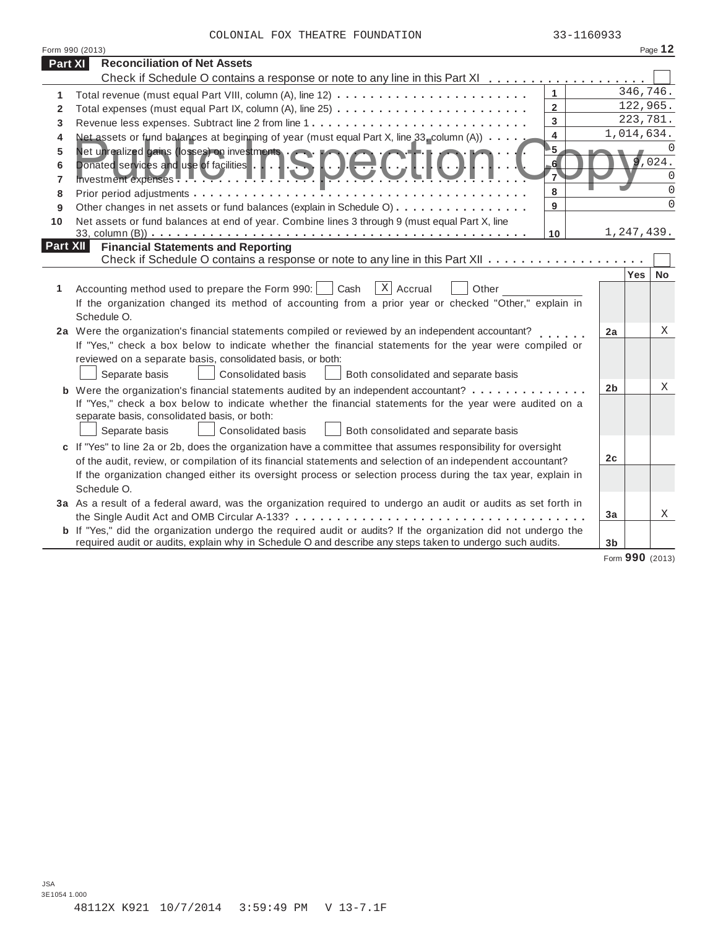| COLONIAL FOX THEATRE FOUNDATION |  | 33-1160933 |
|---------------------------------|--|------------|

|                 | Form 990 (2013)                                                                                                       |                            |                 | Page 12      |
|-----------------|-----------------------------------------------------------------------------------------------------------------------|----------------------------|-----------------|--------------|
| <b>Part XI</b>  | <b>Reconciliation of Net Assets</b>                                                                                   |                            |                 |              |
|                 |                                                                                                                       |                            |                 |              |
| 1               |                                                                                                                       | $\mathbf{1}$               | 346,746.        |              |
| $\mathbf{2}$    |                                                                                                                       | $\overline{2}$             | 122,965.        |              |
| 3               |                                                                                                                       | 3                          |                 | 223,781.     |
| 4               | Net assets or fund balances at beginning of year (must equal Part X, line 33_column (A))                              | $\overline{4}$             | 1,014,634.      |              |
| 5               | Net assets of the screen on investments CIOC                                                                          | $\overline{\phantom{1}}$ 5 |                 | <sup>0</sup> |
| 6               | Donated services and use of facilities                                                                                | 6 <sup>1</sup>             |                 | ,024.        |
| 7               | Investment expenses <b>Party 1999</b>                                                                                 | 7                          |                 | $\Omega$     |
| 8               |                                                                                                                       | 8                          |                 | $\Omega$     |
| 9               | Other changes in net assets or fund balances (explain in Schedule O)                                                  | 9                          |                 | $\Omega$     |
| 10              | Net assets or fund balances at end of year. Combine lines 3 through 9 (must equal Part X, line                        |                            |                 |              |
|                 |                                                                                                                       | 10                         | 1,247,439.      |              |
| <b>Part XII</b> | <b>Financial Statements and Reporting</b>                                                                             |                            |                 |              |
|                 |                                                                                                                       |                            | <b>Yes</b>      | <b>No</b>    |
| 1               | $X$ Accrual<br>Cash<br>Accounting method used to prepare the Form 990:  <br>Other                                     |                            |                 |              |
|                 | If the organization changed its method of accounting from a prior year or checked "Other," explain in                 |                            |                 |              |
|                 | Schedule O.                                                                                                           |                            |                 |              |
|                 | 2a Were the organization's financial statements compiled or reviewed by an independent accountant?                    |                            | 2a              | X            |
|                 | If "Yes," check a box below to indicate whether the financial statements for the year were compiled or                |                            |                 |              |
|                 | reviewed on a separate basis, consolidated basis, or both:                                                            |                            |                 |              |
|                 | Consolidated basis<br>Separate basis<br>Both consolidated and separate basis                                          |                            |                 |              |
|                 | <b>b</b> Were the organization's financial statements audited by an independent accountant?                           |                            | 2 <sub>b</sub>  | X            |
|                 | If "Yes," check a box below to indicate whether the financial statements for the year were audited on a               |                            |                 |              |
|                 | separate basis, consolidated basis, or both:                                                                          |                            |                 |              |
|                 | Both consolidated and separate basis<br>Separate basis<br>Consolidated basis                                          |                            |                 |              |
|                 | c If "Yes" to line 2a or 2b, does the organization have a committee that assumes responsibility for oversight         |                            |                 |              |
|                 | of the audit, review, or compilation of its financial statements and selection of an independent accountant?          |                            | 2 <sub>c</sub>  |              |
|                 | If the organization changed either its oversight process or selection process during the tax year, explain in         |                            |                 |              |
|                 | Schedule O.                                                                                                           |                            |                 |              |
|                 | 3a As a result of a federal award, was the organization required to undergo an audit or audits as set forth in        |                            |                 |              |
|                 | the Single Audit Act and OMB Circular A-133? $\dots$ ,                                                                |                            | 3a              | Χ            |
|                 | <b>b</b> If "Yes," did the organization undergo the required audit or audits? If the organization did not undergo the |                            |                 |              |
|                 | required audit or audits, explain why in Schedule O and describe any steps taken to undergo such audits.              |                            | 3 <sub>b</sub>  |              |
|                 |                                                                                                                       |                            | Form 990 (2013) |              |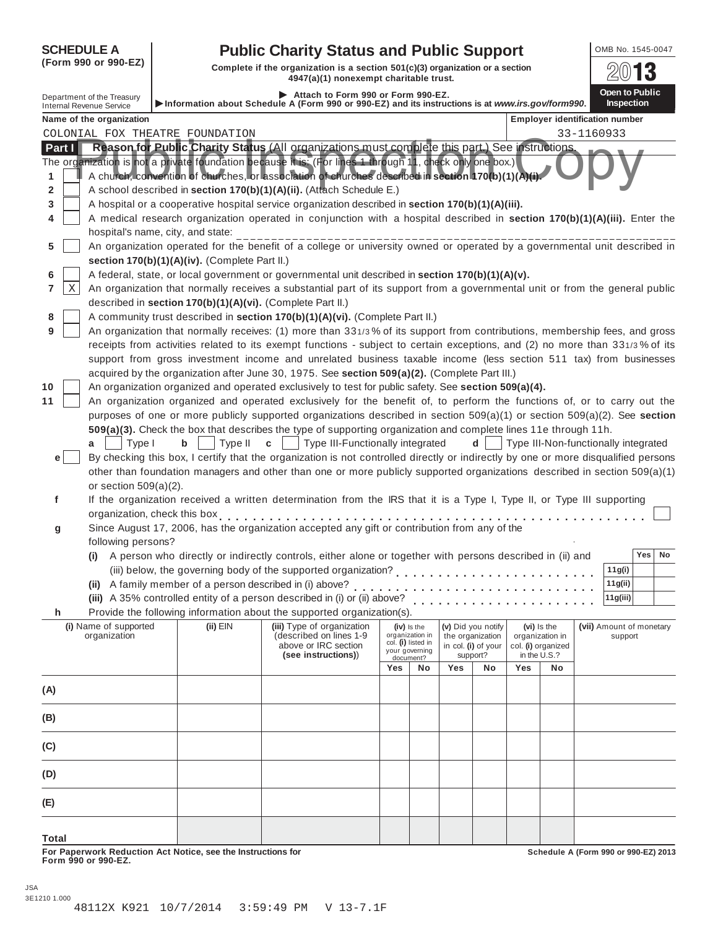| <b>SCHEDULE A</b> |
|-------------------|
|-------------------|

# **SCHEDULE A Public Charity Status and Public Support** OMB No. 1545-0047

**(Form 990 or 990-EZ)**<br>Complete if the organization is a section 501(c)(3) organization or a section<br>4947(a)(1) nonexempt charitable trust.

|                |                                                               |                                                            | 4947(a)(1) nonexempt charitable trust.                                                                                                                                                                                                                                                                             |                                       |                             |     |                                 |                 |                                    |                                       | <b>LU UNIT</b>                       |
|----------------|---------------------------------------------------------------|------------------------------------------------------------|--------------------------------------------------------------------------------------------------------------------------------------------------------------------------------------------------------------------------------------------------------------------------------------------------------------------|---------------------------------------|-----------------------------|-----|---------------------------------|-----------------|------------------------------------|---------------------------------------|--------------------------------------|
|                | Department of the Treasury<br><b>Internal Revenue Service</b> |                                                            | Attach to Form 990 or Form 990-EZ.<br>Information about Schedule A (Form 990 or 990-EZ) and its instructions is at www.irs.gov/form990.                                                                                                                                                                            |                                       |                             |     |                                 |                 |                                    |                                       | Open to Public<br><b>Inspection</b>  |
|                | Name of the organization                                      |                                                            |                                                                                                                                                                                                                                                                                                                    |                                       |                             |     |                                 |                 |                                    | <b>Employer identification number</b> |                                      |
|                |                                                               | COLONIAL FOX THEATRE FOUNDATION                            |                                                                                                                                                                                                                                                                                                                    |                                       |                             |     |                                 |                 |                                    | 33-1160933                            |                                      |
| Part I<br>1    |                                                               |                                                            | Reason for Public Charity Status (All organizations must complete this part.) See instructions.<br>The organization is not a private foundation because it is: (For lines 1 through 11, check only one box.)<br>A church, convention of churches, or association of churches described in section 170(b)(1)(A)(i). |                                       |                             |     |                                 |                 |                                    |                                       |                                      |
| 2              |                                                               |                                                            | A school described in section 170(b)(1)(A)(ii). (Attach Schedule E.)                                                                                                                                                                                                                                               |                                       |                             |     |                                 |                 |                                    |                                       |                                      |
| 3              |                                                               |                                                            | A hospital or a cooperative hospital service organization described in section 170(b)(1)(A)(iii).                                                                                                                                                                                                                  |                                       |                             |     |                                 |                 |                                    |                                       |                                      |
| 4              |                                                               |                                                            | A medical research organization operated in conjunction with a hospital described in section 170(b)(1)(A)(iii). Enter the                                                                                                                                                                                          |                                       |                             |     |                                 |                 |                                    |                                       |                                      |
|                | hospital's name, city, and state:                             |                                                            |                                                                                                                                                                                                                                                                                                                    |                                       |                             |     |                                 |                 |                                    |                                       |                                      |
| 5              |                                                               | section 170(b)(1)(A)(iv). (Complete Part II.)              | An organization operated for the benefit of a college or university owned or operated by a governmental unit described in                                                                                                                                                                                          |                                       |                             |     |                                 |                 |                                    |                                       |                                      |
| 6              |                                                               |                                                            | A federal, state, or local government or governmental unit described in section 170(b)(1)(A)(v).                                                                                                                                                                                                                   |                                       |                             |     |                                 |                 |                                    |                                       |                                      |
| Χ<br>7         |                                                               | described in section 170(b)(1)(A)(vi). (Complete Part II.) | An organization that normally receives a substantial part of its support from a governmental unit or from the general public                                                                                                                                                                                       |                                       |                             |     |                                 |                 |                                    |                                       |                                      |
| 8              |                                                               |                                                            | A community trust described in section 170(b)(1)(A)(vi). (Complete Part II.)                                                                                                                                                                                                                                       |                                       |                             |     |                                 |                 |                                    |                                       |                                      |
| 9              |                                                               |                                                            | An organization that normally receives: (1) more than 331/3% of its support from contributions, membership fees, and gross                                                                                                                                                                                         |                                       |                             |     |                                 |                 |                                    |                                       |                                      |
|                |                                                               |                                                            | receipts from activities related to its exempt functions - subject to certain exceptions, and (2) no more than 331/3% of its                                                                                                                                                                                       |                                       |                             |     |                                 |                 |                                    |                                       |                                      |
|                |                                                               |                                                            | support from gross investment income and unrelated business taxable income (less section 511 tax) from businesses                                                                                                                                                                                                  |                                       |                             |     |                                 |                 |                                    |                                       |                                      |
|                |                                                               |                                                            | acquired by the organization after June 30, 1975. See section 509(a)(2). (Complete Part III.)                                                                                                                                                                                                                      |                                       |                             |     |                                 |                 |                                    |                                       |                                      |
| 10             |                                                               |                                                            | An organization organized and operated exclusively to test for public safety. See section 509(a)(4).                                                                                                                                                                                                               |                                       |                             |     |                                 |                 |                                    |                                       |                                      |
| 11             |                                                               |                                                            | An organization organized and operated exclusively for the benefit of, to perform the functions of, or to carry out the                                                                                                                                                                                            |                                       |                             |     |                                 |                 |                                    |                                       |                                      |
|                |                                                               |                                                            | purposes of one or more publicly supported organizations described in section 509(a)(1) or section 509(a)(2). See section                                                                                                                                                                                          |                                       |                             |     |                                 |                 |                                    |                                       |                                      |
|                |                                                               |                                                            | 509(a)(3). Check the box that describes the type of supporting organization and complete lines 11e through 11h.                                                                                                                                                                                                    |                                       |                             |     |                                 |                 |                                    |                                       |                                      |
|                | Type I<br>a                                                   | b<br>Type II                                               | Type III-Functionally integrated<br>C                                                                                                                                                                                                                                                                              |                                       |                             |     | d                               |                 |                                    |                                       | Type III-Non-functionally integrated |
| e <sub>1</sub> |                                                               |                                                            | By checking this box, I certify that the organization is not controlled directly or indirectly by one or more disqualified persons                                                                                                                                                                                 |                                       |                             |     |                                 |                 |                                    |                                       |                                      |
|                |                                                               |                                                            | other than foundation managers and other than one or more publicly supported organizations described in section 509(a)(1)                                                                                                                                                                                          |                                       |                             |     |                                 |                 |                                    |                                       |                                      |
|                | or section $509(a)(2)$ .                                      |                                                            |                                                                                                                                                                                                                                                                                                                    |                                       |                             |     |                                 |                 |                                    |                                       |                                      |
| f              |                                                               |                                                            | If the organization received a written determination from the IRS that it is a Type I, Type II, or Type III supporting                                                                                                                                                                                             |                                       |                             |     |                                 |                 |                                    |                                       |                                      |
|                | organization, check this box                                  |                                                            | Since August 17, 2006, has the organization accepted any gift or contribution from any of the                                                                                                                                                                                                                      |                                       |                             |     |                                 |                 |                                    |                                       |                                      |
| g              | following persons?                                            |                                                            |                                                                                                                                                                                                                                                                                                                    |                                       |                             |     |                                 |                 |                                    |                                       |                                      |
|                |                                                               |                                                            | (i) A person who directly or indirectly controls, either alone or together with persons described in (ii) and                                                                                                                                                                                                      |                                       |                             |     |                                 |                 |                                    |                                       | Yes<br>No                            |
|                |                                                               |                                                            | (iii) below, the governing body of the supported organization?                                                                                                                                                                                                                                                     |                                       |                             |     |                                 |                 |                                    |                                       | 11g(i)                               |
|                |                                                               | (ii) A family member of a person described in (i) above?   |                                                                                                                                                                                                                                                                                                                    |                                       |                             |     |                                 |                 |                                    |                                       | 11g(ii)                              |
|                |                                                               |                                                            | (iii) A 35% controlled entity of a person described in (i) or (ii) above?                                                                                                                                                                                                                                          |                                       |                             |     |                                 |                 |                                    |                                       | 11g(iii)                             |
| h              |                                                               |                                                            | Provide the following information about the supported organization(s).                                                                                                                                                                                                                                             |                                       |                             |     |                                 |                 |                                    |                                       |                                      |
|                | (i) Name of supported                                         | $(ii)$ $EIN$                                               | (iii) Type of organization                                                                                                                                                                                                                                                                                         |                                       | (iv) is the                 |     | (v) Did you notify              |                 | (vi) Is the                        |                                       | (vii) Amount of monetary             |
|                | organization                                                  |                                                            | (described on lines 1-9                                                                                                                                                                                                                                                                                            | organization in<br>col. (i) listed in |                             |     | the organization                | organization in |                                    |                                       | support                              |
|                |                                                               |                                                            | above or IRC section<br>(see instructions))                                                                                                                                                                                                                                                                        |                                       | your governing<br>document? |     | in col. (i) of your<br>support? |                 | col. (i) organized<br>in the U.S.? |                                       |                                      |
|                |                                                               |                                                            |                                                                                                                                                                                                                                                                                                                    | Yes                                   | No                          | Yes | No                              | Yes             | No                                 |                                       |                                      |
| (A)            |                                                               |                                                            |                                                                                                                                                                                                                                                                                                                    |                                       |                             |     |                                 |                 |                                    |                                       |                                      |
|                |                                                               |                                                            |                                                                                                                                                                                                                                                                                                                    |                                       |                             |     |                                 |                 |                                    |                                       |                                      |
| (B)            |                                                               |                                                            |                                                                                                                                                                                                                                                                                                                    |                                       |                             |     |                                 |                 |                                    |                                       |                                      |
| (C)            |                                                               |                                                            |                                                                                                                                                                                                                                                                                                                    |                                       |                             |     |                                 |                 |                                    |                                       |                                      |
| (D)            |                                                               |                                                            |                                                                                                                                                                                                                                                                                                                    |                                       |                             |     |                                 |                 |                                    |                                       |                                      |
| (E)            |                                                               |                                                            |                                                                                                                                                                                                                                                                                                                    |                                       |                             |     |                                 |                 |                                    |                                       |                                      |
| <b>Total</b>   |                                                               |                                                            |                                                                                                                                                                                                                                                                                                                    |                                       |                             |     |                                 |                 |                                    |                                       |                                      |

**For Paperwork Reduction Act Notice, see the Instructions for Form 990 or 990-EZ.**

**Schedule A (Form 990 or 990-EZ) 2013**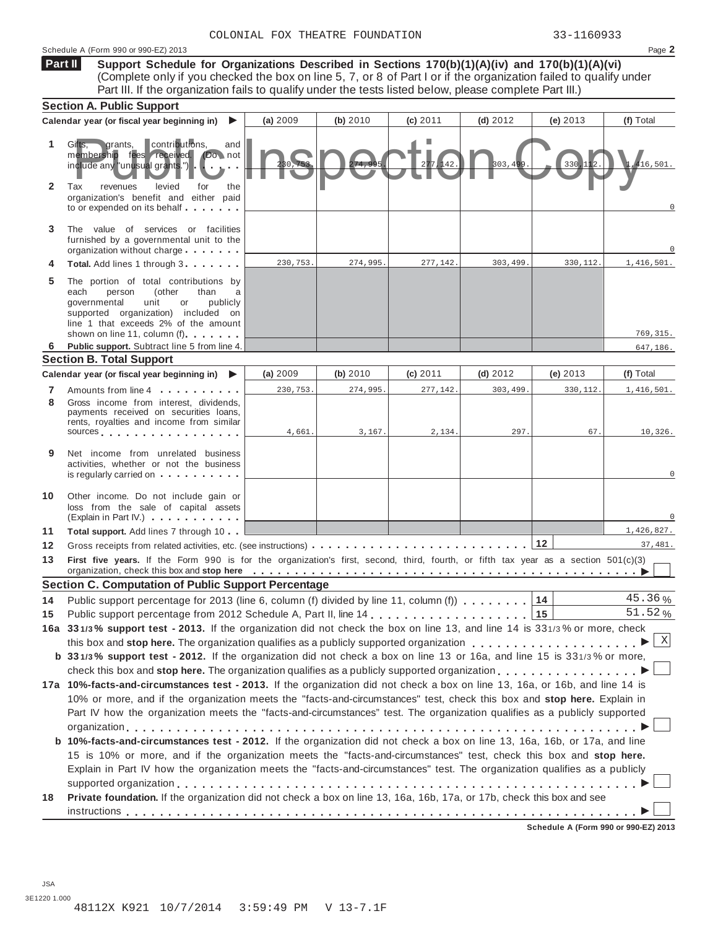### Schedule A (Form 990 or 990-EZ) 2013 Page **2**

**Support Schedule for Organizations Described in Sections 170(b)(1)(A)(iv) and 170(b)(1)(A)(vi)** (Complete only if you checked the box on line 5, 7, or 8 of Part I or if the organization failed to qualify under Part III. If the organization fails to qualify under the tests listed below, please complete Part III.) **Part II**

|                   | <b>Section A. Public Support</b>                                                                                                                                                                                                                     |          |          |            |            |                                      |            |  |
|-------------------|------------------------------------------------------------------------------------------------------------------------------------------------------------------------------------------------------------------------------------------------------|----------|----------|------------|------------|--------------------------------------|------------|--|
|                   | Calendar year (or fiscal year beginning in)<br>▶                                                                                                                                                                                                     | (a) 2009 | (b) 2010 | $(c)$ 2011 | $(d)$ 2012 | (e) $2013$                           | (f) Total  |  |
| 1<br>$\mathbf{2}$ | contributions,<br>Gifts.<br>grants,<br>and<br>membership fees received. (Do not<br>include any "unusual grants.")<br>Tax<br>levied<br>revenues<br>for<br>the<br>organization's benefit and either paid                                               |          |          | 277,142    | 803,499    | 330, 112                             | 416.501.   |  |
| 3                 | to or expended on its behalf $\ldots$<br>The value of services or facilities<br>furnished by a governmental unit to the<br>organization without charge                                                                                               |          |          |            |            |                                      |            |  |
|                   | Total. Add lines 1 through 3                                                                                                                                                                                                                         | 230,753. | 274,995. | 277,142.   | 303,499    | 330,112.                             | 1,416,501. |  |
| 5                 | The portion of total contributions by<br>person<br>(other<br>than<br>each<br>qovernmental<br>unit<br>or<br>publicly<br>supported organization) included on<br>line 1 that exceeds 2% of the amount                                                   |          |          |            |            |                                      |            |  |
| 6                 | shown on line 11, column (f).<br>Public support. Subtract line 5 from line 4.                                                                                                                                                                        |          |          |            |            |                                      | 769, 315.  |  |
|                   | <b>Section B. Total Support</b>                                                                                                                                                                                                                      |          |          |            |            |                                      | 647,186.   |  |
|                   | Calendar year (or fiscal year beginning in)<br>▶                                                                                                                                                                                                     | (a) 2009 | (b) 2010 | (c) 2011   | (d) 2012   | (e) $2013$                           | (f) Total  |  |
| 7                 | Amounts from line 4                                                                                                                                                                                                                                  | 230,753. | 274,995. | 277,142.   | 303,499    | 330,112.                             | 1,416,501. |  |
| 8                 | Gross income from interest, dividends,<br>payments received on securities loans,<br>rents, royalties and income from similar<br>SOUICES                                                                                                              | 4,661.   | 3,167.   | 2,134.     | 297.       | 67.                                  | 10,326.    |  |
| 9                 | Net income from unrelated business<br>activities, whether or not the business<br>is regularly carried on $\cdots$                                                                                                                                    |          |          |            |            |                                      |            |  |
| 10                | Other income. Do not include gain or<br>loss from the sale of capital assets<br>(Explain in Part IV.)                                                                                                                                                |          |          |            |            |                                      |            |  |
| 11                | Total support. Add lines 7 through 10                                                                                                                                                                                                                |          |          |            |            |                                      | 1,426,827. |  |
| 12                |                                                                                                                                                                                                                                                      |          |          |            |            | $12$                                 | 37,481.    |  |
| 13                | First five years. If the Form 990 is for the organization's first, second, third, fourth, or fifth tax year as a section 501(c)(3)<br>organization, check this box and stop here entitled to provide the contract of the contract of the contract of |          |          |            |            |                                      |            |  |
|                   | <b>Section C. Computation of Public Support Percentage</b>                                                                                                                                                                                           |          |          |            |            |                                      |            |  |
| 14                | Public support percentage for 2013 (line 6, column (f) divided by line 11, column (f) $\ldots$ ,,,,,                                                                                                                                                 |          |          |            |            | 14                                   | 45.36%     |  |
| 15                |                                                                                                                                                                                                                                                      |          |          |            |            | 15                                   | 51.52%     |  |
|                   | 16a 331/3% support test - 2013. If the organization did not check the box on line 13, and line 14 is 331/3% or more, check _                                                                                                                         |          |          |            |            |                                      |            |  |
|                   | this box and stop here. The organization qualifies as a publicly supported organization                                                                                                                                                              |          |          |            |            |                                      | X          |  |
|                   | b 331/3% support test - 2012. If the organization did not check a box on line 13 or 16a, and line 15 is 331/3% or more,                                                                                                                              |          |          |            |            |                                      |            |  |
|                   | check this box and stop here. The organization qualifies as a publicly supported organization                                                                                                                                                        |          |          |            |            |                                      |            |  |
|                   | 17a 10%-facts-and-circumstances test - 2013. If the organization did not check a box on line 13, 16a, or 16b, and line 14 is                                                                                                                         |          |          |            |            |                                      |            |  |
|                   | 10% or more, and if the organization meets the "facts-and-circumstances" test, check this box and stop here. Explain in<br>Part IV how the organization meets the "facts-and-circumstances" test. The organization qualifies as a publicly supported |          |          |            |            |                                      |            |  |
|                   |                                                                                                                                                                                                                                                      |          |          |            |            |                                      |            |  |
|                   | b 10%-facts-and-circumstances test - 2012. If the organization did not check a box on line 13, 16a, 16b, or 17a, and line                                                                                                                            |          |          |            |            |                                      |            |  |
|                   | 15 is 10% or more, and if the organization meets the "facts-and-circumstances" test, check this box and stop here.<br>Explain in Part IV how the organization meets the "facts-and-circumstances" test. The organization qualifies as a publicly     |          |          |            |            |                                      |            |  |
| 18                | Private foundation. If the organization did not check a box on line 13, 16a, 16b, 17a, or 17b, check this box and see                                                                                                                                |          |          |            |            |                                      |            |  |
|                   |                                                                                                                                                                                                                                                      |          |          |            |            | Schedule A (Form 990 or 990-EZ) 2013 |            |  |
|                   |                                                                                                                                                                                                                                                      |          |          |            |            |                                      |            |  |

JSA 3E1220 1.000 48112X K921 10/7/2014 3:59:49 PM V 13-7.1F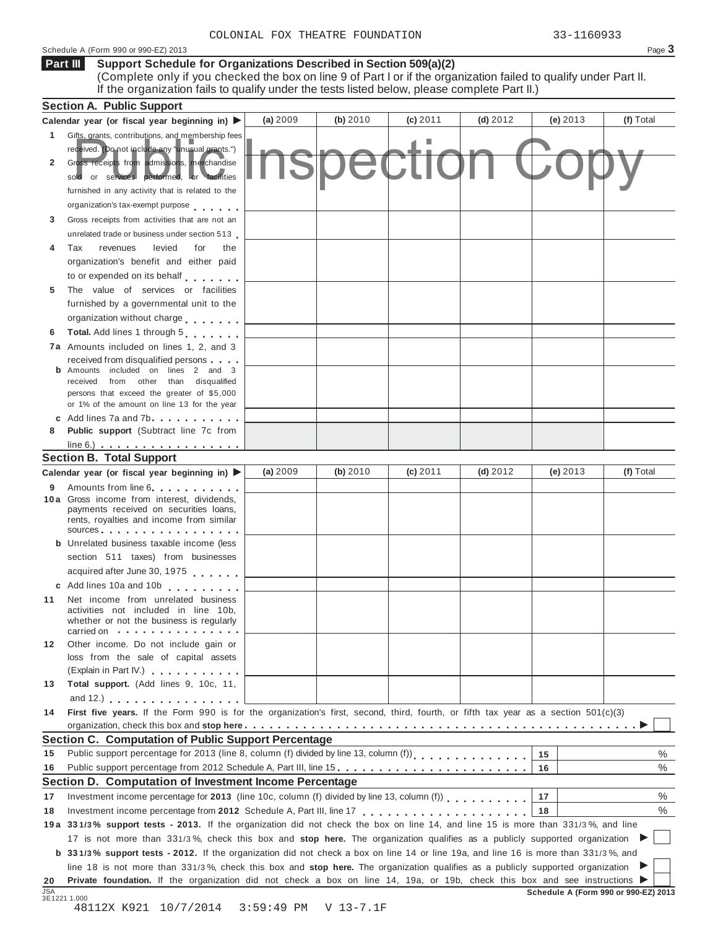## Schedule A (Form 990 or 990-EZ) 2013 Page **3**

#### **Support Schedule for Organizations Described in Section 509(a)(2)** (Complete only if you checked the box on line 9 of Part I or if the organization failed to qualify under Part II. **Part III**

If the organization fails to qualify under the tests listed below, please complete Part II.)

|              | <b>Section A. Public Support</b>                                                                                                                                                                             |          |          |            |            |                                      |           |
|--------------|--------------------------------------------------------------------------------------------------------------------------------------------------------------------------------------------------------------|----------|----------|------------|------------|--------------------------------------|-----------|
|              | Calendar year (or fiscal year beginning in) $\blacktriangleright$                                                                                                                                            | (a) 2009 | (b) 2010 | $(c)$ 2011 | $(d)$ 2012 | $(e)$ 2013                           | (f) Total |
| 1            | Gifts, grants, contributions, and membership fees<br>received. (Do not include any "unusual grants.")                                                                                                        |          |          |            |            |                                      |           |
| $\mathbf{2}$ | Gross receipts from admissions, merchandise<br>sold or services performed, or facilities                                                                                                                     |          |          |            |            |                                      |           |
|              | furnished in any activity that is related to the                                                                                                                                                             |          |          |            |            |                                      |           |
|              | organization's tax-exempt purpose                                                                                                                                                                            |          |          |            |            |                                      |           |
| 3            | Gross receipts from activities that are not an                                                                                                                                                               |          |          |            |            |                                      |           |
|              | unrelated trade or business under section 513                                                                                                                                                                |          |          |            |            |                                      |           |
| 4            | Tax<br>revenues<br>levied<br>the<br>for                                                                                                                                                                      |          |          |            |            |                                      |           |
|              | organization's benefit and either paid                                                                                                                                                                       |          |          |            |            |                                      |           |
|              | to or expended on its behalf                                                                                                                                                                                 |          |          |            |            |                                      |           |
| 5            | The value of services or facilities                                                                                                                                                                          |          |          |            |            |                                      |           |
|              | furnished by a governmental unit to the                                                                                                                                                                      |          |          |            |            |                                      |           |
|              | organization without charge                                                                                                                                                                                  |          |          |            |            |                                      |           |
| 6            | Total. Add lines 1 through 5                                                                                                                                                                                 |          |          |            |            |                                      |           |
|              | <b>7a</b> Amounts included on lines 1, 2, and 3                                                                                                                                                              |          |          |            |            |                                      |           |
|              | received from disqualified persons                                                                                                                                                                           |          |          |            |            |                                      |           |
|              | <b>b</b> Amounts included on lines 2 and 3<br>received from other than disqualified                                                                                                                          |          |          |            |            |                                      |           |
|              | persons that exceed the greater of \$5,000                                                                                                                                                                   |          |          |            |            |                                      |           |
|              | or 1% of the amount on line 13 for the year                                                                                                                                                                  |          |          |            |            |                                      |           |
|              | c Add lines $7a$ and $7b$                                                                                                                                                                                    |          |          |            |            |                                      |           |
| 8            | <b>Public support</b> (Subtract line 7c from                                                                                                                                                                 |          |          |            |            |                                      |           |
|              |                                                                                                                                                                                                              |          |          |            |            |                                      |           |
|              | <b>Section B. Total Support</b>                                                                                                                                                                              |          |          |            |            |                                      |           |
|              | Calendar year (or fiscal year beginning in)                                                                                                                                                                  | (a) 2009 | (b) 2010 | $(c)$ 2011 | $(d)$ 2012 | (e) $2013$                           | (f) Total |
|              | 9 Amounts from line 6.<br>10 a Gross income from interest, dividends,<br>payments received on securities loans,<br>rents, royalties and income from similar<br>$sources$ , , , , , , , , , , , , , , , , , , |          |          |            |            |                                      |           |
|              | <b>b</b> Unrelated business taxable income (less                                                                                                                                                             |          |          |            |            |                                      |           |
|              | section 511 taxes) from businesses                                                                                                                                                                           |          |          |            |            |                                      |           |
|              | acquired after June 30, 1975                                                                                                                                                                                 |          |          |            |            |                                      |           |
|              | c Add lines 10a and 10b                                                                                                                                                                                      |          |          |            |            |                                      |           |
| 11           | Net income from unrelated business<br>activities not included in line 10b,<br>whether or not the business is regularly                                                                                       |          |          |            |            |                                      |           |
|              | carried on with the carried on the contract of the contract of                                                                                                                                               |          |          |            |            |                                      |           |
| 12           | Other income. Do not include gain or<br>loss from the sale of capital assets                                                                                                                                 |          |          |            |            |                                      |           |
|              | (Explain in Part IV.)                                                                                                                                                                                        |          |          |            |            |                                      |           |
| 13           | Total support. (Add lines 9, 10c, 11,                                                                                                                                                                        |          |          |            |            |                                      |           |
|              | and 12.) $\ldots$ $\ldots$ $\ldots$ $\ldots$ $\ldots$ $\ldots$                                                                                                                                               |          |          |            |            |                                      |           |
| 14           | First five years. If the Form 990 is for the organization's first, second, third, fourth, or fifth tax year as a section 501(c)(3)                                                                           |          |          |            |            |                                      |           |
|              |                                                                                                                                                                                                              |          |          |            |            |                                      |           |
|              | Section C. Computation of Public Support Percentage                                                                                                                                                          |          |          |            |            |                                      |           |
| 15           | Public support percentage for 2013 (line 8, column (f) divided by line 13, column (f))<br>[11]                                                                                                               |          |          |            |            | 15                                   | $\%$      |
| 16           | Public support percentage from 2012 Schedule A, Part III, line 15.                                                                                                                                           |          |          |            |            | 16                                   | $\%$      |
|              | Section D. Computation of Investment Income Percentage                                                                                                                                                       |          |          |            |            |                                      |           |
| 17           | Investment income percentage for 2013 (line 10c, column (f) divided by line 13, column (f)                                                                                                                   |          |          |            |            | 17                                   | %         |
| 18           |                                                                                                                                                                                                              |          |          |            |            | 18                                   | %         |
|              | 19a 331/3% support tests - 2013. If the organization did not check the box on line 14, and line 15 is more than 331/3%, and line                                                                             |          |          |            |            |                                      |           |
|              | 17 is not more than 331/3%, check this box and stop here. The organization qualifies as a publicly supported organization                                                                                    |          |          |            |            |                                      |           |
|              | <b>b</b> 331/3% support tests - 2012. If the organization did not check a box on line 14 or line 19a, and line 16 is more than 331/3%, and                                                                   |          |          |            |            |                                      |           |
|              | line 18 is not more than 331/3%, check this box and stop here. The organization qualifies as a publicly supported organization                                                                               |          |          |            |            |                                      |           |
| 20           | Private foundation. If the organization did not check a box on line 14, 19a, or 19b, check this box and see instructions ▶                                                                                   |          |          |            |            |                                      |           |
| <b>JSA</b>   | 3E1221 1.000                                                                                                                                                                                                 |          |          |            |            | Schedule A (Form 990 or 990-EZ) 2013 |           |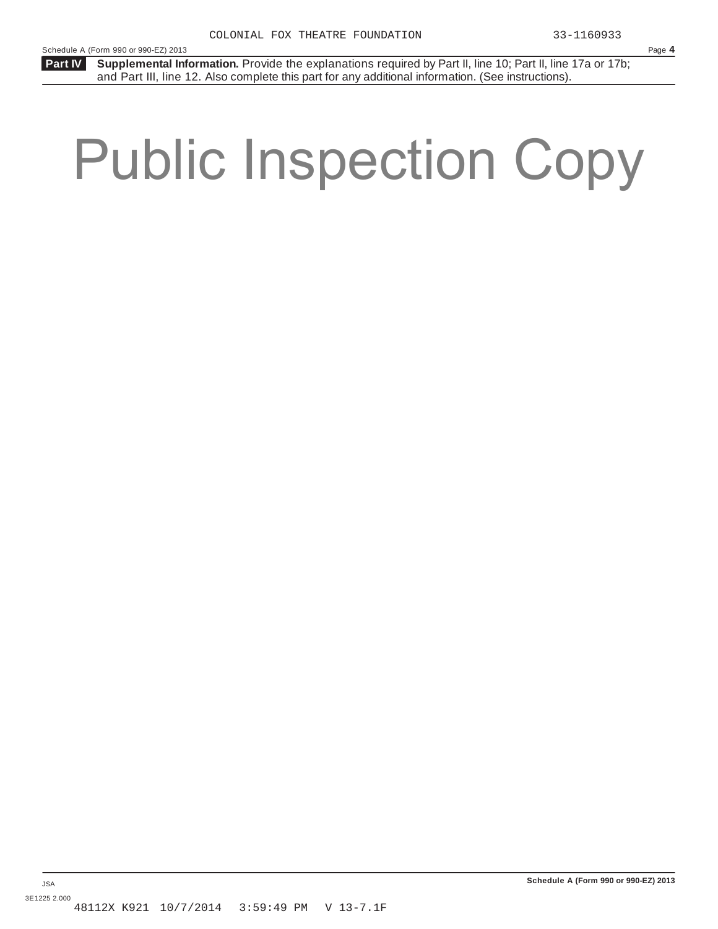Schedule A (Form 990 or 990-EZ) 2013 Page **4**

**Part IV** Supplemental Information. Provide the explanations required by Part II, line 10; Part II, line 17a or 17b; and Part III, line 12. Also complete this part for any additional information. (See instructions).

# Public Inspection Copy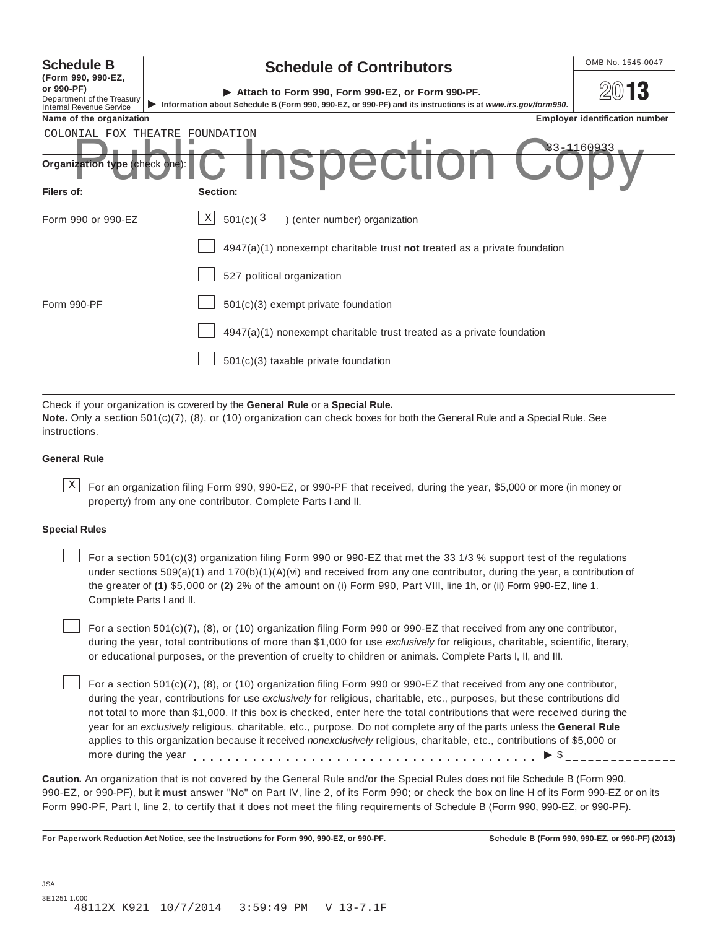| <b>Schedule B</b><br>(Form 990, 990-EZ,<br>or 990-PF)<br>Department of the Treasury | OMB No. 1545-0047<br><b>Schedule of Contributors</b><br>2013<br>Attach to Form 990, Form 990-EZ, or Form 990-PF.                                    |  |  |  |  |  |  |  |  |  |
|-------------------------------------------------------------------------------------|-----------------------------------------------------------------------------------------------------------------------------------------------------|--|--|--|--|--|--|--|--|--|
| <b>Internal Revenue Service</b><br>Name of the organization                         | Information about Schedule B (Form 990, 990-EZ, or 990-PF) and its instructions is at www.irs.gov/form990.<br><b>Employer identification number</b> |  |  |  |  |  |  |  |  |  |
|                                                                                     | COLONIAL FOX THEATRE<br>FOUNDATION<br>33-1160933                                                                                                    |  |  |  |  |  |  |  |  |  |
| Organization type (check one):                                                      | <b>ISDECTION</b>                                                                                                                                    |  |  |  |  |  |  |  |  |  |
| Filers of:                                                                          | Section:                                                                                                                                            |  |  |  |  |  |  |  |  |  |
| Form 990 or 990-EZ                                                                  | X<br>501(c)(3)<br>) (enter number) organization                                                                                                     |  |  |  |  |  |  |  |  |  |
|                                                                                     | $4947(a)(1)$ nonexempt charitable trust not treated as a private foundation                                                                         |  |  |  |  |  |  |  |  |  |
|                                                                                     | 527 political organization                                                                                                                          |  |  |  |  |  |  |  |  |  |
| Form 990-PF                                                                         | 501(c)(3) exempt private foundation                                                                                                                 |  |  |  |  |  |  |  |  |  |
|                                                                                     | $4947(a)(1)$ nonexempt charitable trust treated as a private foundation                                                                             |  |  |  |  |  |  |  |  |  |
|                                                                                     | 501(c)(3) taxable private foundation                                                                                                                |  |  |  |  |  |  |  |  |  |

Check if your organization is covered by the **General Rule** or a **Special Rule. Note.** Only a section 501(c)(7), (8), or (10) organization can check boxes for both the General Rule and a Special Rule. See

instructions.

# **General Rule**

 $\text{X}$  For an organization filing Form 990, 990-EZ, or 990-PF that received, during the year, \$5,000 or more (in money or property) from any one contributor. Complete Parts I and II.

## **Special Rules**

For a section 501(c)(3) organization filing Form 990 or 990-EZ that met the 33 1/3 % support test of the regulations under sections  $509(a)(1)$  and  $170(b)(1)(A)(vi)$  and received from any one contributor, during the year, a contribution of the greater of **(1)** \$5,000 or **(2)** 2% of the amount on (i) Form 990, Part VIII, line 1h, or (ii) Form 990-EZ, line 1. Complete Parts I and II.

For a section 501(c)(7), (8), or (10) organization filing Form 990 or 990-EZ that received from any one contributor, during the year, total contributions of more than \$1,000 for use *exclusively* for religious, charitable, scientific, literary, or educational purposes, or the prevention of cruelty to children or animals. Complete Parts I, II, and III.

For a section 501(c)(7), (8), or (10) organization filing Form 990 or 990-EZ that received from any one contributor, during the year, contributions for use *exclusively* for religious, charitable, etc., purposes, but these contributions did not total to more than \$1,000. If this box is checked, enter here the total contributions that were received during the year for an *exclusively* religious, charitable, etc., purpose. Do not complete any of the parts unless the **General Rule** applies to this organization because it received *nonexclusively* religious, charitable, etc., contributions of \$5,000 or more during the year  $\ldots$ ,  $\ldots$ ,  $\ldots$ ,  $\ldots$ ,  $\ldots$ ,  $\ldots$ ,  $\ldots$ ,  $\ldots$ ,  $\ldots$ ,  $\ldots$ ,  $\blacktriangleright$   $\mathcal{S}_{\text{2}}$ 

**Caution.** An organization that is not covered by the General Rule and/or the Special Rules does not file Schedule B (Form 990, 990-EZ, or 990-PF), but it **must** answer "No" on Part IV, line 2, of its Form 990; or check the box on line H of its Form 990-EZ or on its Form 990-PF, Part I, line 2, to certify that it does not meet the filing requirements of Schedule B (Form 990, 990-EZ, or 990-PF).

**For Paperwork Reduction Act Notice, see the Instructions for Form 990, 990-EZ, or 990-PF. Schedule B (Form 990, 990-EZ, or 990-PF) (2013)**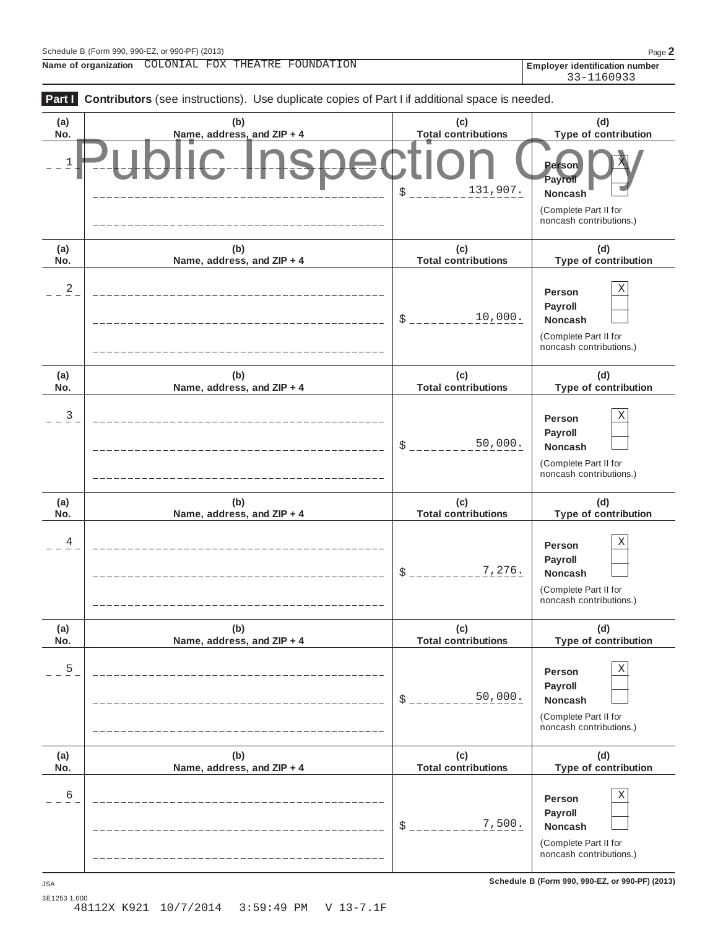$\overline{\phantom{a}}$ 

**Name of organization Employer identification number** COLONIAL FOX THEATRE FOUNDATION

|              | Part   Contributors (see instructions). Use duplicate copies of Part I if additional space is needed. |                                   |                                                                                       |
|--------------|-------------------------------------------------------------------------------------------------------|-----------------------------------|---------------------------------------------------------------------------------------|
| (a)<br>No.   | (b)<br>Name, address, and ZIP + 4                                                                     | (c)<br><b>Total contributions</b> | (d)<br>Type of contribution                                                           |
| $\mathbf{1}$ |                                                                                                       | 131,907.<br>\$                    | <b>Person</b><br>Payroll<br>Noncash                                                   |
|              |                                                                                                       |                                   | (Complete Part II for<br>noncash contributions.)                                      |
| (a)<br>No.   | (b)<br>Name, address, and ZIP + 4                                                                     | (c)<br><b>Total contributions</b> | (d)<br>Type of contribution                                                           |
| 2            |                                                                                                       | 10,000.<br>\$                     | Χ<br>Person<br>Payroll<br>Noncash<br>(Complete Part II for<br>noncash contributions.) |
| (a)<br>No.   | (b)<br>Name, address, and ZIP + 4                                                                     | (c)<br><b>Total contributions</b> | (d)<br>Type of contribution                                                           |
| 3            |                                                                                                       | 50,000.<br>\$                     | Χ<br>Person<br>Payroll<br>Noncash<br>(Complete Part II for<br>noncash contributions.) |
| (a)<br>No.   | (b)<br>Name, address, and ZIP + 4                                                                     | (c)<br><b>Total contributions</b> | (d)<br>Type of contribution                                                           |
| 4            |                                                                                                       | 7,276.<br>\$                      | Χ<br>Person<br>Payroll<br>Noncash<br>(Complete Part II for<br>noncash contributions.) |
| (a)<br>No.   | (b)<br>Name, address, and ZIP + 4                                                                     | (c)<br><b>Total contributions</b> | (d)<br>Type of contribution                                                           |
| 5            |                                                                                                       | 50,000.<br>\$                     | Χ<br>Person<br>Payroll<br>Noncash<br>(Complete Part II for<br>noncash contributions.) |
| (a)<br>No.   | (b)<br>Name, address, and ZIP + 4                                                                     | (c)<br><b>Total contributions</b> | (d)<br>Type of contribution                                                           |
| 6            |                                                                                                       | 7,500.<br>\$                      | Χ<br>Person<br>Payroll<br>Noncash<br>(Complete Part II for<br>noncash contributions.) |

**Schedule B (Form 990, 990-EZ, or 990-PF) (2013)** JSA

3E1253 1.000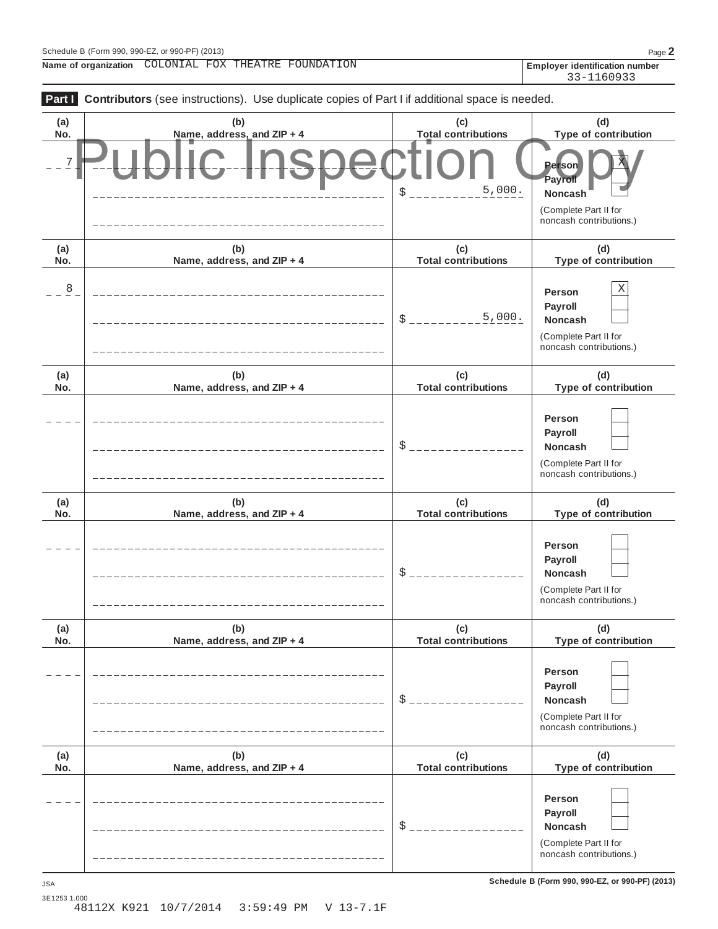**Name of organization Employer identification number** COLONIAL FOX THEATRE FOUNDATION

| Part I<br>Contributors (see instructions). Use duplicate copies of Part I if additional space is needed. |                                   |                                   |                                                                                         |  |  |  |  |
|----------------------------------------------------------------------------------------------------------|-----------------------------------|-----------------------------------|-----------------------------------------------------------------------------------------|--|--|--|--|
| (a)<br>No.                                                                                               | (b)<br>Name, address, and ZIP + 4 | (c)<br><b>Total contributions</b> | (d)<br>Type of contribution                                                             |  |  |  |  |
| $\boldsymbol{7}$                                                                                         |                                   | 5,000.<br>\$                      | <b>Person</b><br>Payroll<br>Noncash<br>(Complete Part II for<br>noncash contributions.) |  |  |  |  |
| (a)<br>No.                                                                                               | (b)<br>Name, address, and ZIP + 4 | (c)<br><b>Total contributions</b> | (d)<br>Type of contribution                                                             |  |  |  |  |
| $\overline{8}$                                                                                           |                                   | 5,000.<br>\$                      | Χ<br>Person<br>Payroll<br>Noncash<br>(Complete Part II for<br>noncash contributions.)   |  |  |  |  |
| (a)<br>No.                                                                                               | (b)<br>Name, address, and ZIP + 4 | (c)<br><b>Total contributions</b> | (d)<br>Type of contribution                                                             |  |  |  |  |
|                                                                                                          |                                   | \$                                | Person<br>Payroll<br>Noncash<br>(Complete Part II for<br>noncash contributions.)        |  |  |  |  |
| (a)<br>No.                                                                                               | (b)<br>Name, address, and ZIP + 4 | (c)<br><b>Total contributions</b> | (d)<br>Type of contribution                                                             |  |  |  |  |
|                                                                                                          |                                   | \$                                | Person<br>Payroll<br>Noncash<br>(Complete Part II for<br>noncash contributions.)        |  |  |  |  |
| (a)<br>No.                                                                                               | (b)<br>Name, address, and ZIP + 4 | (c)<br><b>Total contributions</b> | (d)<br>Type of contribution                                                             |  |  |  |  |
|                                                                                                          | _____________________             | $\frac{1}{2}$                     | Person<br>Payroll<br>Noncash<br>(Complete Part II for<br>noncash contributions.)        |  |  |  |  |
| (a)<br>No.                                                                                               | (b)<br>Name, address, and ZIP + 4 | (c)<br><b>Total contributions</b> | (d)<br>Type of contribution                                                             |  |  |  |  |
|                                                                                                          |                                   | $\frac{1}{2}$                     | Person<br>Payroll<br>Noncash<br>(Complete Part II for<br>noncash contributions.)        |  |  |  |  |

**Schedule B (Form 990, 990-EZ, or 990-PF) (2013)** JSA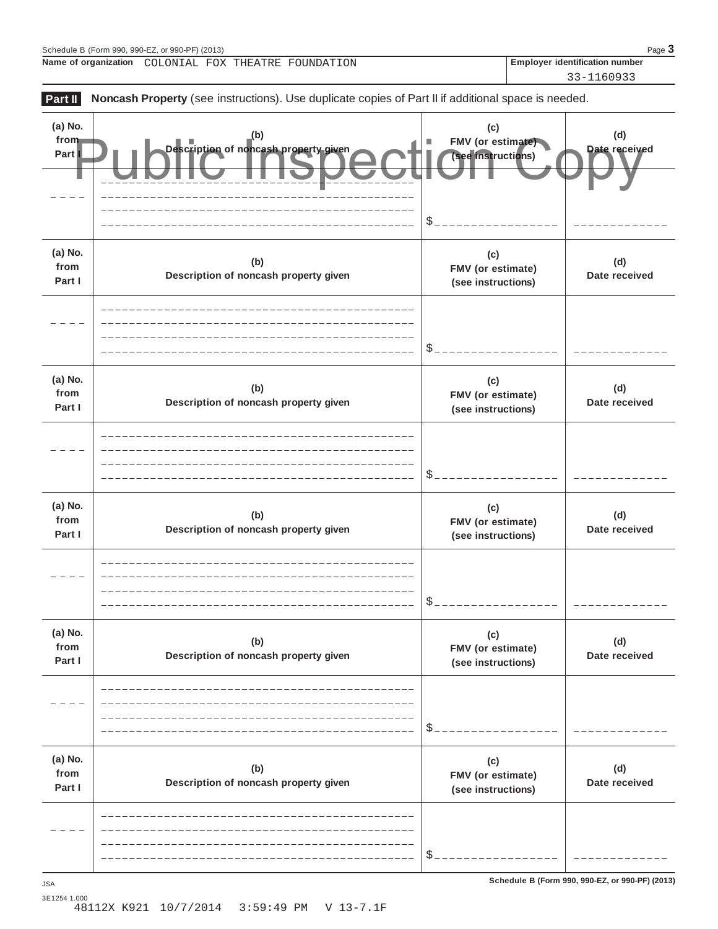**Name of organization Employer identification number** COLONIAL FOX THEATRE FOUNDATION





3E1254 1.000 48112X K921 10/7/2014 3:59:49 PM V 13-7.1F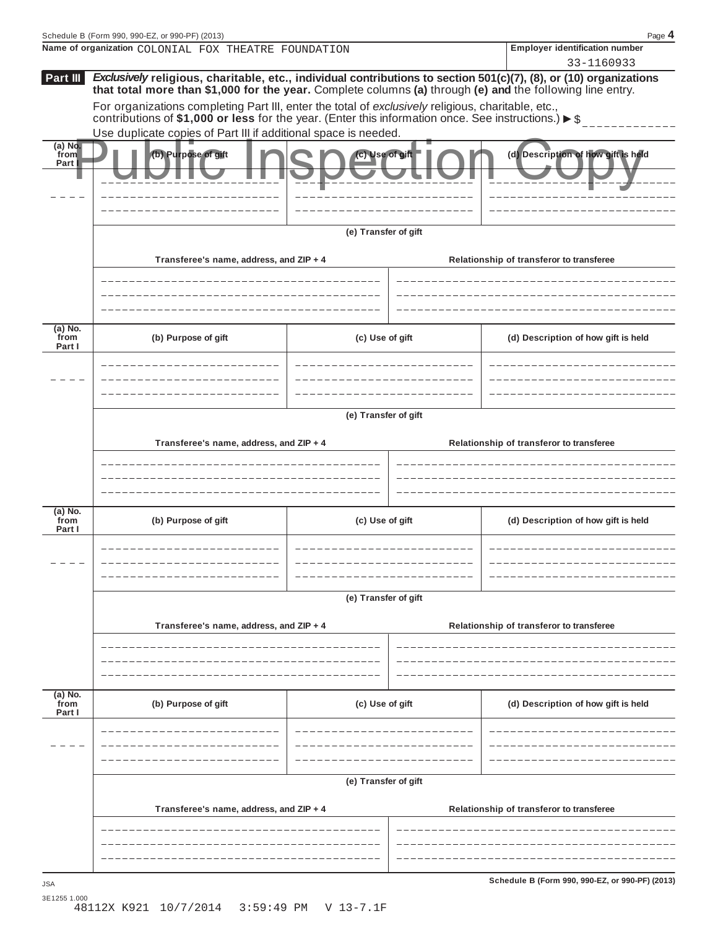|                           | Schedule B (Form 990, 990-EZ, or 990-PF) (2013)                                                                                                                                                                                 |                      |  | Page 4                                                                               |  |  |  |  |  |  |
|---------------------------|---------------------------------------------------------------------------------------------------------------------------------------------------------------------------------------------------------------------------------|----------------------|--|--------------------------------------------------------------------------------------|--|--|--|--|--|--|
|                           | Name of organization COLONIAL FOX THEATRE FOUNDATION                                                                                                                                                                            |                      |  | <b>Employer identification number</b>                                                |  |  |  |  |  |  |
| Part III                  | Exclusively religious, charitable, etc., individual contributions to section 501(c)(7), (8), or (10) organizations<br>that total more than \$1,000 for the year. Complete columns (a) through (e) and the following line entry. |                      |  | 33-1160933                                                                           |  |  |  |  |  |  |
|                           | For organizations completing Part III, enter the total of exclusively religious, charitable, etc.,<br>contributions of \$1,000 or less for the year. (Enter this information once. See instructions.) $\triangleright$ \$       |                      |  |                                                                                      |  |  |  |  |  |  |
|                           | Use duplicate copies of Part III if additional space is needed.                                                                                                                                                                 |                      |  |                                                                                      |  |  |  |  |  |  |
| $(a)$ No.<br>from<br>Part | (b) Purpose of gift                                                                                                                                                                                                             | c) Use of gift       |  | (d) Description of how gift is held                                                  |  |  |  |  |  |  |
|                           | (e) Transfer of gift                                                                                                                                                                                                            |                      |  |                                                                                      |  |  |  |  |  |  |
|                           | Transferee's name, address, and ZIP + 4                                                                                                                                                                                         |                      |  | Relationship of transferor to transferee                                             |  |  |  |  |  |  |
|                           |                                                                                                                                                                                                                                 |                      |  |                                                                                      |  |  |  |  |  |  |
| (a) No.<br>from<br>Part I | (b) Purpose of gift                                                                                                                                                                                                             | (c) Use of gift      |  | (d) Description of how gift is held                                                  |  |  |  |  |  |  |
|                           |                                                                                                                                                                                                                                 |                      |  |                                                                                      |  |  |  |  |  |  |
|                           | (e) Transfer of gift                                                                                                                                                                                                            |                      |  |                                                                                      |  |  |  |  |  |  |
|                           | Transferee's name, address, and ZIP + 4                                                                                                                                                                                         |                      |  |                                                                                      |  |  |  |  |  |  |
|                           |                                                                                                                                                                                                                                 |                      |  |                                                                                      |  |  |  |  |  |  |
| (a) No.<br>from<br>Part I | (b) Purpose of gift                                                                                                                                                                                                             | (c) Use of gift      |  | (d) Description of how gift is held                                                  |  |  |  |  |  |  |
|                           |                                                                                                                                                                                                                                 |                      |  |                                                                                      |  |  |  |  |  |  |
|                           |                                                                                                                                                                                                                                 | (e) Transfer of gift |  |                                                                                      |  |  |  |  |  |  |
|                           |                                                                                                                                                                                                                                 |                      |  |                                                                                      |  |  |  |  |  |  |
|                           | Transferee's name, address, and ZIP + 4                                                                                                                                                                                         |                      |  | Relationship of transferor to transferee<br>Relationship of transferor to transferee |  |  |  |  |  |  |
|                           |                                                                                                                                                                                                                                 |                      |  |                                                                                      |  |  |  |  |  |  |
|                           |                                                                                                                                                                                                                                 |                      |  |                                                                                      |  |  |  |  |  |  |
| (a) No.<br>from<br>Part I | (b) Purpose of gift                                                                                                                                                                                                             | (c) Use of gift      |  | (d) Description of how gift is held                                                  |  |  |  |  |  |  |
|                           |                                                                                                                                                                                                                                 |                      |  |                                                                                      |  |  |  |  |  |  |
|                           |                                                                                                                                                                                                                                 |                      |  |                                                                                      |  |  |  |  |  |  |
|                           | (e) Transfer of gift                                                                                                                                                                                                            |                      |  |                                                                                      |  |  |  |  |  |  |
|                           | Transferee's name, address, and ZIP + 4                                                                                                                                                                                         |                      |  | Relationship of transferor to transferee                                             |  |  |  |  |  |  |
|                           |                                                                                                                                                                                                                                 |                      |  |                                                                                      |  |  |  |  |  |  |
| <b>JSA</b>                |                                                                                                                                                                                                                                 |                      |  | Schedule B (Form 990, 990-EZ, or 990-PF) (2013)                                      |  |  |  |  |  |  |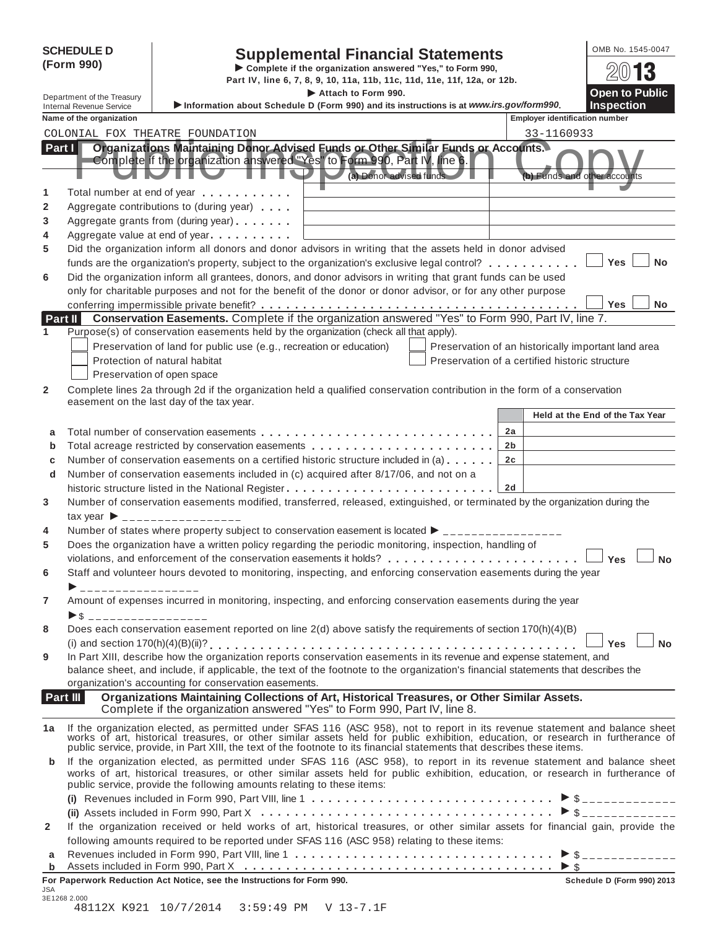|                    | <b>SCHEDULE D</b><br>(Form 990)                               | <b>Supplemental Financial Statements</b><br>Complete if the organization answered "Yes," to Form 990,<br>Part IV, line 6, 7, 8, 9, 10, 11a, 11b, 11c, 11d, 11e, 11f, 12a, or 12b.<br>Attach to Form 990.                                                                                                                               | OMB No. 1545-0047<br>$20$ 13<br><b>Open to Public</b>                                                 |                                      |
|--------------------|---------------------------------------------------------------|----------------------------------------------------------------------------------------------------------------------------------------------------------------------------------------------------------------------------------------------------------------------------------------------------------------------------------------|-------------------------------------------------------------------------------------------------------|--------------------------------------|
|                    | Department of the Treasury<br><b>Internal Revenue Service</b> | Information about Schedule D (Form 990) and its instructions is at www.irs.gov/form990.                                                                                                                                                                                                                                                |                                                                                                       | <b>Inspection</b>                    |
|                    | Name of the organization                                      |                                                                                                                                                                                                                                                                                                                                        | <b>Employer identification number</b>                                                                 |                                      |
|                    |                                                               | COLONIAL FOX THEATRE FOUNDATION                                                                                                                                                                                                                                                                                                        | 33-1160933                                                                                            |                                      |
| Part $\vert \vert$ |                                                               | Organizations Maintaining Donor Advised Funds or Other Similar Funds or Accounts.<br>Complete if the organization answered "Yes" to Form 990, Part IV, line 6.<br>(a) Donor advised funds                                                                                                                                              | (b) Funds and other accounts                                                                          |                                      |
| 1                  |                                                               | Total number at end of year entitled as a metal of year and a metal of year and a metal of the state of the state of the state of the state of the state of the state of the state of the state of the state of the state of t                                                                                                         |                                                                                                       |                                      |
| 2                  |                                                               | Aggregate contributions to (during year)                                                                                                                                                                                                                                                                                               |                                                                                                       |                                      |
| 3                  |                                                               | Aggregate grants from (during year)                                                                                                                                                                                                                                                                                                    |                                                                                                       |                                      |
| 4                  |                                                               | Aggregate value at end of year <b>container</b> Aggregate value at end of year                                                                                                                                                                                                                                                         |                                                                                                       |                                      |
| 5                  |                                                               | Did the organization inform all donors and donor advisors in writing that the assets held in donor advised                                                                                                                                                                                                                             |                                                                                                       |                                      |
| 6                  |                                                               | funds are the organization's property, subject to the organization's exclusive legal control?<br>Did the organization inform all grantees, donors, and donor advisors in writing that grant funds can be used<br>only for charitable purposes and not for the benefit of the donor or donor advisor, or for any other purpose          |                                                                                                       | Yes<br><b>No</b><br><b>Yes</b><br>No |
|                    | Part II                                                       | Conservation Easements. Complete if the organization answered "Yes" to Form 990, Part IV, line 7.                                                                                                                                                                                                                                      |                                                                                                       |                                      |
| 1                  |                                                               | Purpose(s) of conservation easements held by the organization (check all that apply).                                                                                                                                                                                                                                                  |                                                                                                       |                                      |
| $\mathbf{2}$       |                                                               | Preservation of land for public use (e.g., recreation or education)<br>Protection of natural habitat<br>Preservation of open space<br>Complete lines 2a through 2d if the organization held a qualified conservation contribution in the form of a conservation                                                                        | Preservation of an historically important land area<br>Preservation of a certified historic structure |                                      |
|                    |                                                               | easement on the last day of the tax year.                                                                                                                                                                                                                                                                                              |                                                                                                       |                                      |
|                    |                                                               |                                                                                                                                                                                                                                                                                                                                        |                                                                                                       | Held at the End of the Tax Year      |
| a                  |                                                               |                                                                                                                                                                                                                                                                                                                                        | 2a                                                                                                    |                                      |
| b                  |                                                               |                                                                                                                                                                                                                                                                                                                                        | 2b                                                                                                    |                                      |
| c                  |                                                               | Number of conservation easements on a certified historic structure included in (a)                                                                                                                                                                                                                                                     | 2c                                                                                                    |                                      |
| d                  |                                                               | Number of conservation easements included in (c) acquired after 8/17/06, and not on a                                                                                                                                                                                                                                                  |                                                                                                       |                                      |
|                    |                                                               | historic structure listed in the National Register                                                                                                                                                                                                                                                                                     | 2d                                                                                                    |                                      |
| 3                  |                                                               | Number of conservation easements modified, transferred, released, extinguished, or terminated by the organization during the                                                                                                                                                                                                           |                                                                                                       |                                      |
|                    |                                                               | $\text{tax year}$ $\rightarrow$ _________________                                                                                                                                                                                                                                                                                      |                                                                                                       |                                      |
| 4<br>5             |                                                               | Number of states where property subject to conservation easement is located $\blacktriangleright$ _______________<br>Does the organization have a written policy regarding the periodic monitoring, inspection, handling of                                                                                                            |                                                                                                       |                                      |
|                    |                                                               | violations, and enforcement of the conservation easements it holds?                                                                                                                                                                                                                                                                    |                                                                                                       | <b>Yes</b><br>Nο                     |
| 6                  |                                                               | Staff and volunteer hours devoted to monitoring, inspecting, and enforcing conservation easements during the year                                                                                                                                                                                                                      |                                                                                                       |                                      |
|                    | ▶ ___________________                                         |                                                                                                                                                                                                                                                                                                                                        |                                                                                                       |                                      |
| 7                  |                                                               | Amount of expenses incurred in monitoring, inspecting, and enforcing conservation easements during the year                                                                                                                                                                                                                            |                                                                                                       |                                      |
| 8                  | $\triangleright$ \$ ___________________                       | Does each conservation easement reported on line 2(d) above satisfy the requirements of section 170(h)(4)(B)                                                                                                                                                                                                                           |                                                                                                       |                                      |
|                    |                                                               |                                                                                                                                                                                                                                                                                                                                        |                                                                                                       | ∣ Yes ∣<br><b>No</b>                 |
| 9                  |                                                               | In Part XIII, describe how the organization reports conservation easements in its revenue and expense statement, and<br>balance sheet, and include, if applicable, the text of the footnote to the organization's financial statements that describes the<br>organization's accounting for conservation easements.                     |                                                                                                       |                                      |
|                    | Part III                                                      | Organizations Maintaining Collections of Art, Historical Treasures, or Other Similar Assets.<br>Complete if the organization answered "Yes" to Form 990, Part IV, line 8.                                                                                                                                                              |                                                                                                       |                                      |
| 1a                 |                                                               | If the organization elected, as permitted under SFAS 116 (ASC 958), not to report in its revenue statement and balance sheet works of art, historical treasures, or other similar assets held for public exhibition, education                                                                                                         |                                                                                                       |                                      |
| b                  |                                                               | If the organization elected, as permitted under SFAS 116 (ASC 958), to report in its revenue statement and balance sheet<br>works of art, historical treasures, or other similar assets held for public exhibition, education, or research in furtherance of<br>public service, provide the following amounts relating to these items: |                                                                                                       |                                      |
|                    |                                                               |                                                                                                                                                                                                                                                                                                                                        |                                                                                                       |                                      |
|                    |                                                               |                                                                                                                                                                                                                                                                                                                                        |                                                                                                       | $\triangleright$ \$ _______________  |
| $\mathbf{2}$       |                                                               | If the organization received or held works of art, historical treasures, or other similar assets for financial gain, provide the                                                                                                                                                                                                       |                                                                                                       |                                      |
| a                  |                                                               | following amounts required to be reported under SFAS 116 (ASC 958) relating to these items:                                                                                                                                                                                                                                            |                                                                                                       |                                      |
| $\mathbf b$        |                                                               |                                                                                                                                                                                                                                                                                                                                        |                                                                                                       | $>$ \$                               |
|                    |                                                               | For Paperwork Reduction Act Notice, see the Instructions for Form 990.                                                                                                                                                                                                                                                                 |                                                                                                       | Schedule D (Form 990) 2013           |
| JSA                | 3E1268 2.000                                                  |                                                                                                                                                                                                                                                                                                                                        |                                                                                                       |                                      |

| 48112X K921 10/7/2014 3:59:49 PM V 13-7.1F |  |  |  |
|--------------------------------------------|--|--|--|
|--------------------------------------------|--|--|--|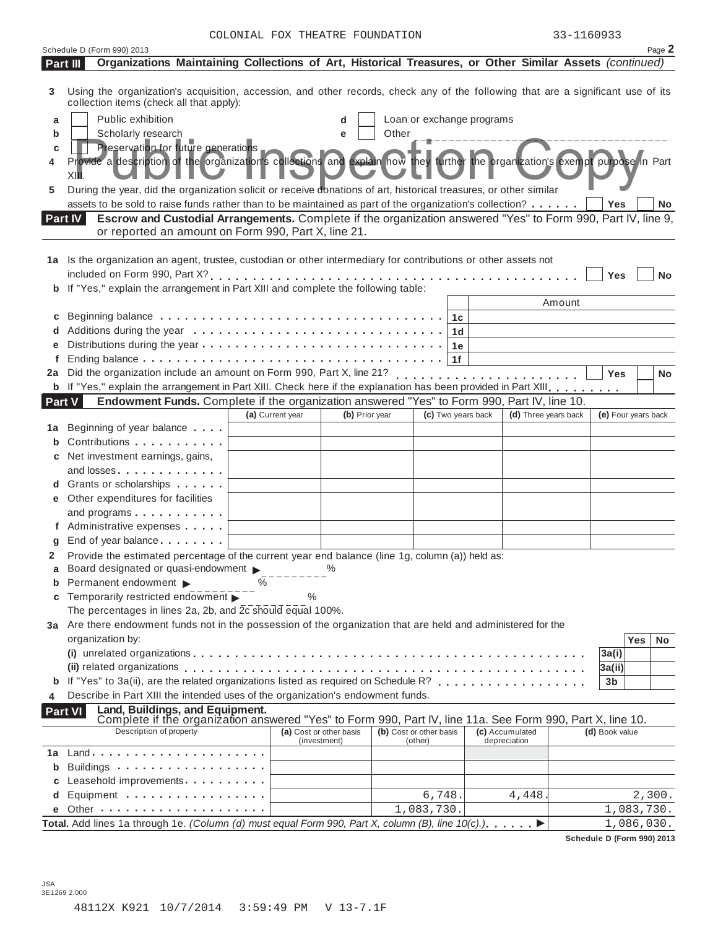|        | Schedule D (Form 990) 2013                                                                                                                                                     |   |                  |                                         |                         |                           |                |                                 |        |                     |            | Page 2    |
|--------|--------------------------------------------------------------------------------------------------------------------------------------------------------------------------------|---|------------------|-----------------------------------------|-------------------------|---------------------------|----------------|---------------------------------|--------|---------------------|------------|-----------|
|        | Organizations Maintaining Collections of Art, Historical Treasures, or Other Similar Assets (continued)<br>Part III                                                            |   |                  |                                         |                         |                           |                |                                 |        |                     |            |           |
| 3      | Using the organization's acquisition, accession, and other records, check any of the following that are a significant use of its<br>collection items (check all that apply):   |   |                  |                                         |                         |                           |                |                                 |        |                     |            |           |
| а      | Public exhibition                                                                                                                                                              |   |                  | d                                       |                         | Loan or exchange programs |                |                                 |        |                     |            |           |
| b      | Scholarly research                                                                                                                                                             |   |                  | e                                       | Other                   |                           |                |                                 |        |                     |            |           |
| с      | Preservation for future generations                                                                                                                                            |   |                  |                                         |                         |                           |                |                                 |        |                     |            |           |
| 4      | Provide a description of the organization's collections and explain how they further the organization's exempt purpose in Part<br>XI∎                                          |   |                  |                                         |                         |                           |                |                                 |        |                     |            |           |
| 5      | During the year, did the organization solicit or receive donations of art, historical treasures, or other similar                                                              |   |                  |                                         |                         |                           |                |                                 |        |                     |            |           |
|        | assets to be sold to raise funds rather than to be maintained as part of the organization's collection?                                                                        |   |                  |                                         |                         |                           |                |                                 |        | Yes                 |            | No.       |
|        | Escrow and Custodial Arrangements. Complete if the organization answered "Yes" to Form 990, Part IV, line 9,<br>Part IV<br>or reported an amount on Form 990, Part X, line 21. |   |                  |                                         |                         |                           |                |                                 |        |                     |            |           |
|        |                                                                                                                                                                                |   |                  |                                         |                         |                           |                |                                 |        |                     |            |           |
|        | 1a Is the organization an agent, trustee, custodian or other intermediary for contributions or other assets not                                                                |   |                  |                                         |                         |                           |                |                                 |        |                     |            |           |
|        |                                                                                                                                                                                |   |                  |                                         |                         |                           |                |                                 |        | Yes                 |            | <b>No</b> |
|        | b If "Yes," explain the arrangement in Part XIII and complete the following table:                                                                                             |   |                  |                                         |                         |                           |                |                                 |        |                     |            |           |
|        |                                                                                                                                                                                |   |                  |                                         |                         |                           |                |                                 | Amount |                     |            |           |
| С      |                                                                                                                                                                                |   |                  |                                         |                         |                           | 1c             |                                 |        |                     |            |           |
|        |                                                                                                                                                                                |   |                  |                                         |                         |                           | 1 <sub>d</sub> |                                 |        |                     |            |           |
|        |                                                                                                                                                                                |   |                  |                                         |                         |                           | 1e             |                                 |        |                     |            |           |
| f      |                                                                                                                                                                                |   |                  |                                         |                         |                           | 1f             |                                 |        |                     |            |           |
|        | 2a Did the organization include an amount on Form 990, Part X, line 21?                                                                                                        |   |                  |                                         |                         |                           |                | . <i>. .</i> .                  |        | Yes                 |            | <b>No</b> |
|        | <b>b</b> If "Yes," explain the arrangement in Part XIII. Check here if the explanation has been provided in Part XIII.                                                         |   |                  |                                         |                         |                           |                |                                 |        |                     |            |           |
| Part V | Endowment Funds. Complete if the organization answered "Yes" to Form 990, Part IV, line 10.                                                                                    |   |                  |                                         |                         |                           |                |                                 |        |                     |            |           |
|        |                                                                                                                                                                                |   | (a) Current year | (b) Prior year                          |                         | (c) Two years back        |                | (d) Three years back            |        | (e) Four years back |            |           |
| 1а     | Beginning of year balance                                                                                                                                                      |   |                  |                                         |                         |                           |                |                                 |        |                     |            |           |
| b      | Contributions                                                                                                                                                                  |   |                  |                                         |                         |                           |                |                                 |        |                     |            |           |
|        | c Net investment earnings, gains,                                                                                                                                              |   |                  |                                         |                         |                           |                |                                 |        |                     |            |           |
|        | and losses                                                                                                                                                                     |   |                  |                                         |                         |                           |                |                                 |        |                     |            |           |
|        | d Grants or scholarships                                                                                                                                                       |   |                  |                                         |                         |                           |                |                                 |        |                     |            |           |
|        | e Other expenditures for facilities                                                                                                                                            |   |                  |                                         |                         |                           |                |                                 |        |                     |            |           |
|        | and programs<br>f Administrative expenses                                                                                                                                      |   |                  |                                         |                         |                           |                |                                 |        |                     |            |           |
|        | End of year balance                                                                                                                                                            |   |                  |                                         |                         |                           |                |                                 |        |                     |            |           |
| 2      | Provide the estimated percentage of the current year end balance (line 1g, column (a)) held as:                                                                                |   |                  |                                         |                         |                           |                |                                 |        |                     |            |           |
|        | Board designated or quasi-endowment > %                                                                                                                                        |   |                  |                                         |                         |                           |                |                                 |        |                     |            |           |
|        | <b>b</b> Permanent endowment $\blacktriangleright$                                                                                                                             | % |                  |                                         |                         |                           |                |                                 |        |                     |            |           |
| C      | Temporarily restricted endowment ▶                                                                                                                                             |   | $\%$             |                                         |                         |                           |                |                                 |        |                     |            |           |
|        | The percentages in lines 2a, 2b, and 2c should equal 100%.                                                                                                                     |   |                  |                                         |                         |                           |                |                                 |        |                     |            |           |
|        | 3a Are there endowment funds not in the possession of the organization that are held and administered for the                                                                  |   |                  |                                         |                         |                           |                |                                 |        |                     |            |           |
|        | organization by:                                                                                                                                                               |   |                  |                                         |                         |                           |                |                                 |        |                     | <b>Yes</b> | No.       |
|        |                                                                                                                                                                                |   |                  |                                         |                         |                           |                |                                 |        | 3a(i)               |            |           |
|        |                                                                                                                                                                                |   |                  |                                         |                         |                           |                |                                 |        | 3a(i)               |            |           |
| b      | If "Yes" to 3a(ii), are the related organizations listed as required on Schedule R?                                                                                            |   |                  |                                         |                         |                           |                |                                 |        | 3b                  |            |           |
| 4      | Describe in Part XIII the intended uses of the organization's endowment funds.                                                                                                 |   |                  |                                         |                         |                           |                |                                 |        |                     |            |           |
|        | Land, Buildings, and Equipment.<br><b>Part VI</b>                                                                                                                              |   |                  |                                         |                         |                           |                |                                 |        |                     |            |           |
|        | Complete if the organization answered "Yes" to Form 990, Part IV, line 11a. See Form 990, Part X, line 10.<br>Description of property                                          |   |                  |                                         |                         |                           |                |                                 |        |                     |            |           |
|        |                                                                                                                                                                                |   |                  | (a) Cost or other basis<br>(investment) | (b) Cost or other basis | (other)                   |                | (c) Accumulated<br>depreciation |        | (d) Book value      |            |           |
| 1a     |                                                                                                                                                                                |   |                  |                                         |                         |                           |                |                                 |        |                     |            |           |
| b      |                                                                                                                                                                                |   |                  |                                         |                         |                           |                |                                 |        |                     |            |           |
|        | Leasehold improvements <b>contained contained contained contained contained contained contained contained </b>                                                                 |   |                  |                                         |                         |                           |                |                                 |        |                     |            |           |
| d      | Equipment                                                                                                                                                                      |   |                  |                                         |                         | 6,748.                    |                | 4,448.                          |        |                     |            | 2,300.    |
|        |                                                                                                                                                                                |   |                  |                                         |                         | 1,083,730.                |                |                                 |        |                     | 1,083,730. |           |
|        | Total. Add lines 1a through 1e. (Column (d) must equal Form 990, Part X, column (B), line 10(c).)                                                                              |   |                  |                                         |                         |                           |                |                                 |        |                     | 1,086,030. |           |

**Schedule D (Form 990) 2013**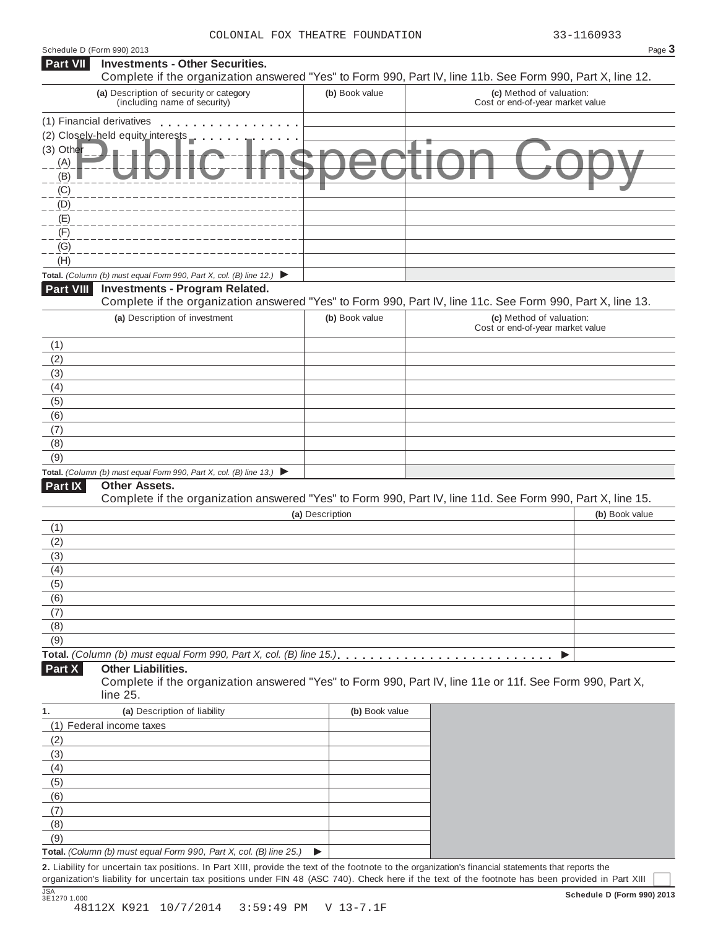| Schedule D (Form 990) 2013 |                                                                                                                                                      |                 | Page 3                                                                                                                                             |
|----------------------------|------------------------------------------------------------------------------------------------------------------------------------------------------|-----------------|----------------------------------------------------------------------------------------------------------------------------------------------------|
| <b>Part VII</b>            | <b>Investments - Other Securities.</b>                                                                                                               |                 |                                                                                                                                                    |
|                            |                                                                                                                                                      |                 | Complete if the organization answered "Yes" to Form 990, Part IV, line 11b. See Form 990, Part X, line 12.                                         |
|                            | (a) Description of security or category<br>(including name of security)                                                                              | (b) Book value  | (c) Method of valuation:<br>Cost or end-of-year market value                                                                                       |
|                            | (1) Financial derivatives                                                                                                                            |                 |                                                                                                                                                    |
|                            | (2) Closely-held equity_interests                                                                                                                    |                 |                                                                                                                                                    |
| (3) Other                  |                                                                                                                                                      |                 |                                                                                                                                                    |
| (A)                        |                                                                                                                                                      |                 |                                                                                                                                                    |
| (B)                        |                                                                                                                                                      |                 |                                                                                                                                                    |
| (C)                        |                                                                                                                                                      |                 |                                                                                                                                                    |
| (D)<br>(E)                 |                                                                                                                                                      |                 |                                                                                                                                                    |
| (F)                        |                                                                                                                                                      |                 |                                                                                                                                                    |
| (G)                        |                                                                                                                                                      |                 |                                                                                                                                                    |
| (H)                        |                                                                                                                                                      |                 |                                                                                                                                                    |
|                            | Total. (Column (b) must equal Form 990, Part X, col. (B) line 12.) $\blacktriangleright$                                                             |                 |                                                                                                                                                    |
| Part VIII                  | <b>Investments - Program Related.</b>                                                                                                                |                 |                                                                                                                                                    |
|                            |                                                                                                                                                      |                 | Complete if the organization answered "Yes" to Form 990, Part IV, line 11c. See Form 990, Part X, line 13.                                         |
|                            | (a) Description of investment                                                                                                                        | (b) Book value  | (c) Method of valuation:                                                                                                                           |
|                            |                                                                                                                                                      |                 | Cost or end-of-year market value                                                                                                                   |
| (1)                        |                                                                                                                                                      |                 |                                                                                                                                                    |
| (2)                        |                                                                                                                                                      |                 |                                                                                                                                                    |
| (3)                        |                                                                                                                                                      |                 |                                                                                                                                                    |
| (4)                        |                                                                                                                                                      |                 |                                                                                                                                                    |
| (5)                        |                                                                                                                                                      |                 |                                                                                                                                                    |
| (6)                        |                                                                                                                                                      |                 |                                                                                                                                                    |
| (7)<br>(8)                 |                                                                                                                                                      |                 |                                                                                                                                                    |
| (9)                        |                                                                                                                                                      |                 |                                                                                                                                                    |
|                            | Total. (Column (b) must equal Form 990, Part X, col. (B) line 13.) $\blacktriangleright$                                                             |                 |                                                                                                                                                    |
| Part IX                    | <b>Other Assets.</b>                                                                                                                                 |                 |                                                                                                                                                    |
|                            |                                                                                                                                                      |                 | Complete if the organization answered "Yes" to Form 990, Part IV, line 11d. See Form 990, Part X, line 15.                                         |
|                            |                                                                                                                                                      | (a) Description | (b) Book value                                                                                                                                     |
| (1)                        |                                                                                                                                                      |                 |                                                                                                                                                    |
| (2)                        |                                                                                                                                                      |                 |                                                                                                                                                    |
| (3)                        |                                                                                                                                                      |                 |                                                                                                                                                    |
| (4)                        |                                                                                                                                                      |                 |                                                                                                                                                    |
| (5)                        |                                                                                                                                                      |                 |                                                                                                                                                    |
| (6)                        |                                                                                                                                                      |                 |                                                                                                                                                    |
| (7)                        |                                                                                                                                                      |                 |                                                                                                                                                    |
| (8)<br>(9)                 |                                                                                                                                                      |                 |                                                                                                                                                    |
|                            | Total. (Column (b) must equal Form 990, Part X, col. (B) line 15.).                                                                                  |                 |                                                                                                                                                    |
| Part X                     | <b>Other Liabilities.</b>                                                                                                                            |                 |                                                                                                                                                    |
|                            | line 25.                                                                                                                                             |                 | Complete if the organization answered "Yes" to Form 990, Part IV, line 11e or 11f. See Form 990, Part X,                                           |
| 1.                         | (a) Description of liability                                                                                                                         | (b) Book value  |                                                                                                                                                    |
|                            | (1) Federal income taxes                                                                                                                             |                 |                                                                                                                                                    |
| (2)                        |                                                                                                                                                      |                 |                                                                                                                                                    |
| (3)                        |                                                                                                                                                      |                 |                                                                                                                                                    |
| (4)                        |                                                                                                                                                      |                 |                                                                                                                                                    |
| (5)                        |                                                                                                                                                      |                 |                                                                                                                                                    |
| (6)                        |                                                                                                                                                      |                 |                                                                                                                                                    |
| (7)                        |                                                                                                                                                      |                 |                                                                                                                                                    |
| (8)                        |                                                                                                                                                      |                 |                                                                                                                                                    |
| (9)                        |                                                                                                                                                      |                 |                                                                                                                                                    |
|                            | Total. (Column (b) must equal Form 990, Part X, col. (B) line 25.)                                                                                   | ▶               |                                                                                                                                                    |
|                            | 2. Liability for uncertain tax positions. In Part XIII, provide the text of the footnote to the organization's financial statements that reports the |                 | organization's liability for uncertain tax positions under FIN 48 (ASC 740). Check here if the text of the footnote has been provided in Part XIII |
|                            |                                                                                                                                                      |                 |                                                                                                                                                    |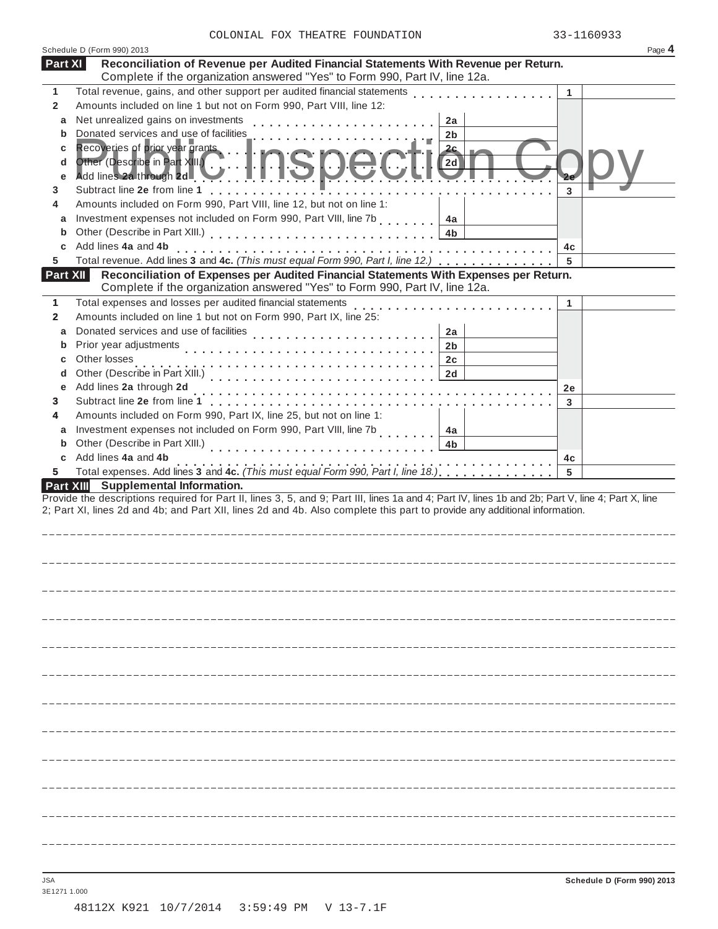|  |  |  | COLONIAL FOX THEATRE FOUNDATION |
|--|--|--|---------------------------------|
|--|--|--|---------------------------------|

|                       | Schedule D (Form 990) 2013                                                                                                                                         |    | Page 4 |
|-----------------------|--------------------------------------------------------------------------------------------------------------------------------------------------------------------|----|--------|
| Part XI               | Reconciliation of Revenue per Audited Financial Statements With Revenue per Return.<br>Complete if the organization answered "Yes" to Form 990, Part IV, line 12a. |    |        |
| 1                     | Total revenue, gains, and other support per audited financial statements                                                                                           | 1  |        |
| $\mathbf{2}$          | Amounts included on line 1 but not on Form 990, Part VIII, line 12:                                                                                                |    |        |
| a                     | Net unrealized gains on investments<br>2a                                                                                                                          |    |        |
| b                     | Donated services and use of facilities<br>2b                                                                                                                       |    |        |
| С                     | Recoveries of prior year grants<br><u> 2c</u>                                                                                                                      |    |        |
| d<br>е                | Other (Describe in Part XIII.)<br>2d<br>Add lines 2a through 2d                                                                                                    |    |        |
| 3                     | Subtract line 2e from line 1 [1] [1] Subtract line 2e from line 1                                                                                                  | 3  |        |
| 4                     | Amounts included on Form 990, Part VIII, line 12, but not on line 1:                                                                                               |    |        |
| a                     | Investment expenses not included on Form 990, Part VIII, line 7b<br>4a                                                                                             |    |        |
| b                     | 4b                                                                                                                                                                 |    |        |
| С                     | Add lines 4a and 4b<br>Total revenue. Add lines 3 and 4c. (This must equal Form 990, Part I, line 12.)                                                             | 4c |        |
| 5.<br>Part XII        | Reconciliation of Expenses per Audited Financial Statements With Expenses per Return.                                                                              | 5  |        |
|                       | Complete if the organization answered "Yes" to Form 990, Part IV, line 12a.                                                                                        |    |        |
| 1                     | Total expenses and losses per audited financial statements                                                                                                         | 1  |        |
| $\mathbf{2}$          | Amounts included on line 1 but not on Form 990, Part IX, line 25:                                                                                                  |    |        |
| a                     | Donated services and use of facilities<br>2a<br>.                                                                                                                  |    |        |
| b                     | Prior year adjustments<br>2b                                                                                                                                       |    |        |
| С                     | Other losses<br>2c                                                                                                                                                 |    |        |
| d                     | Other (Describe in Part XIII.)<br>2d<br>.                                                                                                                          |    |        |
| е                     | Add lines 2a through 2d                                                                                                                                            | 2e |        |
| 3                     | Subtract line 2e from line 1<br>de la carra de la carra de la                                                                                                      | 3  |        |
| 4                     | Amounts included on Form 990, Part IX, line 25, but not on line 1:                                                                                                 |    |        |
| a                     | Investment expenses not included on Form 990, Part VIII, line 7b<br>4a                                                                                             |    |        |
| b                     | Other (Describe in Part XIII.)<br>4b                                                                                                                               |    |        |
| С                     | Add lines 4a and 4b<br>Total expenses. Add lines 3 and 4c. (This must equal Form 990, Part I, line 18.)                                                            | 4c |        |
| 5<br><b>Part XIII</b> | <b>Supplemental Information.</b>                                                                                                                                   | 5  |        |
|                       | Provide the descriptions required for Part II, lines 3, 5, and 9; Part III, lines 1a and 4; Part IV, lines 1b and 2b; Part V, line 4; Part X, line                 |    |        |
|                       | 2; Part XI, lines 2d and 4b; and Part XII, lines 2d and 4b. Also complete this part to provide any additional information.                                         |    |        |
|                       |                                                                                                                                                                    |    |        |
|                       |                                                                                                                                                                    |    |        |
|                       |                                                                                                                                                                    |    |        |
|                       |                                                                                                                                                                    |    |        |
|                       |                                                                                                                                                                    |    |        |
|                       |                                                                                                                                                                    |    |        |
|                       |                                                                                                                                                                    |    |        |
|                       |                                                                                                                                                                    |    |        |
|                       |                                                                                                                                                                    |    |        |
|                       |                                                                                                                                                                    |    |        |
|                       |                                                                                                                                                                    |    |        |
|                       |                                                                                                                                                                    |    |        |
|                       |                                                                                                                                                                    |    |        |
|                       |                                                                                                                                                                    |    |        |
|                       |                                                                                                                                                                    |    |        |
|                       |                                                                                                                                                                    |    |        |

3E1271 1.000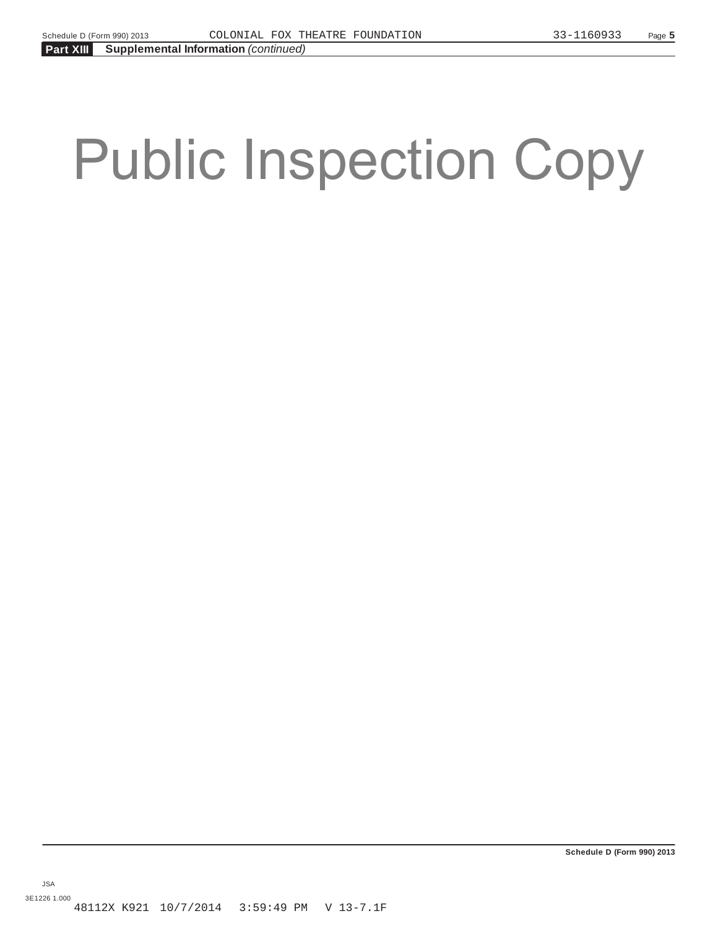# Public Inspection Copy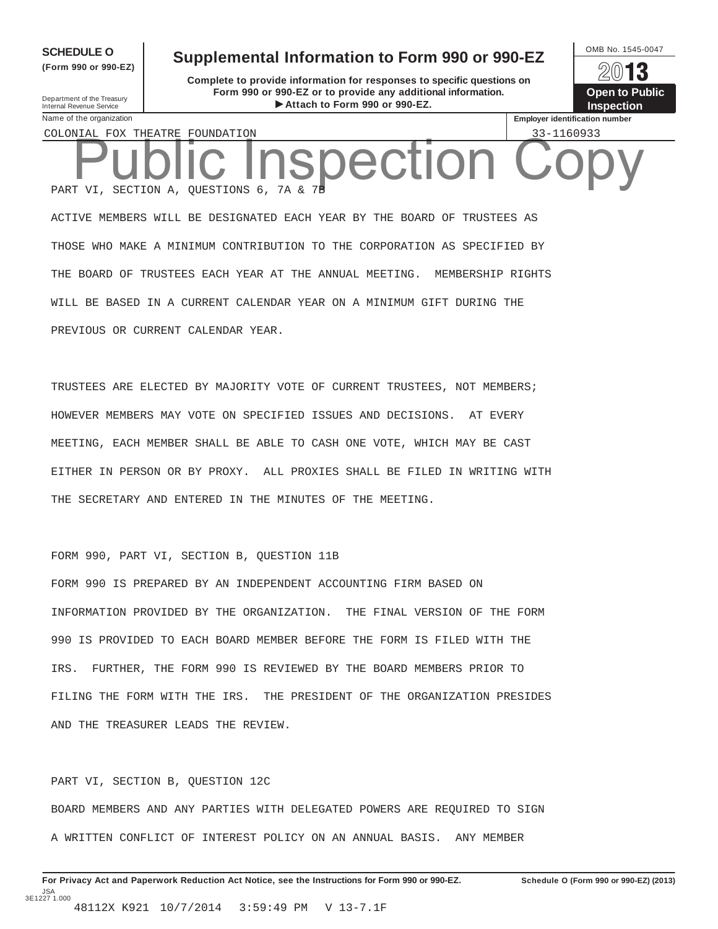**(Form 990 or 990-EZ)**

# Department of the Treasury<br>Internal Revenue Service<br>Name of the organization

**SCHEDULE O** Supplemental Information to Form 990 or 990-EZ  $\frac{1}{2}$ 

**Complete to provide information for responses to specific questions on Form 990 or 990-EZ or to provide any additional information.** Department of the Treasury<br> **Attach to Form 990 or 990-EZ.** Inspection

13 **Open to Public Employer identification number** 

COLONIAL FOX THEATRE FOUNDATION 33-1160933

PART VI, SECTION A, QUESTIONS 6, 7A & 7B ACTIVE MEMBERS WILL BE DESIGNATED EACH YEAR BY THE BOARD OF TRUSTEES AS Public Inspection Copy

THOSE WHO MAKE A MINIMUM CONTRIBUTION TO THE CORPORATION AS SPECIFIED BY THE BOARD OF TRUSTEES EACH YEAR AT THE ANNUAL MEETING. MEMBERSHIP RIGHTS WILL BE BASED IN A CURRENT CALENDAR YEAR ON A MINIMUM GIFT DURING THE PREVIOUS OR CURRENT CALENDAR YEAR.

TRUSTEES ARE ELECTED BY MAJORITY VOTE OF CURRENT TRUSTEES, NOT MEMBERS; HOWEVER MEMBERS MAY VOTE ON SPECIFIED ISSUES AND DECISIONS. AT EVERY MEETING, EACH MEMBER SHALL BE ABLE TO CASH ONE VOTE, WHICH MAY BE CAST EITHER IN PERSON OR BY PROXY. ALL PROXIES SHALL BE FILED IN WRITING WITH THE SECRETARY AND ENTERED IN THE MINUTES OF THE MEETING.

FORM 990, PART VI, SECTION B, QUESTION 11B

FORM 990 IS PREPARED BY AN INDEPENDENT ACCOUNTING FIRM BASED ON INFORMATION PROVIDED BY THE ORGANIZATION. THE FINAL VERSION OF THE FORM 990 IS PROVIDED TO EACH BOARD MEMBER BEFORE THE FORM IS FILED WITH THE IRS. FURTHER, THE FORM 990 IS REVIEWED BY THE BOARD MEMBERS PRIOR TO FILING THE FORM WITH THE IRS. THE PRESIDENT OF THE ORGANIZATION PRESIDES AND THE TREASURER LEADS THE REVIEW.

PART VI, SECTION B, QUESTION 12C BOARD MEMBERS AND ANY PARTIES WITH DELEGATED POWERS ARE REQUIRED TO SIGN A WRITTEN CONFLICT OF INTEREST POLICY ON AN ANNUAL BASIS. ANY MEMBER